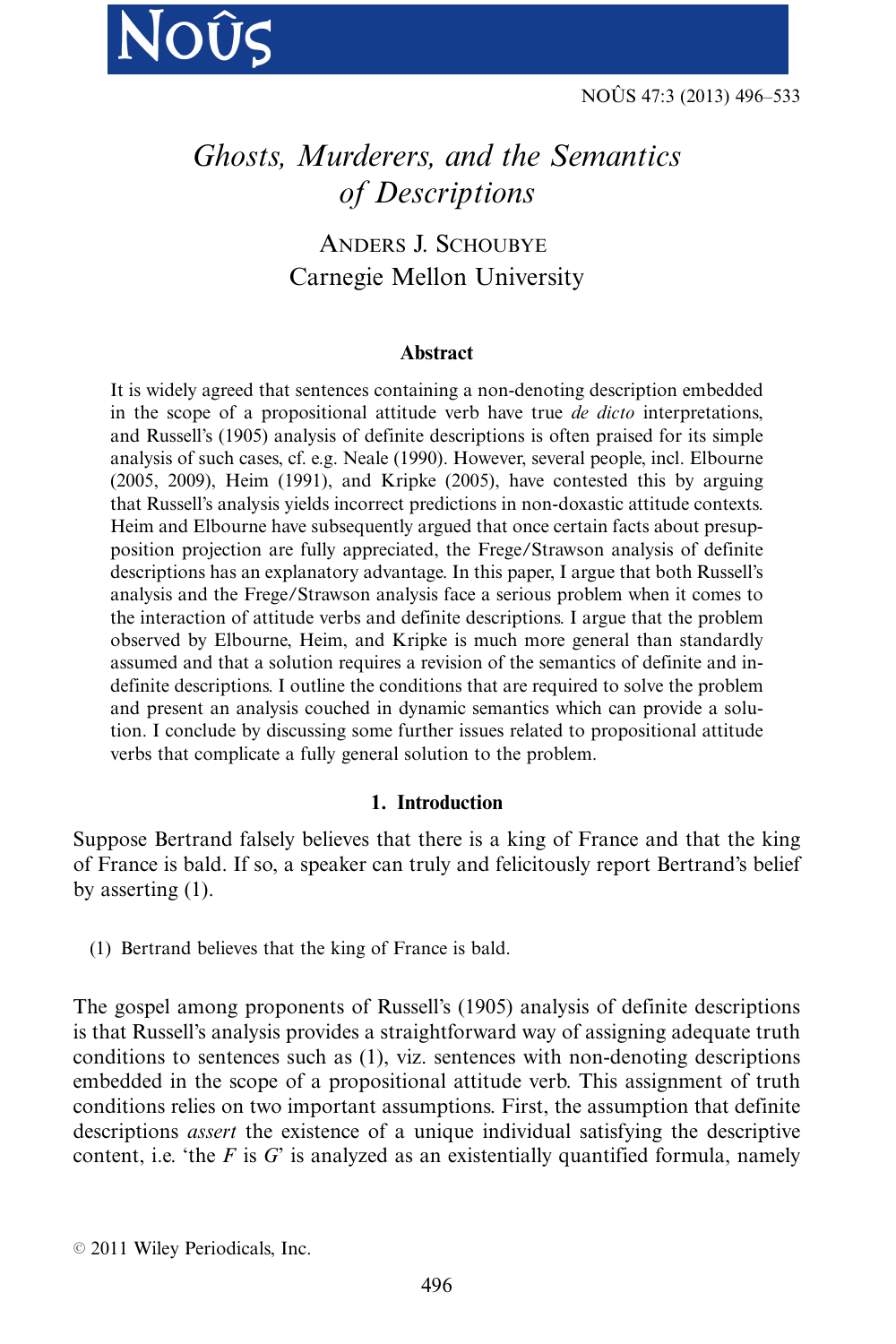

# *Ghosts, Murderers, and the Semantics of Descriptions*

## ANDERS J. SCHOUBYE Carnegie Mellon University

### **Abstract**

It is widely agreed that sentences containing a non-denoting description embedded in the scope of a propositional attitude verb have true *de dicto* interpretations, and Russell's (1905) analysis of definite descriptions is often praised for its simple analysis of such cases, cf. e.g. Neale (1990). However, several people, incl. Elbourne (2005, 2009), Heim (1991), and Kripke (2005), have contested this by arguing that Russell's analysis yields incorrect predictions in non-doxastic attitude contexts. Heim and Elbourne have subsequently argued that once certain facts about presupposition projection are fully appreciated, the Frege/Strawson analysis of definite descriptions has an explanatory advantage. In this paper, I argue that both Russell's analysis and the Frege/Strawson analysis face a serious problem when it comes to the interaction of attitude verbs and definite descriptions. I argue that the problem observed by Elbourne, Heim, and Kripke is much more general than standardly assumed and that a solution requires a revision of the semantics of definite and indefinite descriptions. I outline the conditions that are required to solve the problem and present an analysis couched in dynamic semantics which can provide a solution. I conclude by discussing some further issues related to propositional attitude verbs that complicate a fully general solution to the problem.

#### **1. Introduction**

Suppose Bertrand falsely believes that there is a king of France and that the king of France is bald. If so, a speaker can truly and felicitously report Bertrand's belief by asserting (1).

(1) Bertrand believes that the king of France is bald.

The gospel among proponents of Russell's (1905) analysis of definite descriptions is that Russell's analysis provides a straightforward way of assigning adequate truth conditions to sentences such as (1), viz. sentences with non-denoting descriptions embedded in the scope of a propositional attitude verb. This assignment of truth conditions relies on two important assumptions. First, the assumption that definite descriptions *assert* the existence of a unique individual satisfying the descriptive content, i.e. 'the *F* is *G*' is analyzed as an existentially quantified formula, namely

<sup>© 2011</sup> Wiley Periodicals, Inc.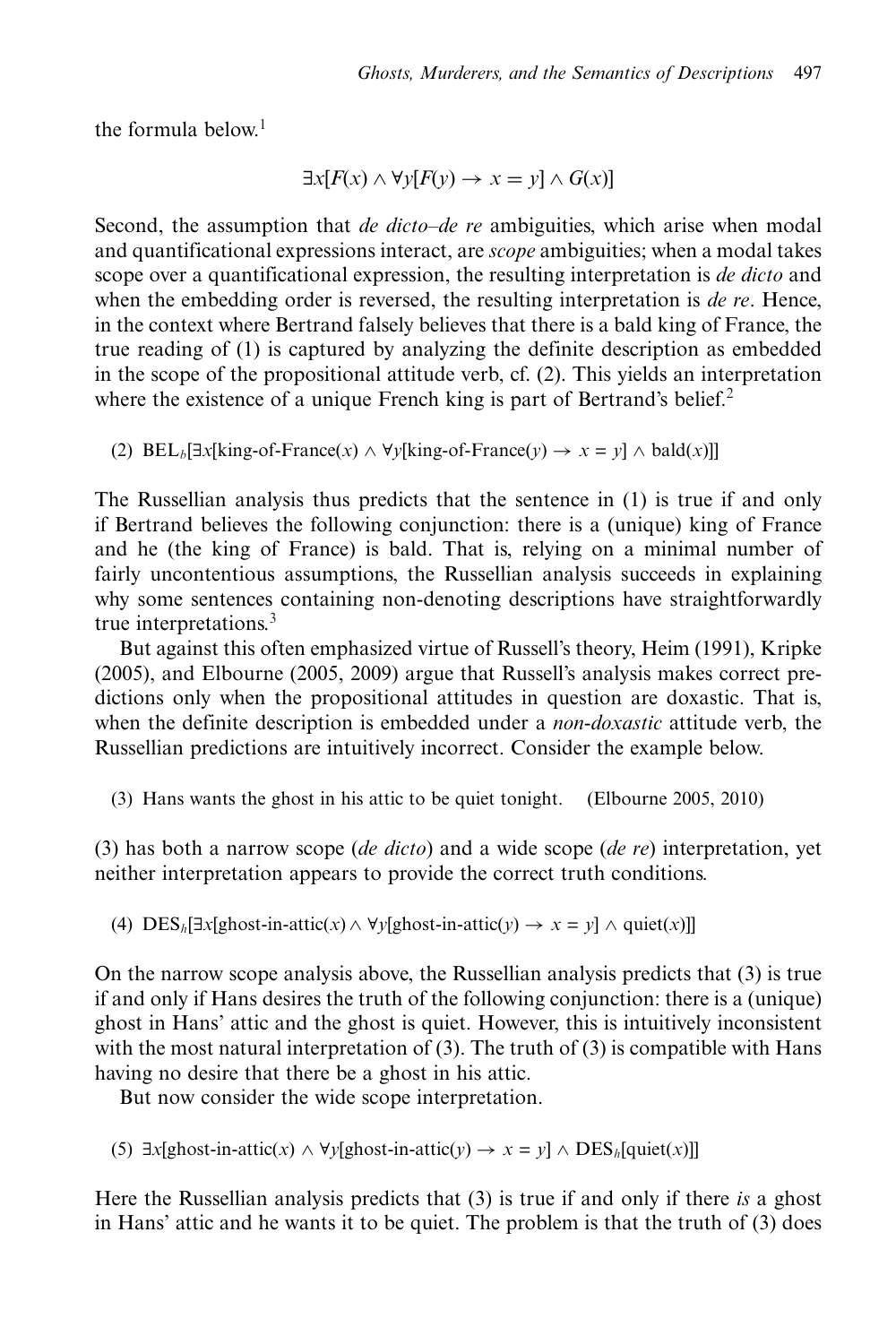the formula below.<sup>1</sup>

$$
\exists x [F(x) \land \forall y [F(y) \to x = y] \land G(x)]
$$

Second, the assumption that *de dicto*–*de re* ambiguities, which arise when modal and quantificational expressions interact, are *scope* ambiguities; when a modal takes scope over a quantificational expression, the resulting interpretation is *de dicto* and when the embedding order is reversed, the resulting interpretation is *de re*. Hence, in the context where Bertrand falsely believes that there is a bald king of France, the true reading of (1) is captured by analyzing the definite description as embedded in the scope of the propositional attitude verb, cf. (2). This yields an interpretation where the existence of a unique French king is part of Bertrand's belief.<sup>2</sup>

(2) BEL<sub>b</sub>[∃*x*[king-of-France(*x*) ∧  $\forall$ *y*[king-of-France(*y*) → *x* = *y*] ∧ bald(*x*)]]

The Russellian analysis thus predicts that the sentence in (1) is true if and only if Bertrand believes the following conjunction: there is a (unique) king of France and he (the king of France) is bald. That is, relying on a minimal number of fairly uncontentious assumptions, the Russellian analysis succeeds in explaining why some sentences containing non-denoting descriptions have straightforwardly true interpretations.<sup>3</sup>

But against this often emphasized virtue of Russell's theory, Heim (1991), Kripke (2005), and Elbourne (2005, 2009) argue that Russell's analysis makes correct predictions only when the propositional attitudes in question are doxastic. That is, when the definite description is embedded under a *non-doxastic* attitude verb, the Russellian predictions are intuitively incorrect. Consider the example below.

(3) Hans wants the ghost in his attic to be quiet tonight. (Elbourne 2005, 2010)

(3) has both a narrow scope (*de dicto*) and a wide scope (*de re*) interpretation, yet neither interpretation appears to provide the correct truth conditions.

(4) DES*h*[∃*x*[ghost-in-attic(*x*) ∧ ∀*y*[ghost-in-attic(*y*) → *x* = *y*] ∧ quiet(*x*)]]

On the narrow scope analysis above, the Russellian analysis predicts that (3) is true if and only if Hans desires the truth of the following conjunction: there is a (unique) ghost in Hans' attic and the ghost is quiet. However, this is intuitively inconsistent with the most natural interpretation of (3). The truth of (3) is compatible with Hans having no desire that there be a ghost in his attic.

But now consider the wide scope interpretation.

(5) ∃*x*[ghost-in-attic(*x*) ∧ ∀*y*[ghost-in-attic(*y*) → *x* = *y*] ∧ DES*h*[quiet(*x*)]]

Here the Russellian analysis predicts that (3) is true if and only if there *is* a ghost in Hans' attic and he wants it to be quiet. The problem is that the truth of (3) does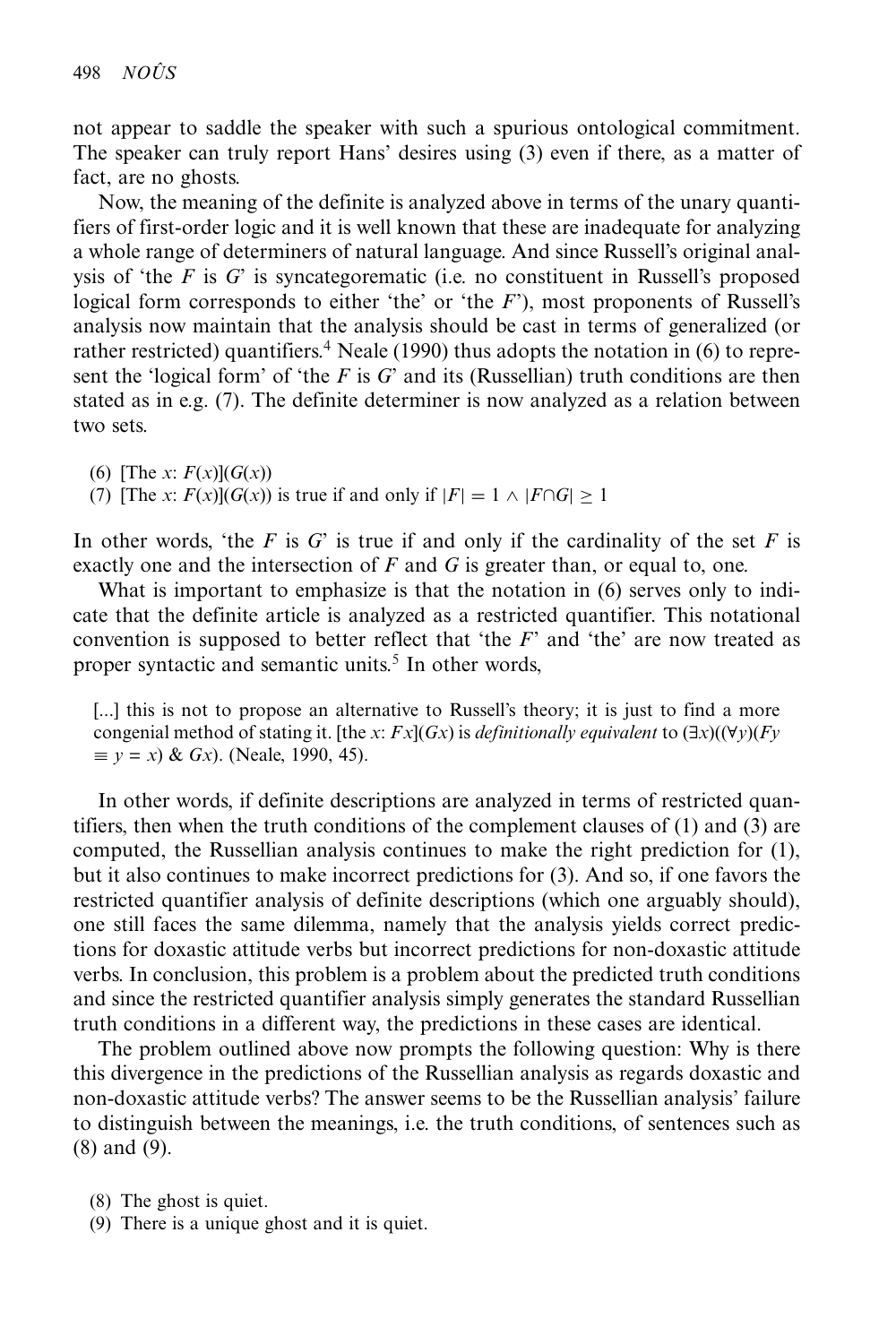not appear to saddle the speaker with such a spurious ontological commitment. The speaker can truly report Hans' desires using (3) even if there, as a matter of fact, are no ghosts.

Now, the meaning of the definite is analyzed above in terms of the unary quantifiers of first-order logic and it is well known that these are inadequate for analyzing a whole range of determiners of natural language. And since Russell's original analysis of 'the *F* is *G*' is syncategorematic (i.e. no constituent in Russell's proposed logical form corresponds to either 'the' or 'the *F*'), most proponents of Russell's analysis now maintain that the analysis should be cast in terms of generalized (or rather restricted) quantifiers.<sup>4</sup> Neale (1990) thus adopts the notation in (6) to represent the 'logical form' of 'the *F* is *G*' and its (Russellian) truth conditions are then stated as in e.g. (7). The definite determiner is now analyzed as a relation between two sets.

(6) [The *x*:  $F(x)[G(x)]$ 

(7) [The *x*:  $F(x)[G(x)]$  is true if and only if  $|F| = 1 \wedge |F \cap G| \ge 1$ 

In other words, 'the *F* is *G*' is true if and only if the cardinality of the set *F* is exactly one and the intersection of *F* and *G* is greater than, or equal to, one.

What is important to emphasize is that the notation in (6) serves only to indicate that the definite article is analyzed as a restricted quantifier. This notational convention is supposed to better reflect that 'the *F*' and 'the' are now treated as proper syntactic and semantic units. $5$  In other words,

[...] this is not to propose an alternative to Russell's theory; it is just to find a more congenial method of stating it. [the *x*: *Fx*](*Gx*) is *definitionally equivalent* to (∃*x*)((∀*y*)(*Fy*  $= y = x$  & *Gx*). (Neale, 1990, 45).

In other words, if definite descriptions are analyzed in terms of restricted quantifiers, then when the truth conditions of the complement clauses of (1) and (3) are computed, the Russellian analysis continues to make the right prediction for (1), but it also continues to make incorrect predictions for (3). And so, if one favors the restricted quantifier analysis of definite descriptions (which one arguably should), one still faces the same dilemma, namely that the analysis yields correct predictions for doxastic attitude verbs but incorrect predictions for non-doxastic attitude verbs. In conclusion, this problem is a problem about the predicted truth conditions and since the restricted quantifier analysis simply generates the standard Russellian truth conditions in a different way, the predictions in these cases are identical.

The problem outlined above now prompts the following question: Why is there this divergence in the predictions of the Russellian analysis as regards doxastic and non-doxastic attitude verbs? The answer seems to be the Russellian analysis' failure to distinguish between the meanings, i.e. the truth conditions, of sentences such as (8) and (9).

(8) The ghost is quiet.

(9) There is a unique ghost and it is quiet.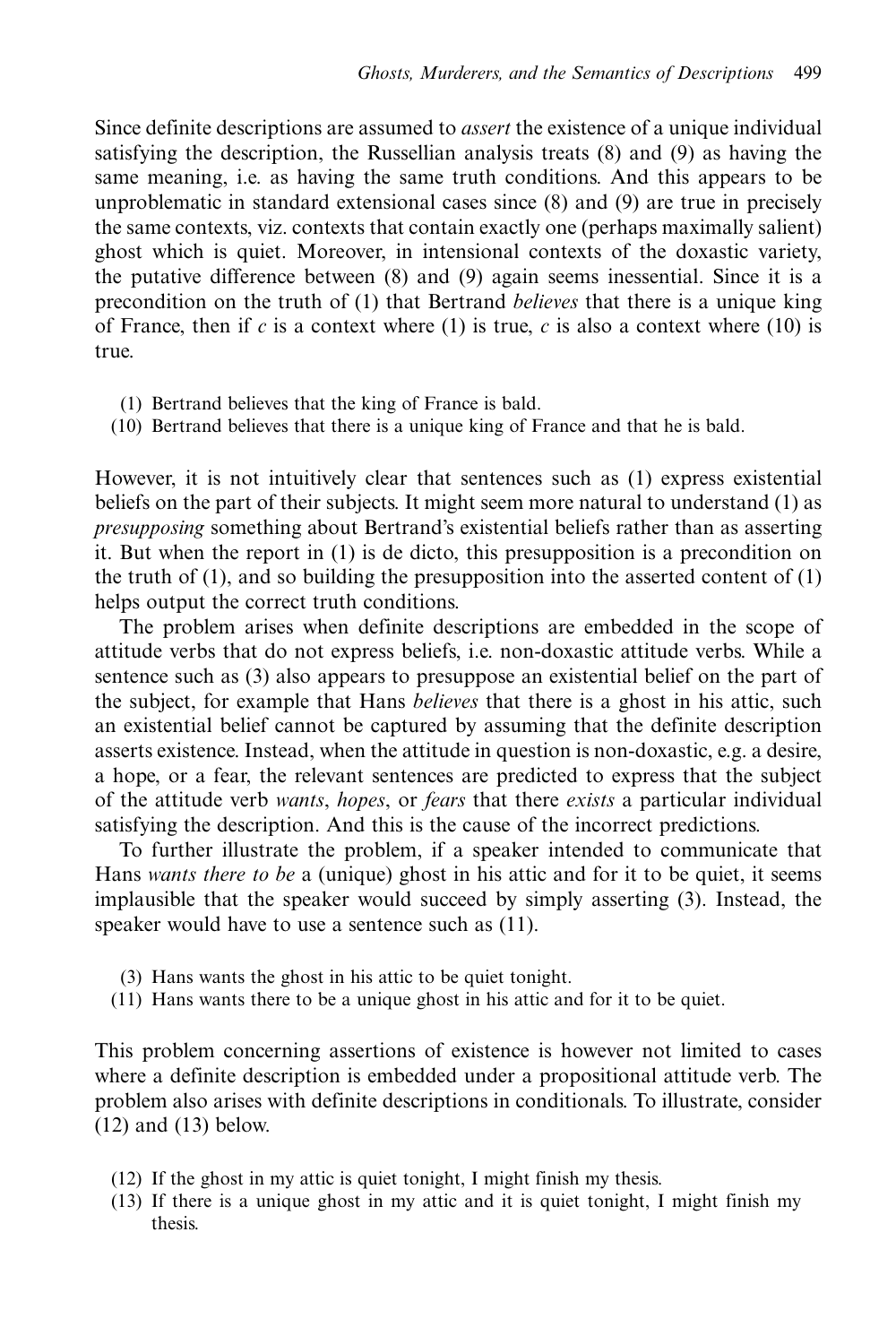Since definite descriptions are assumed to *assert* the existence of a unique individual satisfying the description, the Russellian analysis treats (8) and (9) as having the same meaning, i.e. as having the same truth conditions. And this appears to be unproblematic in standard extensional cases since (8) and (9) are true in precisely the same contexts, viz. contexts that contain exactly one (perhaps maximally salient) ghost which is quiet. Moreover, in intensional contexts of the doxastic variety, the putative difference between (8) and (9) again seems inessential. Since it is a precondition on the truth of (1) that Bertrand *believes* that there is a unique king of France, then if  $c$  is a context where  $(1)$  is true,  $c$  is also a context where  $(10)$  is true.

- (1) Bertrand believes that the king of France is bald.
- (10) Bertrand believes that there is a unique king of France and that he is bald.

However, it is not intuitively clear that sentences such as (1) express existential beliefs on the part of their subjects. It might seem more natural to understand (1) as *presupposing* something about Bertrand's existential beliefs rather than as asserting it. But when the report in (1) is de dicto, this presupposition is a precondition on the truth of  $(1)$ , and so building the presupposition into the asserted content of  $(1)$ helps output the correct truth conditions.

The problem arises when definite descriptions are embedded in the scope of attitude verbs that do not express beliefs, i.e. non-doxastic attitude verbs. While a sentence such as (3) also appears to presuppose an existential belief on the part of the subject, for example that Hans *believes* that there is a ghost in his attic, such an existential belief cannot be captured by assuming that the definite description asserts existence. Instead, when the attitude in question is non-doxastic, e.g. a desire, a hope, or a fear, the relevant sentences are predicted to express that the subject of the attitude verb *wants*, *hopes*, or *fears* that there *exists* a particular individual satisfying the description. And this is the cause of the incorrect predictions.

To further illustrate the problem, if a speaker intended to communicate that Hans *wants there to be* a (unique) ghost in his attic and for it to be quiet, it seems implausible that the speaker would succeed by simply asserting (3). Instead, the speaker would have to use a sentence such as (11).

- (3) Hans wants the ghost in his attic to be quiet tonight.
- (11) Hans wants there to be a unique ghost in his attic and for it to be quiet.

This problem concerning assertions of existence is however not limited to cases where a definite description is embedded under a propositional attitude verb. The problem also arises with definite descriptions in conditionals. To illustrate, consider (12) and (13) below.

- (12) If the ghost in my attic is quiet tonight, I might finish my thesis.
- (13) If there is a unique ghost in my attic and it is quiet tonight, I might finish my thesis.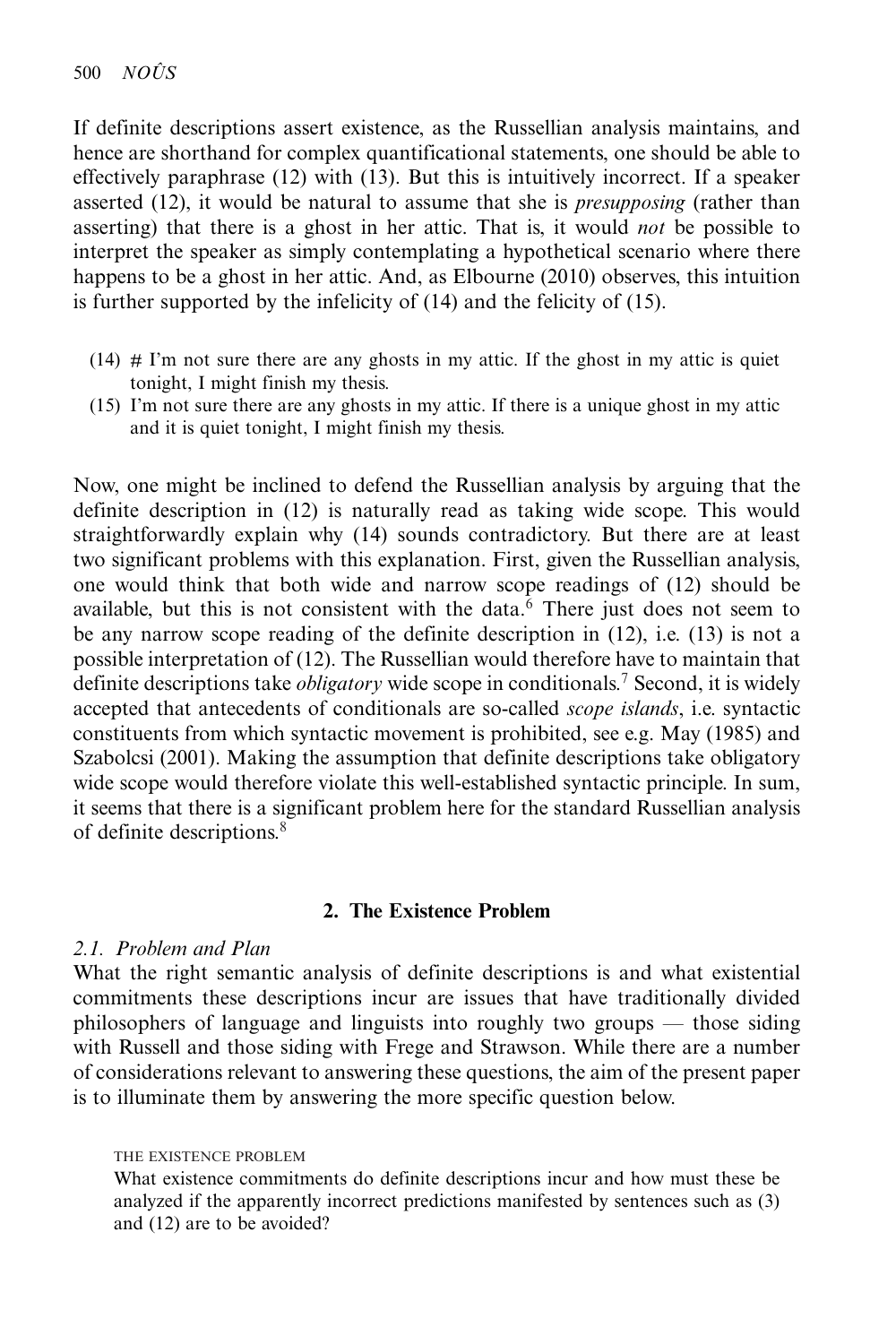If definite descriptions assert existence, as the Russellian analysis maintains, and hence are shorthand for complex quantificational statements, one should be able to effectively paraphrase (12) with (13). But this is intuitively incorrect. If a speaker asserted (12), it would be natural to assume that she is *presupposing* (rather than asserting) that there is a ghost in her attic. That is, it would *not* be possible to interpret the speaker as simply contemplating a hypothetical scenario where there happens to be a ghost in her attic. And, as Elbourne (2010) observes, this intuition is further supported by the infelicity of (14) and the felicity of (15).

- $(14)$  # I'm not sure there are any ghosts in my attic. If the ghost in my attic is quiet tonight, I might finish my thesis.
- (15) I'm not sure there are any ghosts in my attic. If there is a unique ghost in my attic and it is quiet tonight, I might finish my thesis.

Now, one might be inclined to defend the Russellian analysis by arguing that the definite description in (12) is naturally read as taking wide scope. This would straightforwardly explain why (14) sounds contradictory. But there are at least two significant problems with this explanation. First, given the Russellian analysis, one would think that both wide and narrow scope readings of (12) should be available, but this is not consistent with the data.<sup>6</sup> There just does not seem to be any narrow scope reading of the definite description in (12), i.e. (13) is not a possible interpretation of (12). The Russellian would therefore have to maintain that definite descriptions take *obligatory* wide scope in conditionals.7 Second, it is widely accepted that antecedents of conditionals are so-called *scope islands*, i.e. syntactic constituents from which syntactic movement is prohibited, see e.g. May (1985) and Szabolcsi (2001). Making the assumption that definite descriptions take obligatory wide scope would therefore violate this well-established syntactic principle. In sum, it seems that there is a significant problem here for the standard Russellian analysis of definite descriptions.<sup>8</sup>

### **2. The Existence Problem**

### *2.1. Problem and Plan*

What the right semantic analysis of definite descriptions is and what existential commitments these descriptions incur are issues that have traditionally divided philosophers of language and linguists into roughly two groups — those siding with Russell and those siding with Frege and Strawson. While there are a number of considerations relevant to answering these questions, the aim of the present paper is to illuminate them by answering the more specific question below.

#### THE EXISTENCE PROBLEM

What existence commitments do definite descriptions incur and how must these be analyzed if the apparently incorrect predictions manifested by sentences such as (3) and (12) are to be avoided?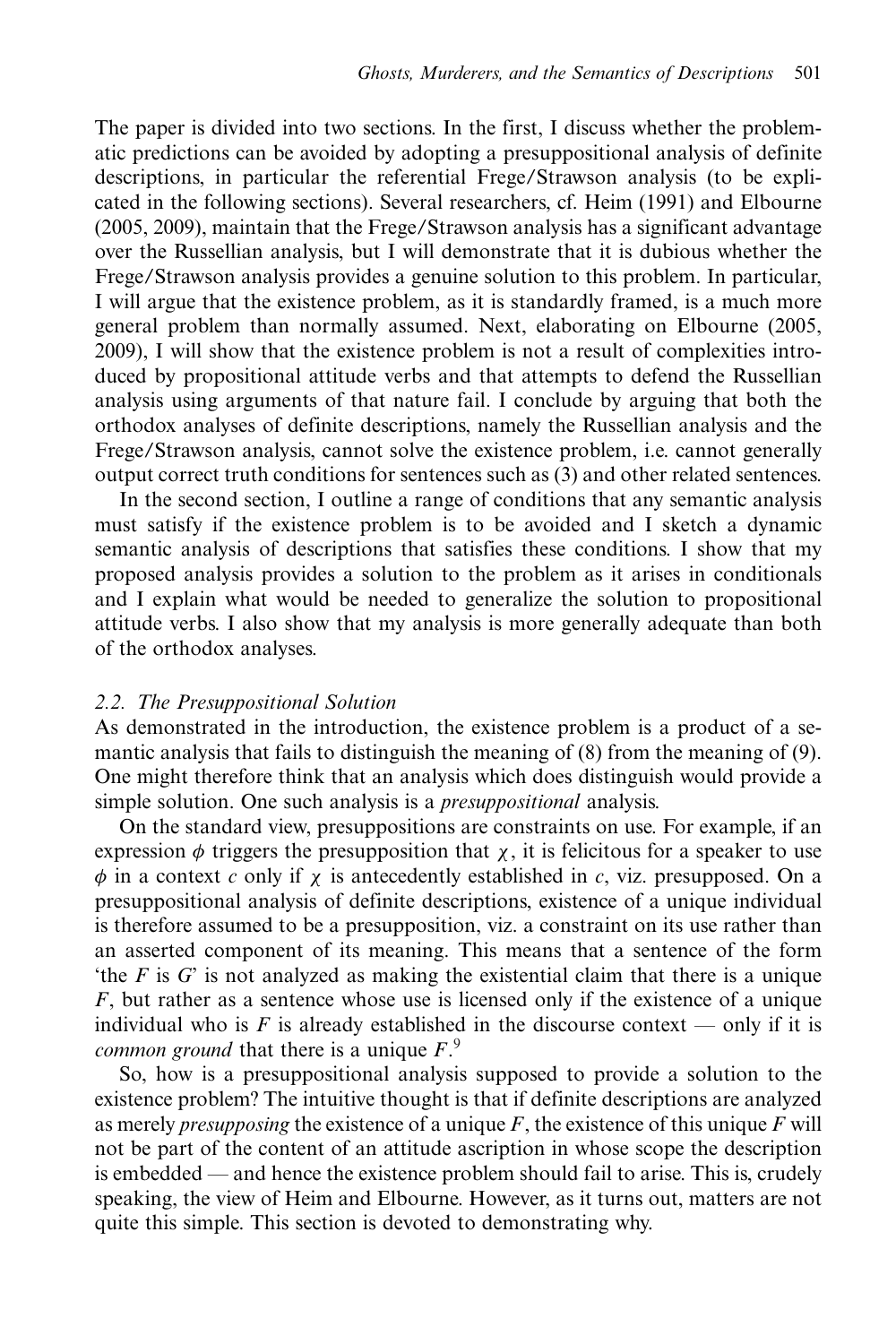The paper is divided into two sections. In the first, I discuss whether the problematic predictions can be avoided by adopting a presuppositional analysis of definite descriptions, in particular the referential Frege/Strawson analysis (to be explicated in the following sections). Several researchers, cf. Heim (1991) and Elbourne (2005, 2009), maintain that the Frege/Strawson analysis has a significant advantage over the Russellian analysis, but I will demonstrate that it is dubious whether the Frege/Strawson analysis provides a genuine solution to this problem. In particular, I will argue that the existence problem, as it is standardly framed, is a much more general problem than normally assumed. Next, elaborating on Elbourne (2005, 2009), I will show that the existence problem is not a result of complexities introduced by propositional attitude verbs and that attempts to defend the Russellian analysis using arguments of that nature fail. I conclude by arguing that both the orthodox analyses of definite descriptions, namely the Russellian analysis and the Frege/Strawson analysis, cannot solve the existence problem, i.e. cannot generally output correct truth conditions for sentences such as (3) and other related sentences.

In the second section, I outline a range of conditions that any semantic analysis must satisfy if the existence problem is to be avoided and I sketch a dynamic semantic analysis of descriptions that satisfies these conditions. I show that my proposed analysis provides a solution to the problem as it arises in conditionals and I explain what would be needed to generalize the solution to propositional attitude verbs. I also show that my analysis is more generally adequate than both of the orthodox analyses.

### *2.2. The Presuppositional Solution*

As demonstrated in the introduction, the existence problem is a product of a semantic analysis that fails to distinguish the meaning of (8) from the meaning of (9). One might therefore think that an analysis which does distinguish would provide a simple solution. One such analysis is a *presuppositional* analysis.

On the standard view, presuppositions are constraints on use. For example, if an expression  $\phi$  triggers the presupposition that  $\chi$ , it is felicitous for a speaker to use  $\phi$  in a context *c* only if  $\chi$  is antecedently established in *c*, viz. presupposed. On a presuppositional analysis of definite descriptions, existence of a unique individual is therefore assumed to be a presupposition, viz. a constraint on its use rather than an asserted component of its meaning. This means that a sentence of the form 'the *F* is *G*' is not analyzed as making the existential claim that there is a unique *F*, but rather as a sentence whose use is licensed only if the existence of a unique individual who is  $F$  is already established in the discourse context — only if it is *common ground* that there is a unique *F*. 9

So, how is a presuppositional analysis supposed to provide a solution to the existence problem? The intuitive thought is that if definite descriptions are analyzed as merely *presupposing* the existence of a unique *F*, the existence of this unique *F* will not be part of the content of an attitude ascription in whose scope the description is embedded — and hence the existence problem should fail to arise. This is, crudely speaking, the view of Heim and Elbourne. However, as it turns out, matters are not quite this simple. This section is devoted to demonstrating why.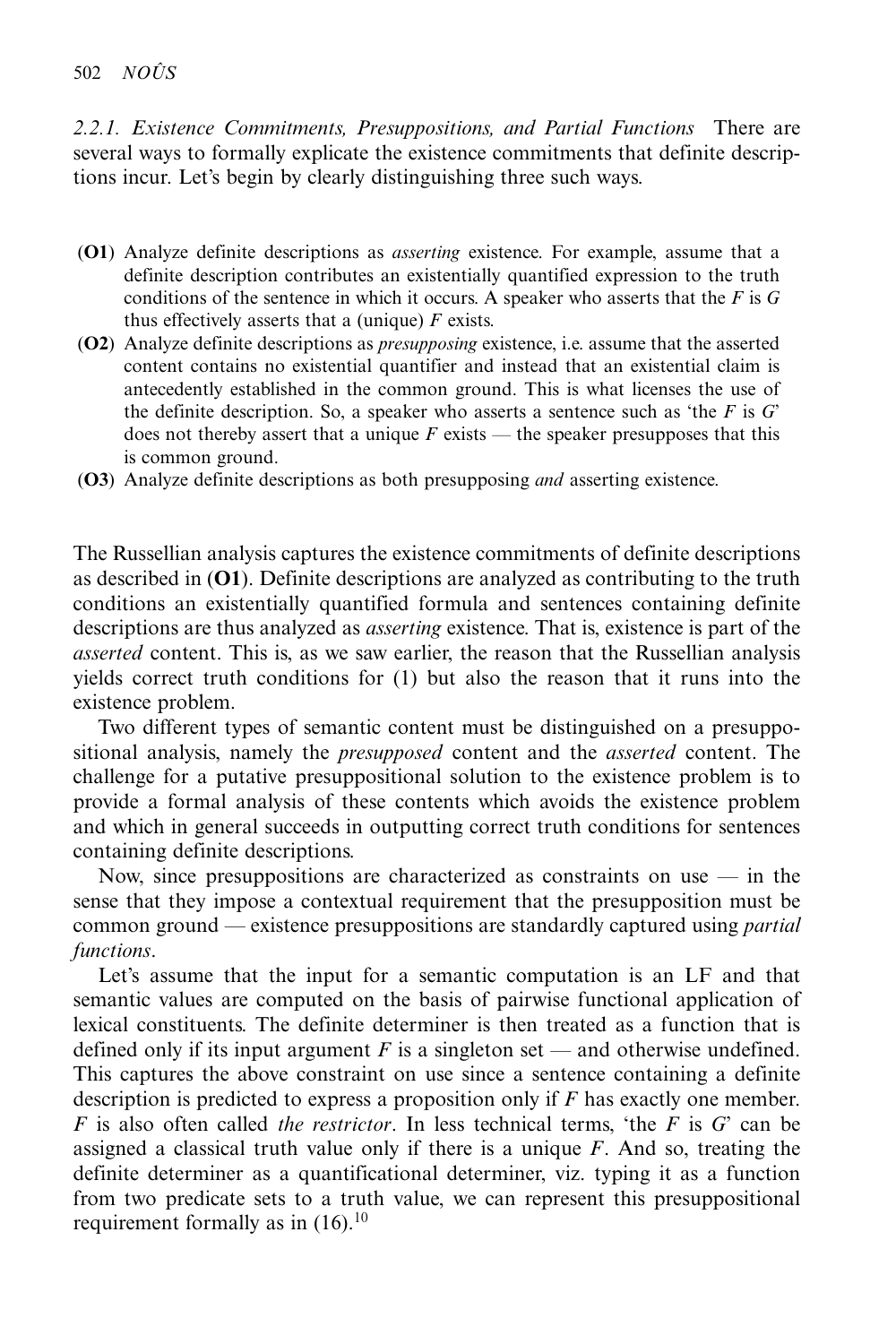### 502 *NOUS*

*2.2.1. Existence Commitments, Presuppositions, and Partial Functions* There are several ways to formally explicate the existence commitments that definite descriptions incur. Let's begin by clearly distinguishing three such ways.

- (**O1**) Analyze definite descriptions as *asserting* existence. For example, assume that a definite description contributes an existentially quantified expression to the truth conditions of the sentence in which it occurs. A speaker who asserts that the *F* is *G* thus effectively asserts that a (unique) *F* exists.
- (**O2**) Analyze definite descriptions as *presupposing* existence, i.e. assume that the asserted content contains no existential quantifier and instead that an existential claim is antecedently established in the common ground. This is what licenses the use of the definite description. So, a speaker who asserts a sentence such as 'the *F* is *G*' does not thereby assert that a unique  $F$  exists — the speaker presupposes that this is common ground.
- (**O3**) Analyze definite descriptions as both presupposing *and* asserting existence.

The Russellian analysis captures the existence commitments of definite descriptions as described in (**O1**). Definite descriptions are analyzed as contributing to the truth conditions an existentially quantified formula and sentences containing definite descriptions are thus analyzed as *asserting* existence. That is, existence is part of the *asserted* content. This is, as we saw earlier, the reason that the Russellian analysis yields correct truth conditions for (1) but also the reason that it runs into the existence problem.

Two different types of semantic content must be distinguished on a presuppositional analysis, namely the *presupposed* content and the *asserted* content. The challenge for a putative presuppositional solution to the existence problem is to provide a formal analysis of these contents which avoids the existence problem and which in general succeeds in outputting correct truth conditions for sentences containing definite descriptions.

Now, since presuppositions are characterized as constraints on use  $-$  in the sense that they impose a contextual requirement that the presupposition must be common ground — existence presuppositions are standardly captured using *partial functions*.

Let's assume that the input for a semantic computation is an LF and that semantic values are computed on the basis of pairwise functional application of lexical constituents. The definite determiner is then treated as a function that is defined only if its input argument *F* is a singleton set — and otherwise undefined. This captures the above constraint on use since a sentence containing a definite description is predicted to express a proposition only if *F* has exactly one member. *F* is also often called *the restrictor*. In less technical terms, 'the *F* is *G*' can be assigned a classical truth value only if there is a unique *F*. And so, treating the definite determiner as a quantificational determiner, viz. typing it as a function from two predicate sets to a truth value, we can represent this presuppositional requirement formally as in  $(16)$ .<sup>10</sup>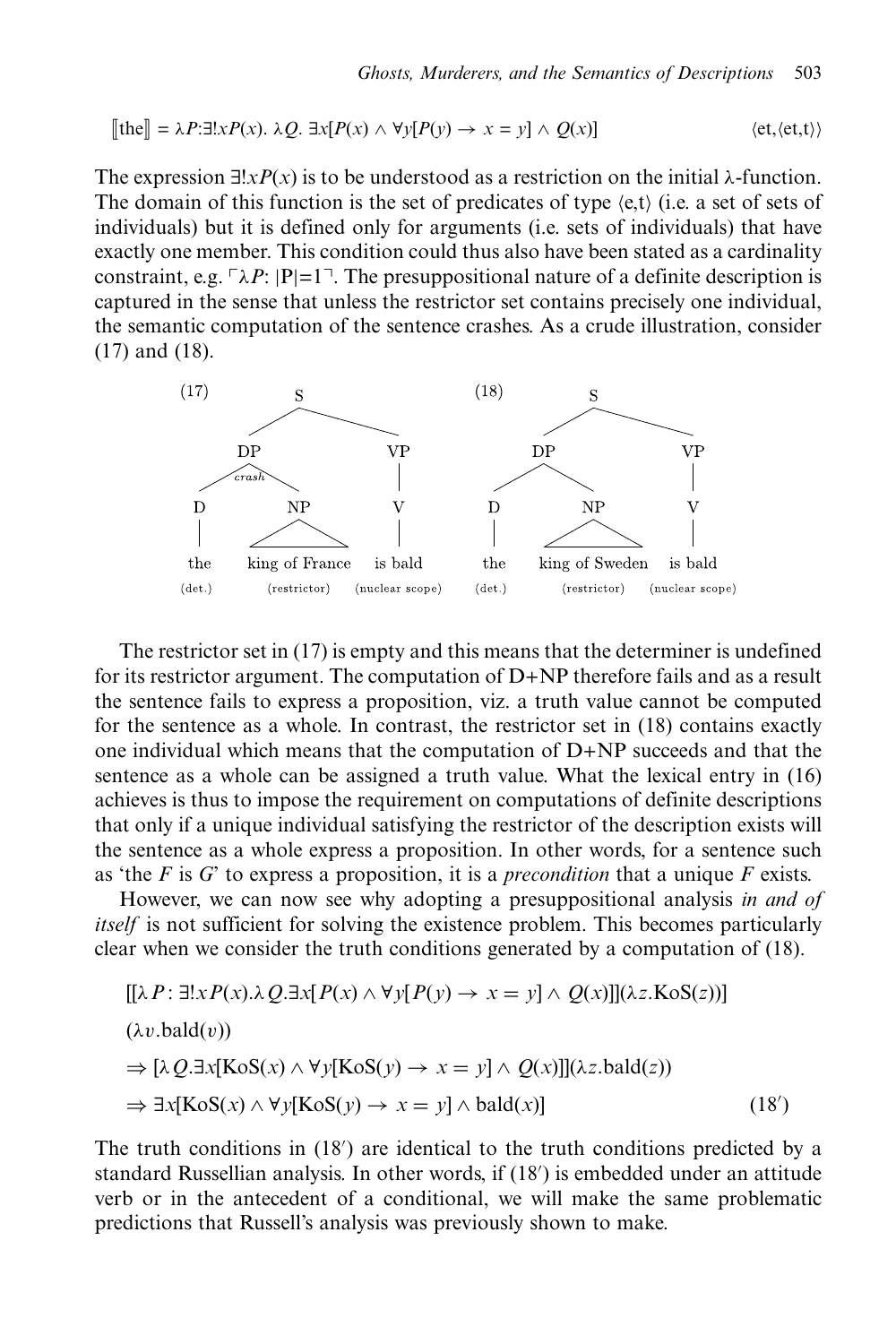$$
\llbracket \text{the} \rrbracket = \lambda P : \exists! x P(x). \lambda Q. \exists x [P(x) \land \forall y [P(y) \to x = y] \land Q(x)] \tag{et, \langle et, \rangle}
$$

The expression  $\exists! x P(x)$  is to be understood as a restriction on the initial  $\lambda$ -function. The domain of this function is the set of predicates of type  $\langle e, t \rangle$  (i.e. a set of sets of individuals) but it is defined only for arguments (i.e. sets of individuals) that have exactly one member. This condition could thus also have been stated as a cardinality constraint, e.g.  $\lceil \lambda P \rceil$ :  $|\mathbf{P}| = 1$ <sup>-</sup>. The presuppositional nature of a definite description is captured in the sense that unless the restrictor set contains precisely one individual, the semantic computation of the sentence crashes. As a crude illustration, consider (17) and (18).



The restrictor set in (17) is empty and this means that the determiner is undefined for its restrictor argument. The computation of D+NP therefore fails and as a result the sentence fails to express a proposition, viz. a truth value cannot be computed for the sentence as a whole. In contrast, the restrictor set in (18) contains exactly one individual which means that the computation of  $D+NP$  succeeds and that the sentence as a whole can be assigned a truth value. What the lexical entry in (16) achieves is thus to impose the requirement on computations of definite descriptions that only if a unique individual satisfying the restrictor of the description exists will the sentence as a whole express a proposition. In other words, for a sentence such as 'the *F* is *G*' to express a proposition, it is a *precondition* that a unique *F* exists.

However, we can now see why adopting a presuppositional analysis *in and of itself* is not sufficient for solving the existence problem. This becomes particularly clear when we consider the truth conditions generated by a computation of (18).

$$
[[\lambda P : \exists! x P(x). \lambda Q. \exists x [P(x) \land \forall y [P(y) \to x = y] \land Q(x)]](\lambda z. \text{KoS}(z))]
$$
  

$$
(\lambda v. \text{bald}(v))
$$
  

$$
\Rightarrow [\lambda Q. \exists x [\text{KoS}(x) \land \forall y [\text{KoS}(y) \to x = y] \land Q(x)]](\lambda z. \text{bald}(z))
$$
  

$$
\Rightarrow \exists x [\text{KoS}(x) \land \forall y [\text{KoS}(y) \to x = y] \land \text{bald}(x)]
$$
 (18')

The truth conditions in (18') are identical to the truth conditions predicted by a standard Russellian analysis. In other words, if (18 ) is embedded under an attitude verb or in the antecedent of a conditional, we will make the same problematic predictions that Russell's analysis was previously shown to make.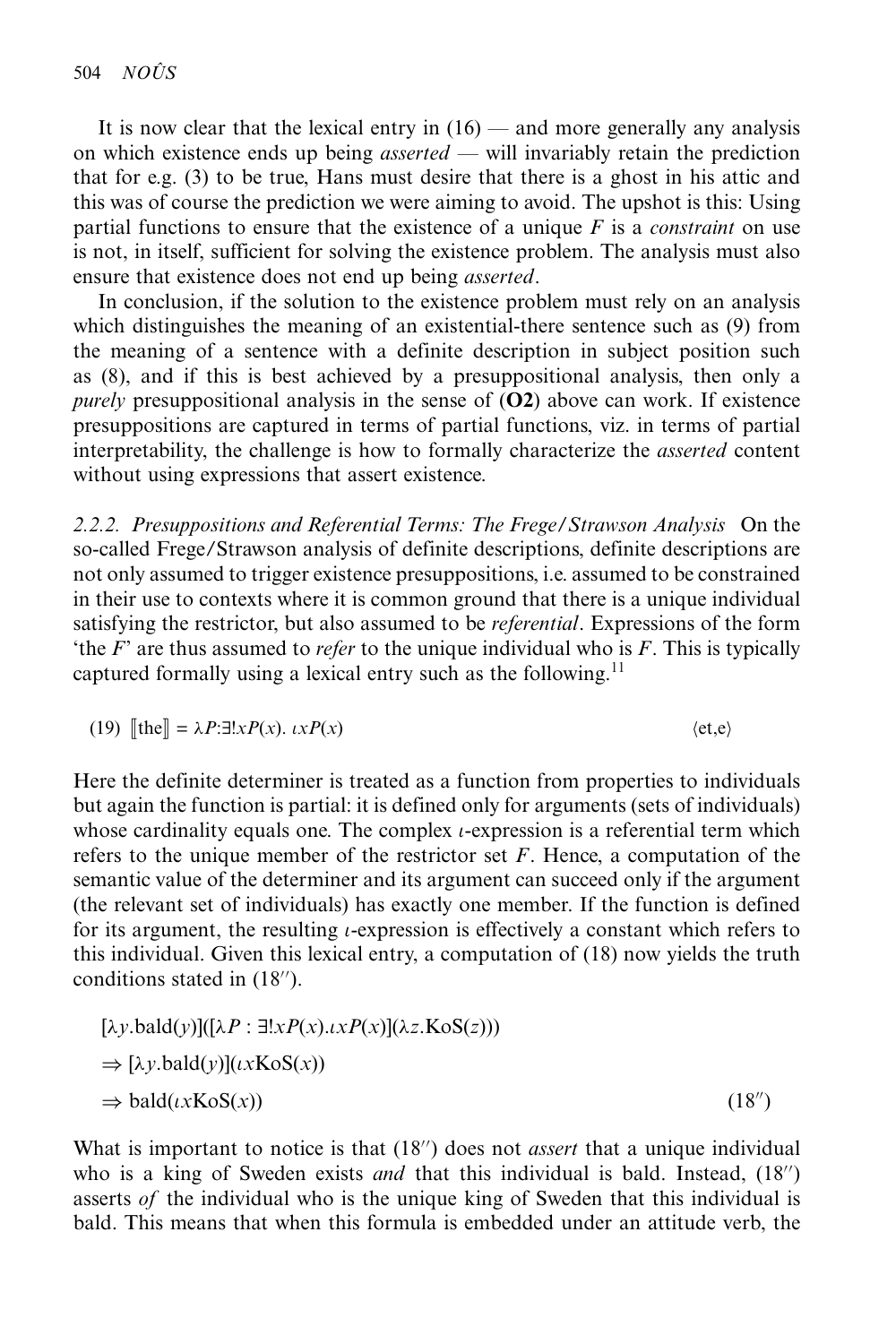It is now clear that the lexical entry in  $(16)$  — and more generally any analysis on which existence ends up being *asserted* — will invariably retain the prediction that for e.g. (3) to be true, Hans must desire that there is a ghost in his attic and this was of course the prediction we were aiming to avoid. The upshot is this: Using partial functions to ensure that the existence of a unique *F* is a *constraint* on use is not, in itself, sufficient for solving the existence problem. The analysis must also ensure that existence does not end up being *asserted*.

In conclusion, if the solution to the existence problem must rely on an analysis which distinguishes the meaning of an existential-there sentence such as (9) from the meaning of a sentence with a definite description in subject position such as (8), and if this is best achieved by a presuppositional analysis, then only a *purely* presuppositional analysis in the sense of (**O2**) above can work. If existence presuppositions are captured in terms of partial functions, viz. in terms of partial interpretability, the challenge is how to formally characterize the *asserted* content without using expressions that assert existence.

*2.2.2. Presuppositions and Referential Terms: The Frege/Strawson Analysis* On the so-called Frege/Strawson analysis of definite descriptions, definite descriptions are not only assumed to trigger existence presuppositions, i.e. assumed to be constrained in their use to contexts where it is common ground that there is a unique individual satisfying the restrictor, but also assumed to be *referential*. Expressions of the form 'the *F*' are thus assumed to *refer* to the unique individual who is *F*. This is typically captured formally using a lexical entry such as the following.<sup>11</sup>

(19) 
$$
\llbracket \text{the} \rrbracket = \lambda P : \exists! x P(x). \, \iota x P(x) \tag{et,e}
$$

Here the definite determiner is treated as a function from properties to individuals but again the function is partial: it is defined only for arguments (sets of individuals) whose cardinality equals one. The complex  $\iota$ -expression is a referential term which refers to the unique member of the restrictor set *F*. Hence, a computation of the semantic value of the determiner and its argument can succeed only if the argument (the relevant set of individuals) has exactly one member. If the function is defined for its argument, the resulting ι-expression is effectively a constant which refers to this individual. Given this lexical entry, a computation of (18) now yields the truth conditions stated in  $(18'')$ .

$$
[\lambda y.\text{bad}(y)]([\lambda P : \exists!xP(x).xP(x)](\lambda z.\text{KoS}(z)))
$$
  
\n
$$
\Rightarrow [\lambda y.\text{bad}(y)](x\text{KoS}(x))
$$
  
\n
$$
\Rightarrow \text{bad}(x\text{KoS}(x))
$$
 (18")

What is important to notice is that  $(18<sup>′</sup>)$  does not *assert* that a unique individual who is a king of Sweden exists *and* that this individual is bald. Instead,  $(18'')$ asserts *of* the individual who is the unique king of Sweden that this individual is bald. This means that when this formula is embedded under an attitude verb, the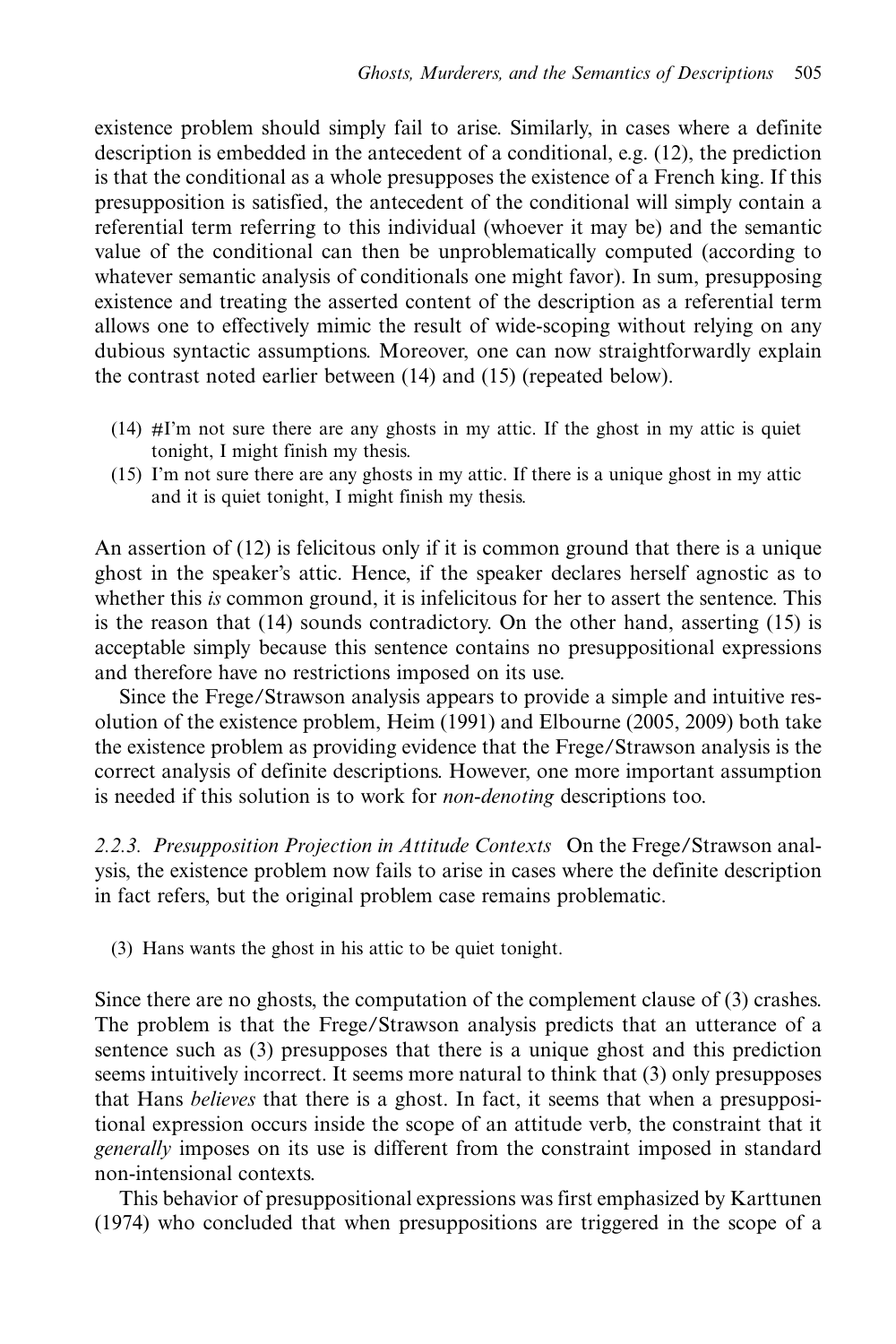existence problem should simply fail to arise. Similarly, in cases where a definite description is embedded in the antecedent of a conditional, e.g. (12), the prediction is that the conditional as a whole presupposes the existence of a French king. If this presupposition is satisfied, the antecedent of the conditional will simply contain a referential term referring to this individual (whoever it may be) and the semantic value of the conditional can then be unproblematically computed (according to whatever semantic analysis of conditionals one might favor). In sum, presupposing existence and treating the asserted content of the description as a referential term allows one to effectively mimic the result of wide-scoping without relying on any dubious syntactic assumptions. Moreover, one can now straightforwardly explain the contrast noted earlier between (14) and (15) (repeated below).

- (14) #I'm not sure there are any ghosts in my attic. If the ghost in my attic is quiet tonight, I might finish my thesis.
- (15) I'm not sure there are any ghosts in my attic. If there is a unique ghost in my attic and it is quiet tonight, I might finish my thesis.

An assertion of (12) is felicitous only if it is common ground that there is a unique ghost in the speaker's attic. Hence, if the speaker declares herself agnostic as to whether this *is* common ground, it is infelicitous for her to assert the sentence. This is the reason that  $(14)$  sounds contradictory. On the other hand, asserting  $(15)$  is acceptable simply because this sentence contains no presuppositional expressions and therefore have no restrictions imposed on its use.

Since the Frege/Strawson analysis appears to provide a simple and intuitive resolution of the existence problem, Heim (1991) and Elbourne (2005, 2009) both take the existence problem as providing evidence that the Frege/Strawson analysis is the correct analysis of definite descriptions. However, one more important assumption is needed if this solution is to work for *non-denoting* descriptions too.

*2.2.3. Presupposition Projection in Attitude Contexts* On the Frege/Strawson analysis, the existence problem now fails to arise in cases where the definite description in fact refers, but the original problem case remains problematic.

(3) Hans wants the ghost in his attic to be quiet tonight.

Since there are no ghosts, the computation of the complement clause of (3) crashes. The problem is that the Frege/Strawson analysis predicts that an utterance of a sentence such as (3) presupposes that there is a unique ghost and this prediction seems intuitively incorrect. It seems more natural to think that (3) only presupposes that Hans *believes* that there is a ghost. In fact, it seems that when a presuppositional expression occurs inside the scope of an attitude verb, the constraint that it *generally* imposes on its use is different from the constraint imposed in standard non-intensional contexts.

This behavior of presuppositional expressions was first emphasized by Karttunen (1974) who concluded that when presuppositions are triggered in the scope of a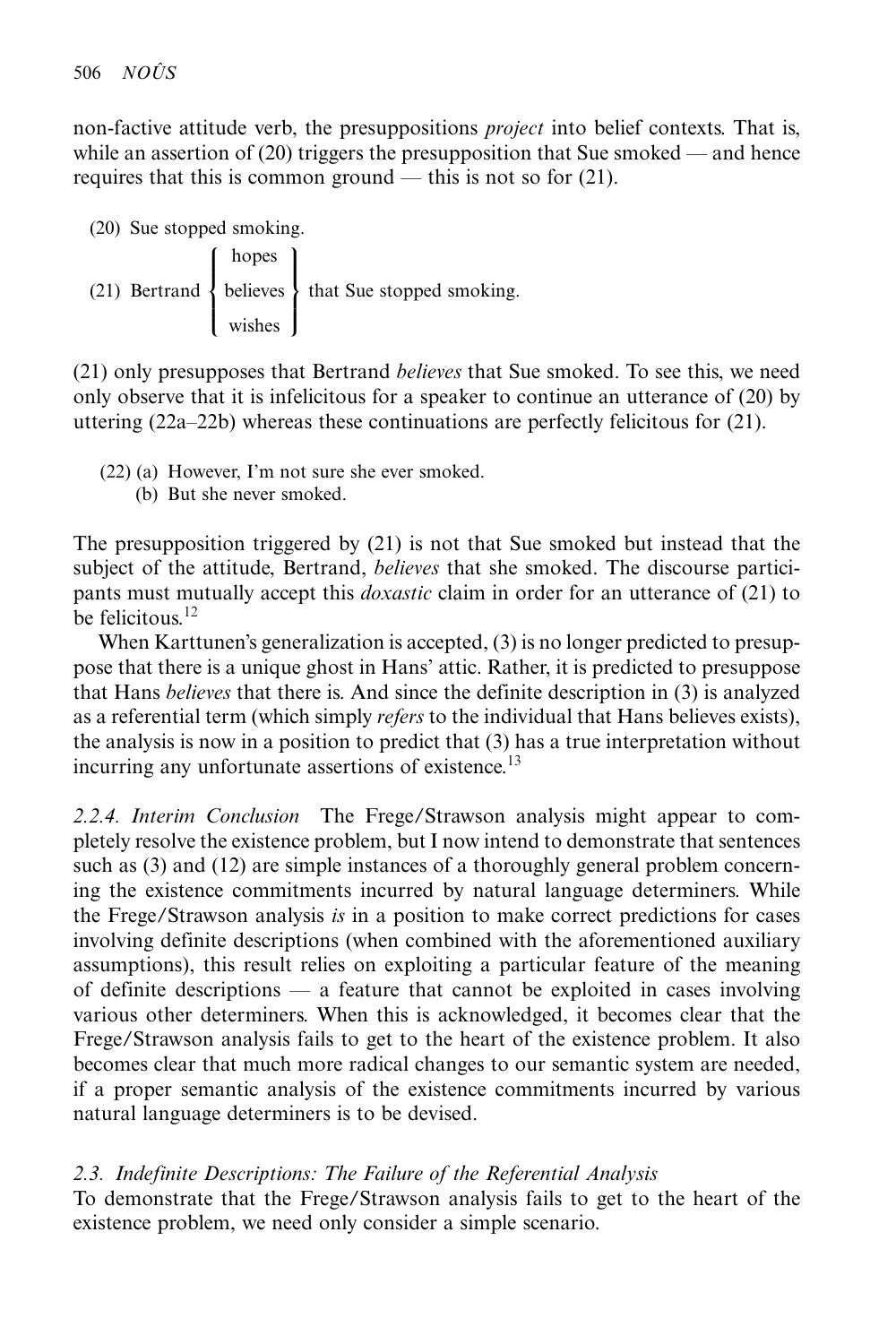non-factive attitude verb, the presuppositions *project* into belief contexts. That is, while an assertion of (20) triggers the presupposition that Sue smoked — and hence requires that this is common ground — this is not so for (21).

(20) Sue stopped smoking.

(21) Bertrand  $\mathbf{r}$  $\int$  $\overline{\mathfrak{L}}$ hopes believes wishes  $\mathbf l$  $\overline{\mathsf{I}}$  $\int$ that Sue stopped smoking.

(21) only presupposes that Bertrand *believes* that Sue smoked. To see this, we need only observe that it is infelicitous for a speaker to continue an utterance of (20) by uttering  $(22a-22b)$  whereas these continuations are perfectly felicitous for  $(21)$ .

(22) (a) However, I'm not sure she ever smoked.

(b) But she never smoked.

The presupposition triggered by (21) is not that Sue smoked but instead that the subject of the attitude, Bertrand, *believes* that she smoked. The discourse participants must mutually accept this *doxastic* claim in order for an utterance of (21) to be felicitous.<sup>12</sup>

When Karttunen's generalization is accepted, (3) is no longer predicted to presuppose that there is a unique ghost in Hans' attic. Rather, it is predicted to presuppose that Hans *believes* that there is. And since the definite description in (3) is analyzed as a referential term (which simply *refers* to the individual that Hans believes exists), the analysis is now in a position to predict that (3) has a true interpretation without incurring any unfortunate assertions of existence.<sup>13</sup>

*2.2.4. Interim Conclusion* The Frege/Strawson analysis might appear to completely resolve the existence problem, but I now intend to demonstrate that sentences such as (3) and (12) are simple instances of a thoroughly general problem concerning the existence commitments incurred by natural language determiners. While the Frege/Strawson analysis *is* in a position to make correct predictions for cases involving definite descriptions (when combined with the aforementioned auxiliary assumptions), this result relies on exploiting a particular feature of the meaning of definite descriptions — a feature that cannot be exploited in cases involving various other determiners. When this is acknowledged, it becomes clear that the Frege/Strawson analysis fails to get to the heart of the existence problem. It also becomes clear that much more radical changes to our semantic system are needed, if a proper semantic analysis of the existence commitments incurred by various natural language determiners is to be devised.

### *2.3. Indefinite Descriptions: The Failure of the Referential Analysis*

To demonstrate that the Frege/Strawson analysis fails to get to the heart of the existence problem, we need only consider a simple scenario.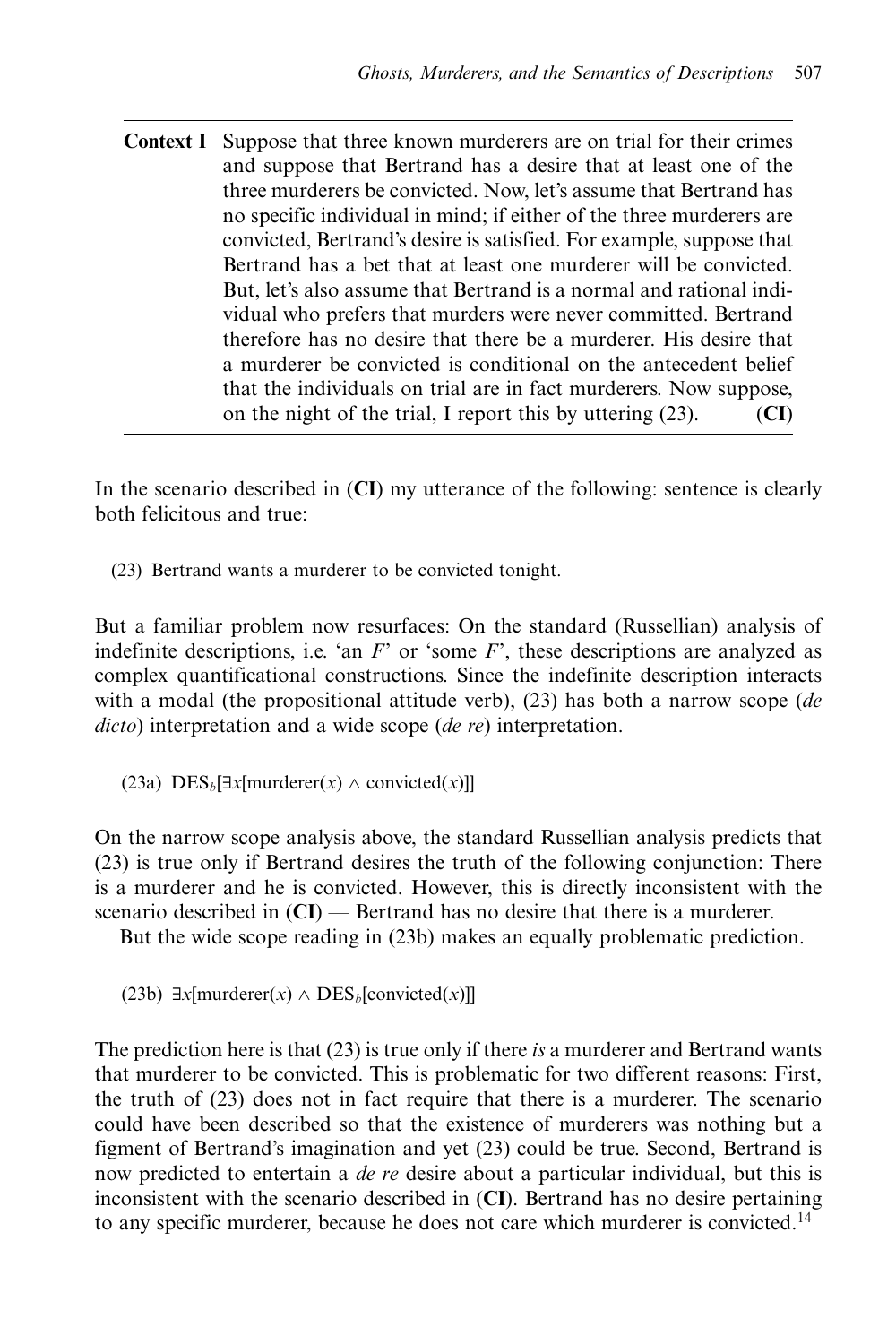**Context I** Suppose that three known murderers are on trial for their crimes and suppose that Bertrand has a desire that at least one of the three murderers be convicted. Now, let's assume that Bertrand has no specific individual in mind; if either of the three murderers are convicted, Bertrand's desire is satisfied. For example, suppose that Bertrand has a bet that at least one murderer will be convicted. But, let's also assume that Bertrand is a normal and rational individual who prefers that murders were never committed. Bertrand therefore has no desire that there be a murderer. His desire that a murderer be convicted is conditional on the antecedent belief that the individuals on trial are in fact murderers. Now suppose, on the night of the trial, I report this by uttering (23). (**CI**)

In the scenario described in (**CI**) my utterance of the following: sentence is clearly both felicitous and true:

(23) Bertrand wants a murderer to be convicted tonight.

But a familiar problem now resurfaces: On the standard (Russellian) analysis of indefinite descriptions, i.e. 'an *F*' or 'some *F*', these descriptions are analyzed as complex quantificational constructions. Since the indefinite description interacts with a modal (the propositional attitude verb), (23) has both a narrow scope (*de dicto*) interpretation and a wide scope (*de re*) interpretation.

(23a) DES<sub>*b*</sub>[ $\exists x$ [murderer(*x*)  $\land$  convicted(*x*)]]

On the narrow scope analysis above, the standard Russellian analysis predicts that (23) is true only if Bertrand desires the truth of the following conjunction: There is a murderer and he is convicted. However, this is directly inconsistent with the scenario described in (**CI**) — Bertrand has no desire that there is a murderer.

But the wide scope reading in (23b) makes an equally problematic prediction.

(23b)  $∃x[murderer(x) ∧ DES<sub>b</sub>[convicted(x)]]$ 

The prediction here is that (23) is true only if there *is* a murderer and Bertrand wants that murderer to be convicted. This is problematic for two different reasons: First, the truth of (23) does not in fact require that there is a murderer. The scenario could have been described so that the existence of murderers was nothing but a figment of Bertrand's imagination and yet (23) could be true. Second, Bertrand is now predicted to entertain a *de re* desire about a particular individual, but this is inconsistent with the scenario described in (**CI**). Bertrand has no desire pertaining to any specific murderer, because he does not care which murderer is convicted.<sup>14</sup>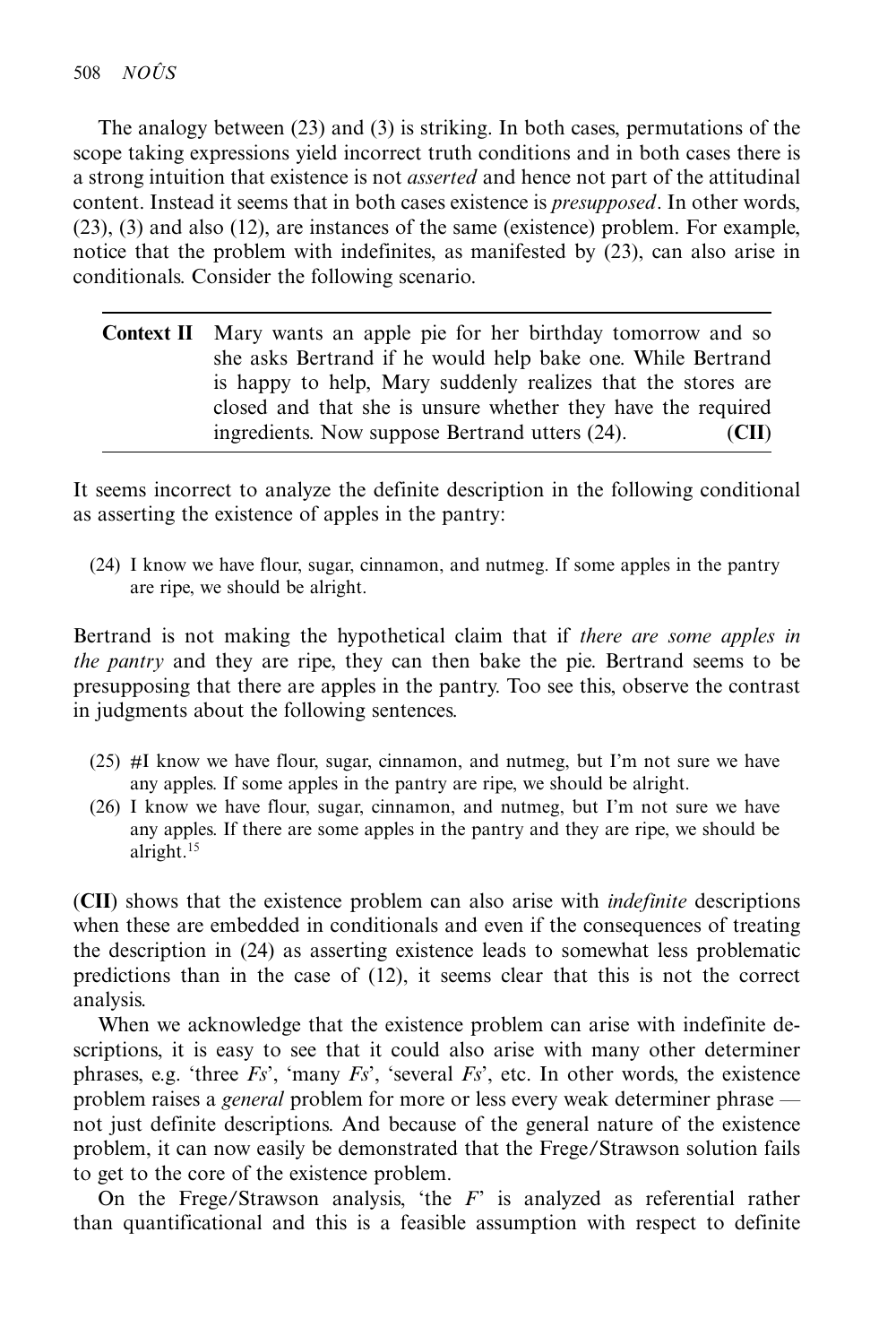The analogy between (23) and (3) is striking. In both cases, permutations of the scope taking expressions yield incorrect truth conditions and in both cases there is a strong intuition that existence is not *asserted* and hence not part of the attitudinal content. Instead it seems that in both cases existence is *presupposed*. In other words, (23), (3) and also (12), are instances of the same (existence) problem. For example, notice that the problem with indefinites, as manifested by (23), can also arise in conditionals. Consider the following scenario.

**Context II** Mary wants an apple pie for her birthday tomorrow and so she asks Bertrand if he would help bake one. While Bertrand is happy to help, Mary suddenly realizes that the stores are closed and that she is unsure whether they have the required ingredients. Now suppose Bertrand utters (24). (**CII**)

It seems incorrect to analyze the definite description in the following conditional as asserting the existence of apples in the pantry:

(24) I know we have flour, sugar, cinnamon, and nutmeg. If some apples in the pantry are ripe, we should be alright.

Bertrand is not making the hypothetical claim that if *there are some apples in the pantry* and they are ripe, they can then bake the pie. Bertrand seems to be presupposing that there are apples in the pantry. Too see this, observe the contrast in judgments about the following sentences.

- (25) #I know we have flour, sugar, cinnamon, and nutmeg, but I'm not sure we have any apples. If some apples in the pantry are ripe, we should be alright.
- (26) I know we have flour, sugar, cinnamon, and nutmeg, but I'm not sure we have any apples. If there are some apples in the pantry and they are ripe, we should be alright.15

(**CII**) shows that the existence problem can also arise with *indefinite* descriptions when these are embedded in conditionals and even if the consequences of treating the description in (24) as asserting existence leads to somewhat less problematic predictions than in the case of (12), it seems clear that this is not the correct analysis.

When we acknowledge that the existence problem can arise with indefinite descriptions, it is easy to see that it could also arise with many other determiner phrases, e.g. 'three *Fs*', 'many *Fs*', 'several *Fs*', etc. In other words, the existence problem raises a *general* problem for more or less every weak determiner phrase not just definite descriptions. And because of the general nature of the existence problem, it can now easily be demonstrated that the Frege/Strawson solution fails to get to the core of the existence problem.

On the Frege/Strawson analysis, 'the *F*' is analyzed as referential rather than quantificational and this is a feasible assumption with respect to definite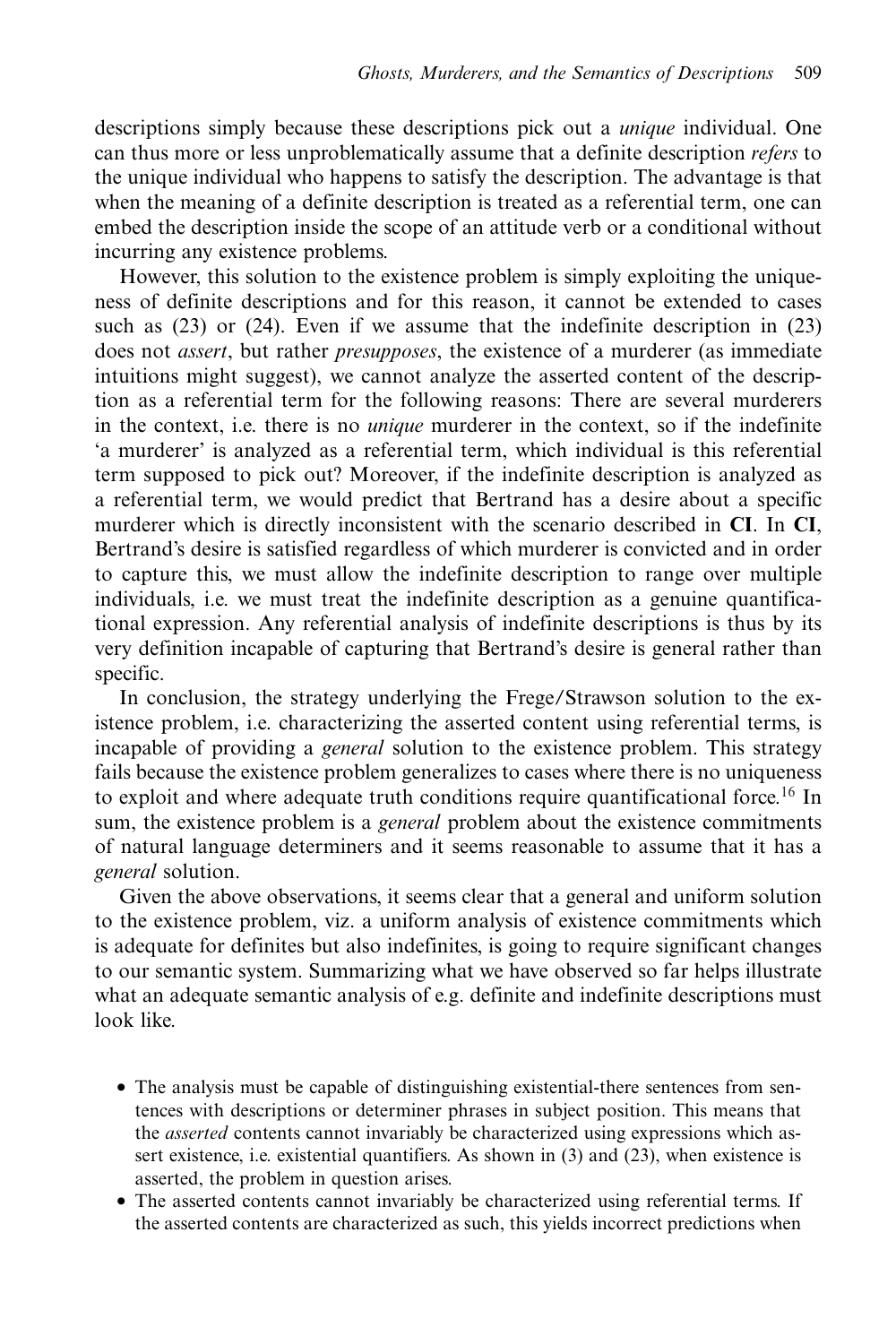descriptions simply because these descriptions pick out a *unique* individual. One can thus more or less unproblematically assume that a definite description *refers* to the unique individual who happens to satisfy the description. The advantage is that when the meaning of a definite description is treated as a referential term, one can embed the description inside the scope of an attitude verb or a conditional without incurring any existence problems.

However, this solution to the existence problem is simply exploiting the uniqueness of definite descriptions and for this reason, it cannot be extended to cases such as (23) or (24). Even if we assume that the indefinite description in (23) does not *assert*, but rather *presupposes*, the existence of a murderer (as immediate intuitions might suggest), we cannot analyze the asserted content of the description as a referential term for the following reasons: There are several murderers in the context, i.e. there is no *unique* murderer in the context, so if the indefinite 'a murderer' is analyzed as a referential term, which individual is this referential term supposed to pick out? Moreover, if the indefinite description is analyzed as a referential term, we would predict that Bertrand has a desire about a specific murderer which is directly inconsistent with the scenario described in **CI**. In **CI**, Bertrand's desire is satisfied regardless of which murderer is convicted and in order to capture this, we must allow the indefinite description to range over multiple individuals, i.e. we must treat the indefinite description as a genuine quantificational expression. Any referential analysis of indefinite descriptions is thus by its very definition incapable of capturing that Bertrand's desire is general rather than specific.

In conclusion, the strategy underlying the Frege/Strawson solution to the existence problem, i.e. characterizing the asserted content using referential terms, is incapable of providing a *general* solution to the existence problem. This strategy fails because the existence problem generalizes to cases where there is no uniqueness to exploit and where adequate truth conditions require quantificational force.<sup>16</sup> In sum, the existence problem is a *general* problem about the existence commitments of natural language determiners and it seems reasonable to assume that it has a *general* solution.

Given the above observations, it seems clear that a general and uniform solution to the existence problem, viz. a uniform analysis of existence commitments which is adequate for definites but also indefinites, is going to require significant changes to our semantic system. Summarizing what we have observed so far helps illustrate what an adequate semantic analysis of e.g. definite and indefinite descriptions must look like.

- The analysis must be capable of distinguishing existential-there sentences from sentences with descriptions or determiner phrases in subject position. This means that the *asserted* contents cannot invariably be characterized using expressions which assert existence, i.e. existential quantifiers. As shown in (3) and (23), when existence is asserted, the problem in question arises.
- The asserted contents cannot invariably be characterized using referential terms. If the asserted contents are characterized as such, this yields incorrect predictions when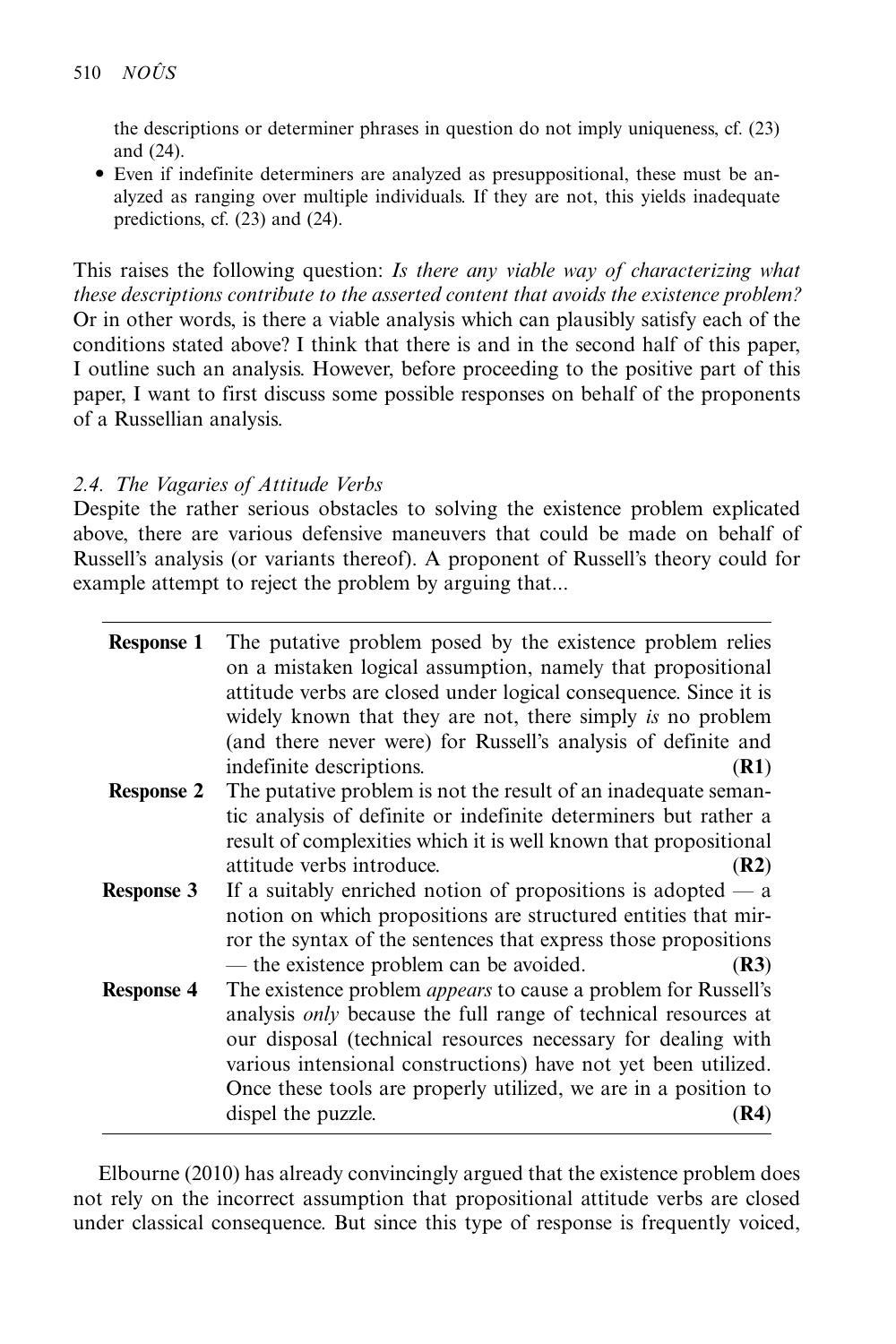the descriptions or determiner phrases in question do not imply uniqueness, cf. (23) and (24).

• Even if indefinite determiners are analyzed as presuppositional, these must be analyzed as ranging over multiple individuals. If they are not, this yields inadequate predictions, cf. (23) and (24).

This raises the following question: *Is there any viable way of characterizing what these descriptions contribute to the asserted content that avoids the existence problem?* Or in other words, is there a viable analysis which can plausibly satisfy each of the conditions stated above? I think that there is and in the second half of this paper, I outline such an analysis. However, before proceeding to the positive part of this paper, I want to first discuss some possible responses on behalf of the proponents of a Russellian analysis.

### *2.4. The Vagaries of Attitude Verbs*

Despite the rather serious obstacles to solving the existence problem explicated above, there are various defensive maneuvers that could be made on behalf of Russell's analysis (or variants thereof). A proponent of Russell's theory could for example attempt to reject the problem by arguing that...

| <b>Response 1</b> | The putative problem posed by the existence problem relies<br>on a mistaken logical assumption, namely that propositional<br>attitude verbs are closed under logical consequence. Since it is<br>widely known that they are not, there simply is no problem<br>(and there never were) for Russell's analysis of definite and<br>indefinite descriptions.<br>(R1)                  |  |
|-------------------|-----------------------------------------------------------------------------------------------------------------------------------------------------------------------------------------------------------------------------------------------------------------------------------------------------------------------------------------------------------------------------------|--|
| <b>Response 2</b> | The putative problem is not the result of an inadequate seman-                                                                                                                                                                                                                                                                                                                    |  |
|                   | tic analysis of definite or indefinite determiners but rather a<br>result of complexities which it is well known that propositional<br>attitude verbs introduce.<br>(R2)                                                                                                                                                                                                          |  |
| <b>Response 3</b> | If a suitably enriched notion of propositions is adopted $-$ a<br>notion on which propositions are structured entities that mir-<br>ror the syntax of the sentences that express those propositions<br>(R3)<br>— the existence problem can be avoided.                                                                                                                            |  |
| Response 4        | The existence problem <i>appears</i> to cause a problem for Russell's<br>analysis <i>only</i> because the full range of technical resources at<br>our disposal (technical resources necessary for dealing with<br>various intensional constructions) have not yet been utilized.<br>Once these tools are properly utilized, we are in a position to<br>dispel the puzzle.<br>(R4) |  |

Elbourne (2010) has already convincingly argued that the existence problem does not rely on the incorrect assumption that propositional attitude verbs are closed under classical consequence. But since this type of response is frequently voiced,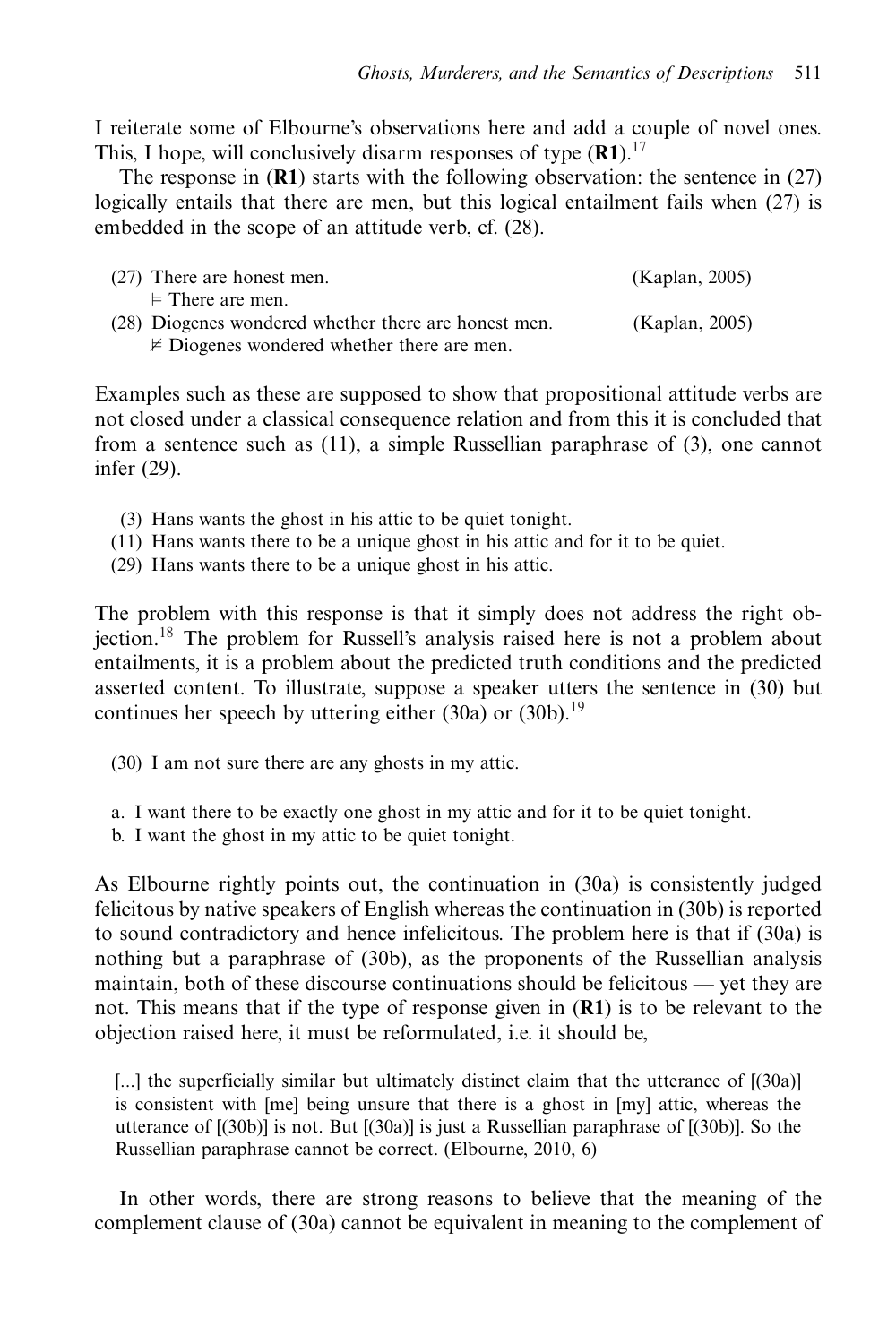I reiterate some of Elbourne's observations here and add a couple of novel ones. This, I hope, will conclusively disarm responses of type (**R1**).17

The response in (**R1**) starts with the following observation: the sentence in (27) logically entails that there are men, but this logical entailment fails when (27) is embedded in the scope of an attitude verb, cf. (28).

| $(27)$ There are honest men.                         | (Kaplan, 2005) |
|------------------------------------------------------|----------------|
| $\models$ There are men.                             |                |
| (28) Diogenes wondered whether there are honest men. | (Kaplan, 2005) |
| $\nvdash$ Diogenes wondered whether there are men.   |                |

Examples such as these are supposed to show that propositional attitude verbs are not closed under a classical consequence relation and from this it is concluded that from a sentence such as (11), a simple Russellian paraphrase of (3), one cannot infer (29).

- (3) Hans wants the ghost in his attic to be quiet tonight.
- (11) Hans wants there to be a unique ghost in his attic and for it to be quiet.
- (29) Hans wants there to be a unique ghost in his attic.

The problem with this response is that it simply does not address the right objection.18 The problem for Russell's analysis raised here is not a problem about entailments, it is a problem about the predicted truth conditions and the predicted asserted content. To illustrate, suppose a speaker utters the sentence in (30) but continues her speech by uttering either (30a) or (30b).<sup>19</sup>

- (30) I am not sure there are any ghosts in my attic.
- a. I want there to be exactly one ghost in my attic and for it to be quiet tonight.
- b. I want the ghost in my attic to be quiet tonight.

As Elbourne rightly points out, the continuation in (30a) is consistently judged felicitous by native speakers of English whereas the continuation in (30b) is reported to sound contradictory and hence infelicitous. The problem here is that if (30a) is nothing but a paraphrase of (30b), as the proponents of the Russellian analysis maintain, both of these discourse continuations should be felicitous — yet they are not. This means that if the type of response given in (**R1**) is to be relevant to the objection raised here, it must be reformulated, i.e. it should be,

[...] the superficially similar but ultimately distinct claim that the utterance of  $[(30a)]$ is consistent with [me] being unsure that there is a ghost in [my] attic, whereas the utterance of [(30b)] is not. But [(30a)] is just a Russellian paraphrase of [(30b)]. So the Russellian paraphrase cannot be correct. (Elbourne, 2010, 6)

In other words, there are strong reasons to believe that the meaning of the complement clause of (30a) cannot be equivalent in meaning to the complement of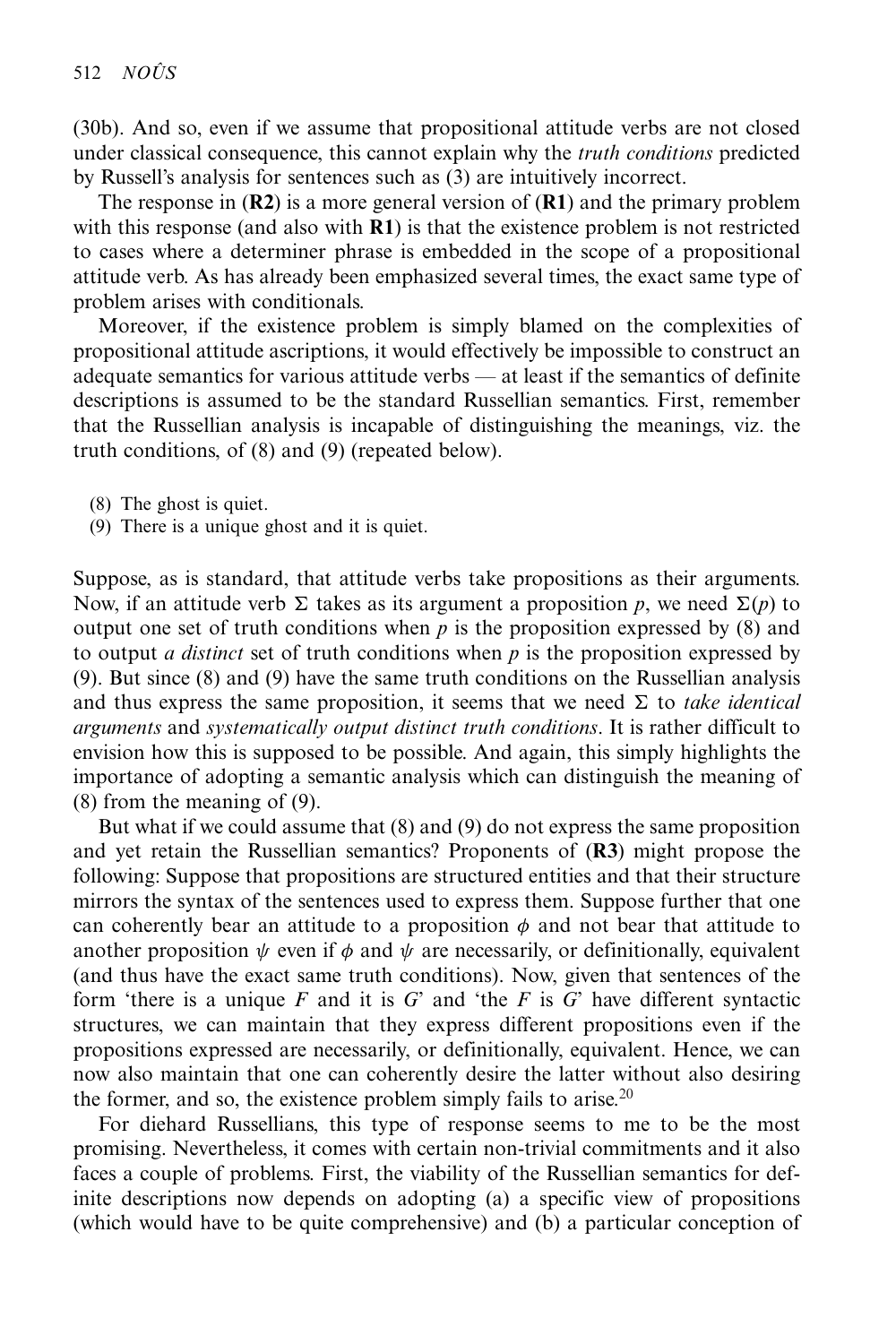(30b). And so, even if we assume that propositional attitude verbs are not closed under classical consequence, this cannot explain why the *truth conditions* predicted by Russell's analysis for sentences such as (3) are intuitively incorrect.

The response in (**R2**) is a more general version of (**R1**) and the primary problem with this response (and also with **R1**) is that the existence problem is not restricted to cases where a determiner phrase is embedded in the scope of a propositional attitude verb. As has already been emphasized several times, the exact same type of problem arises with conditionals.

Moreover, if the existence problem is simply blamed on the complexities of propositional attitude ascriptions, it would effectively be impossible to construct an adequate semantics for various attitude verbs — at least if the semantics of definite descriptions is assumed to be the standard Russellian semantics. First, remember that the Russellian analysis is incapable of distinguishing the meanings, viz. the truth conditions, of (8) and (9) (repeated below).

- (8) The ghost is quiet.
- (9) There is a unique ghost and it is quiet.

Suppose, as is standard, that attitude verbs take propositions as their arguments. Now, if an attitude verb  $\Sigma$  takes as its argument a proposition p, we need  $\Sigma(p)$  to output one set of truth conditions when  $p$  is the proposition expressed by  $(8)$  and to output *a distinct* set of truth conditions when *p* is the proposition expressed by (9). But since (8) and (9) have the same truth conditions on the Russellian analysis and thus express the same proposition, it seems that we need  $\Sigma$  to *take identical arguments* and *systematically output distinct truth conditions*. It is rather difficult to envision how this is supposed to be possible. And again, this simply highlights the importance of adopting a semantic analysis which can distinguish the meaning of (8) from the meaning of (9).

But what if we could assume that (8) and (9) do not express the same proposition and yet retain the Russellian semantics? Proponents of (**R3**) might propose the following: Suppose that propositions are structured entities and that their structure mirrors the syntax of the sentences used to express them. Suppose further that one can coherently bear an attitude to a proposition  $\phi$  and not bear that attitude to another proposition  $\psi$  even if  $\phi$  and  $\psi$  are necessarily, or definitionally, equivalent (and thus have the exact same truth conditions). Now, given that sentences of the form 'there is a unique *F* and it is *G*' and 'the *F* is *G*' have different syntactic structures, we can maintain that they express different propositions even if the propositions expressed are necessarily, or definitionally, equivalent. Hence, we can now also maintain that one can coherently desire the latter without also desiring the former, and so, the existence problem simply fails to arise.<sup>20</sup>

For diehard Russellians, this type of response seems to me to be the most promising. Nevertheless, it comes with certain non-trivial commitments and it also faces a couple of problems. First, the viability of the Russellian semantics for definite descriptions now depends on adopting (a) a specific view of propositions (which would have to be quite comprehensive) and (b) a particular conception of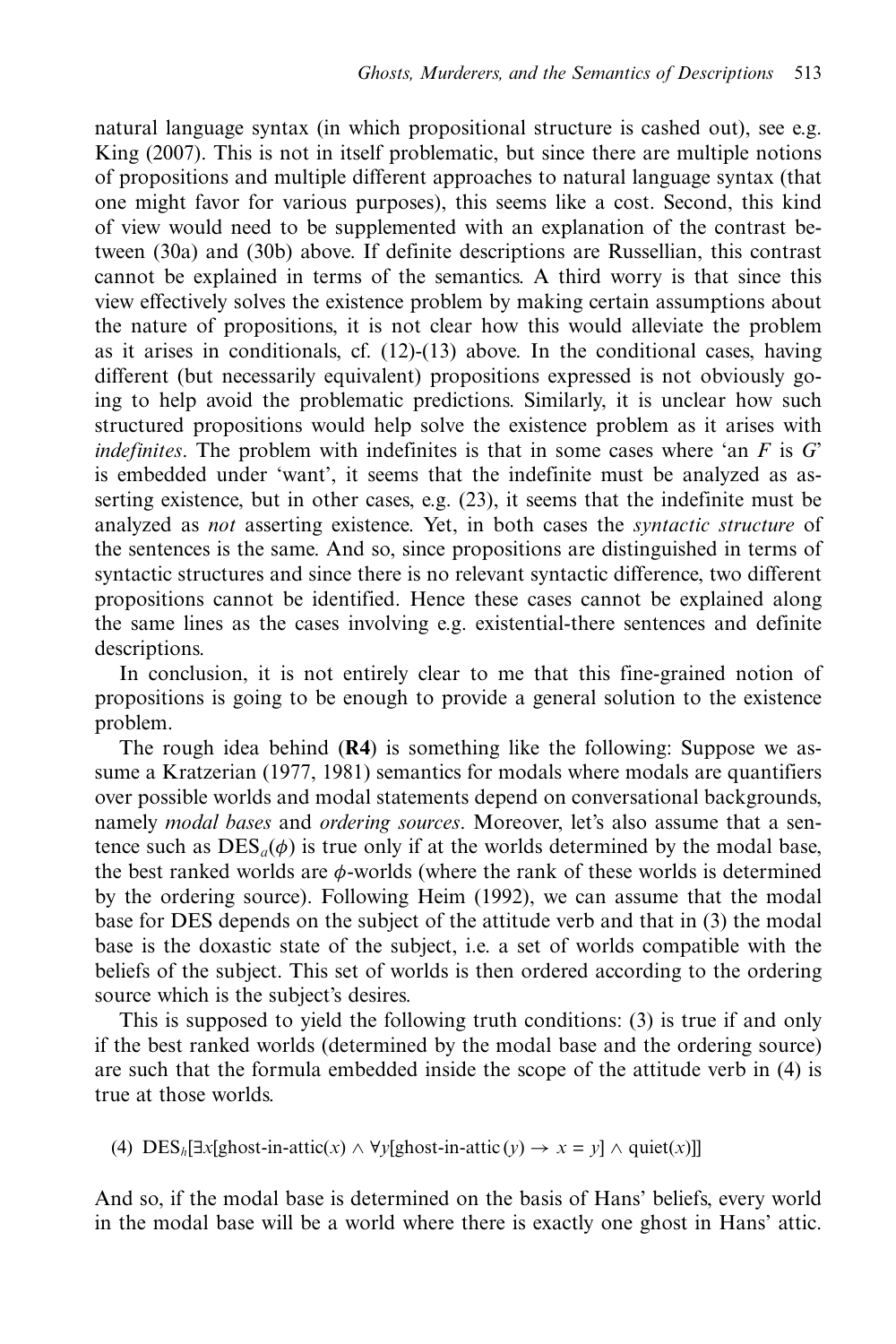natural language syntax (in which propositional structure is cashed out), see e.g. King (2007). This is not in itself problematic, but since there are multiple notions of propositions and multiple different approaches to natural language syntax (that one might favor for various purposes), this seems like a cost. Second, this kind of view would need to be supplemented with an explanation of the contrast between (30a) and (30b) above. If definite descriptions are Russellian, this contrast cannot be explained in terms of the semantics. A third worry is that since this view effectively solves the existence problem by making certain assumptions about the nature of propositions, it is not clear how this would alleviate the problem as it arises in conditionals, cf. (12)-(13) above. In the conditional cases, having different (but necessarily equivalent) propositions expressed is not obviously going to help avoid the problematic predictions. Similarly, it is unclear how such structured propositions would help solve the existence problem as it arises with *indefinites*. The problem with indefinites is that in some cases where 'an *F* is *G*' is embedded under 'want', it seems that the indefinite must be analyzed as asserting existence, but in other cases, e.g. (23), it seems that the indefinite must be analyzed as *not* asserting existence. Yet, in both cases the *syntactic structure* of the sentences is the same. And so, since propositions are distinguished in terms of syntactic structures and since there is no relevant syntactic difference, two different propositions cannot be identified. Hence these cases cannot be explained along the same lines as the cases involving e.g. existential-there sentences and definite descriptions.

In conclusion, it is not entirely clear to me that this fine-grained notion of propositions is going to be enough to provide a general solution to the existence problem.

The rough idea behind (**R4**) is something like the following: Suppose we assume a Kratzerian (1977, 1981) semantics for modals where modals are quantifiers over possible worlds and modal statements depend on conversational backgrounds, namely *modal bases* and *ordering sources*. Moreover, let's also assume that a sentence such as  $DES_a(\phi)$  is true only if at the worlds determined by the modal base, the best ranked worlds are  $\phi$ -worlds (where the rank of these worlds is determined by the ordering source). Following Heim (1992), we can assume that the modal base for DES depends on the subject of the attitude verb and that in (3) the modal base is the doxastic state of the subject, i.e. a set of worlds compatible with the beliefs of the subject. This set of worlds is then ordered according to the ordering source which is the subject's desires.

This is supposed to yield the following truth conditions: (3) is true if and only if the best ranked worlds (determined by the modal base and the ordering source) are such that the formula embedded inside the scope of the attitude verb in (4) is true at those worlds.

(4) DES*h*[∃*x*[ghost-in-attic(*x*) ∧ ∀*y*[ghost-in-attic (*y*) → *x* = *y*] ∧ quiet(*x*)]]

And so, if the modal base is determined on the basis of Hans' beliefs, every world in the modal base will be a world where there is exactly one ghost in Hans' attic.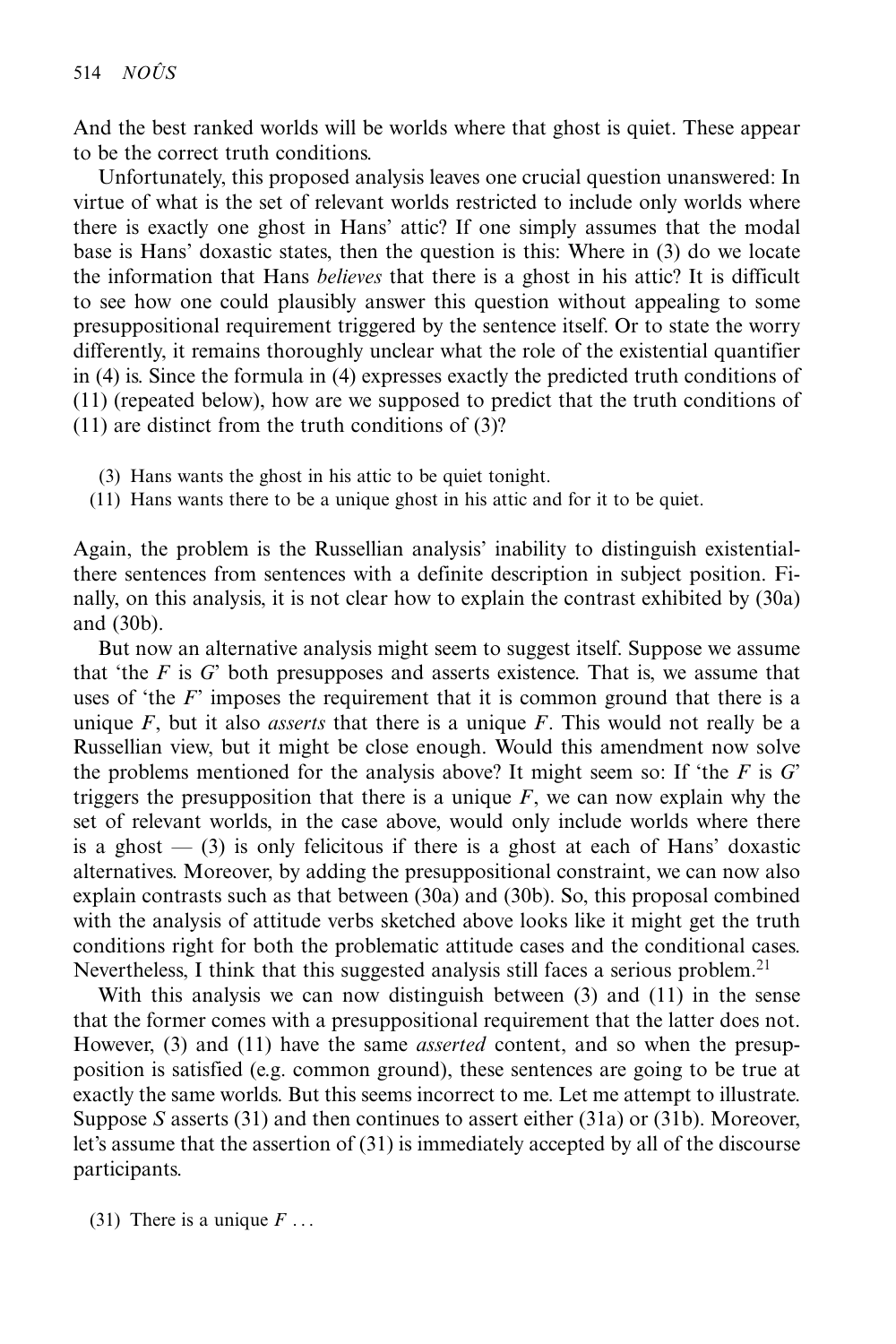And the best ranked worlds will be worlds where that ghost is quiet. These appear to be the correct truth conditions.

Unfortunately, this proposed analysis leaves one crucial question unanswered: In virtue of what is the set of relevant worlds restricted to include only worlds where there is exactly one ghost in Hans' attic? If one simply assumes that the modal base is Hans' doxastic states, then the question is this: Where in (3) do we locate the information that Hans *believes* that there is a ghost in his attic? It is difficult to see how one could plausibly answer this question without appealing to some presuppositional requirement triggered by the sentence itself. Or to state the worry differently, it remains thoroughly unclear what the role of the existential quantifier in (4) is. Since the formula in (4) expresses exactly the predicted truth conditions of (11) (repeated below), how are we supposed to predict that the truth conditions of (11) are distinct from the truth conditions of (3)?

- (3) Hans wants the ghost in his attic to be quiet tonight.
- (11) Hans wants there to be a unique ghost in his attic and for it to be quiet.

Again, the problem is the Russellian analysis' inability to distinguish existentialthere sentences from sentences with a definite description in subject position. Finally, on this analysis, it is not clear how to explain the contrast exhibited by (30a) and (30b).

But now an alternative analysis might seem to suggest itself. Suppose we assume that 'the *F* is *G*' both presupposes and asserts existence. That is, we assume that uses of 'the *F*' imposes the requirement that it is common ground that there is a unique  $F$ , but it also *asserts* that there is a unique  $F$ . This would not really be a Russellian view, but it might be close enough. Would this amendment now solve the problems mentioned for the analysis above? It might seem so: If 'the *F* is *G*' triggers the presupposition that there is a unique *F*, we can now explain why the set of relevant worlds, in the case above, would only include worlds where there is a ghost  $-$  (3) is only felicitous if there is a ghost at each of Hans' doxastic alternatives. Moreover, by adding the presuppositional constraint, we can now also explain contrasts such as that between (30a) and (30b). So, this proposal combined with the analysis of attitude verbs sketched above looks like it might get the truth conditions right for both the problematic attitude cases and the conditional cases. Nevertheless, I think that this suggested analysis still faces a serious problem.<sup>21</sup>

With this analysis we can now distinguish between (3) and (11) in the sense that the former comes with a presuppositional requirement that the latter does not. However, (3) and (11) have the same *asserted* content, and so when the presupposition is satisfied (e.g. common ground), these sentences are going to be true at exactly the same worlds. But this seems incorrect to me. Let me attempt to illustrate. Suppose *S* asserts (31) and then continues to assert either (31a) or (31b). Moreover, let's assume that the assertion of (31) is immediately accepted by all of the discourse participants.

<sup>(31)</sup> There is a unique  $F \dots$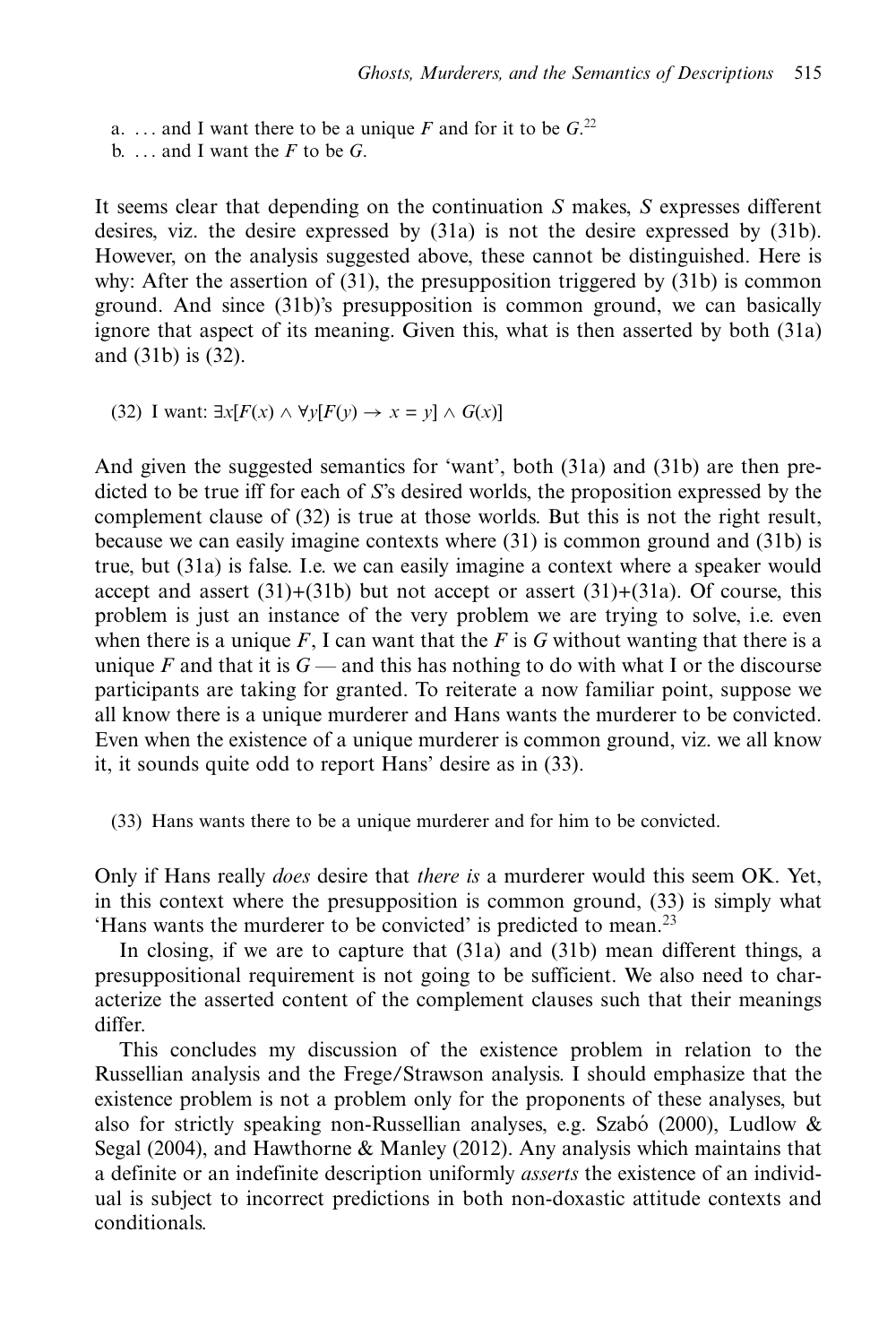- a. ... and I want there to be a unique  $F$  and for it to be  $G^{22}$
- b. ... and I want the *F* to be *G*.

It seems clear that depending on the continuation *S* makes, *S* expresses different desires, viz. the desire expressed by (31a) is not the desire expressed by (31b). However, on the analysis suggested above, these cannot be distinguished. Here is why: After the assertion of (31), the presupposition triggered by (31b) is common ground. And since (31b)'s presupposition is common ground, we can basically ignore that aspect of its meaning. Given this, what is then asserted by both (31a) and (31b) is (32).

(32) I want: 
$$
\exists x [F(x) \land \forall y [F(y) \rightarrow x = y] \land G(x)]
$$

And given the suggested semantics for 'want', both (31a) and (31b) are then predicted to be true iff for each of *S*'s desired worlds, the proposition expressed by the complement clause of (32) is true at those worlds. But this is not the right result, because we can easily imagine contexts where (31) is common ground and (31b) is true, but (31a) is false. I.e. we can easily imagine a context where a speaker would accept and assert  $(31)+(31b)$  but not accept or assert  $(31)+(31a)$ . Of course, this problem is just an instance of the very problem we are trying to solve, i.e. even when there is a unique  $F$ , I can want that the  $F$  is  $G$  without wanting that there is a unique  $F$  and that it is  $G$  — and this has nothing to do with what I or the discourse participants are taking for granted. To reiterate a now familiar point, suppose we all know there is a unique murderer and Hans wants the murderer to be convicted. Even when the existence of a unique murderer is common ground, viz. we all know it, it sounds quite odd to report Hans' desire as in (33).

(33) Hans wants there to be a unique murderer and for him to be convicted.

Only if Hans really *does* desire that *there is* a murderer would this seem OK. Yet, in this context where the presupposition is common ground, (33) is simply what 'Hans wants the murderer to be convicted' is predicted to mean.<sup>23</sup>

In closing, if we are to capture that (31a) and (31b) mean different things, a presuppositional requirement is not going to be sufficient. We also need to characterize the asserted content of the complement clauses such that their meanings differ.

This concludes my discussion of the existence problem in relation to the Russellian analysis and the Frege/Strawson analysis. I should emphasize that the existence problem is not a problem only for the proponents of these analyses, but also for strictly speaking non-Russellian analyses, e.g. Szabó (2000), Ludlow  $\&$ Segal (2004), and Hawthorne & Manley (2012). Any analysis which maintains that a definite or an indefinite description uniformly *asserts* the existence of an individual is subject to incorrect predictions in both non-doxastic attitude contexts and conditionals.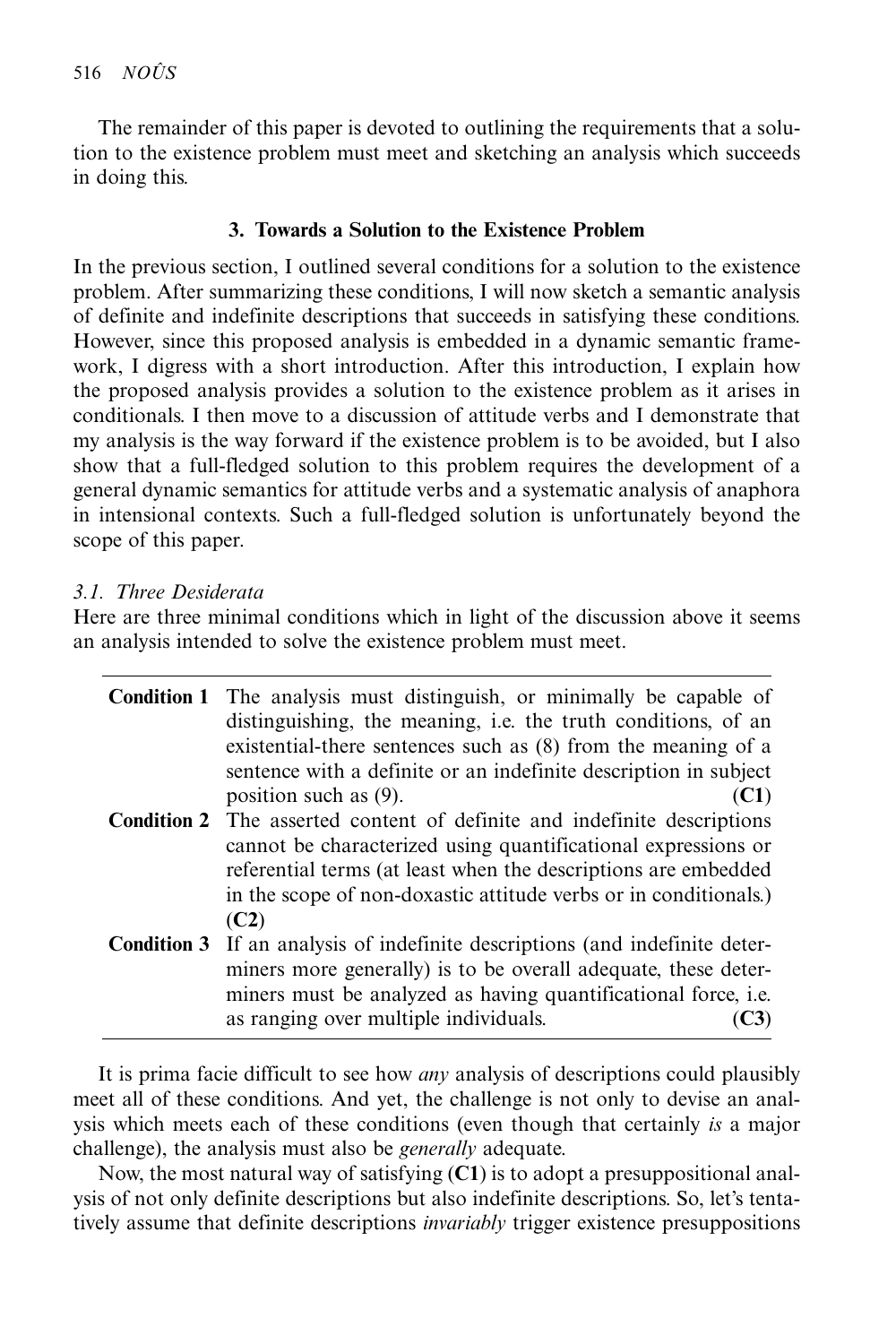The remainder of this paper is devoted to outlining the requirements that a solution to the existence problem must meet and sketching an analysis which succeeds in doing this.

### **3. Towards a Solution to the Existence Problem**

In the previous section, I outlined several conditions for a solution to the existence problem. After summarizing these conditions, I will now sketch a semantic analysis of definite and indefinite descriptions that succeeds in satisfying these conditions. However, since this proposed analysis is embedded in a dynamic semantic framework, I digress with a short introduction. After this introduction, I explain how the proposed analysis provides a solution to the existence problem as it arises in conditionals. I then move to a discussion of attitude verbs and I demonstrate that my analysis is the way forward if the existence problem is to be avoided, but I also show that a full-fledged solution to this problem requires the development of a general dynamic semantics for attitude verbs and a systematic analysis of anaphora in intensional contexts. Such a full-fledged solution is unfortunately beyond the scope of this paper.

### *3.1. Three Desiderata*

Here are three minimal conditions which in light of the discussion above it seems an analysis intended to solve the existence problem must meet.

| <b>Condition 1</b> | The analysis must distinguish, or minimally be capable of<br>distinguishing, the meaning, i.e. the truth conditions, of an<br>existential-there sentences such as (8) from the meaning of a |
|--------------------|---------------------------------------------------------------------------------------------------------------------------------------------------------------------------------------------|
|                    | sentence with a definite or an indefinite description in subject                                                                                                                            |
|                    | position such as (9).<br>(C1)                                                                                                                                                               |
|                    | <b>Condition 2</b> The asserted content of definite and indefinite descriptions                                                                                                             |
|                    | cannot be characterized using quantificational expressions or                                                                                                                               |
|                    | referential terms (at least when the descriptions are embedded                                                                                                                              |
|                    | in the scope of non-doxastic attitude verbs or in conditionals.)                                                                                                                            |
|                    | (C2)                                                                                                                                                                                        |
| <b>Condition 3</b> | If an analysis of indefinite descriptions (and indefinite deter-                                                                                                                            |
|                    | miners more generally) is to be overall adequate, these deter-                                                                                                                              |
|                    | miners must be analyzed as having quantificational force, i.e.                                                                                                                              |
|                    | as ranging over multiple individuals.                                                                                                                                                       |
|                    |                                                                                                                                                                                             |

It is prima facie difficult to see how *any* analysis of descriptions could plausibly meet all of these conditions. And yet, the challenge is not only to devise an analysis which meets each of these conditions (even though that certainly *is* a major challenge), the analysis must also be *generally* adequate.

Now, the most natural way of satisfying (**C1**) is to adopt a presuppositional analysis of not only definite descriptions but also indefinite descriptions. So, let's tentatively assume that definite descriptions *invariably* trigger existence presuppositions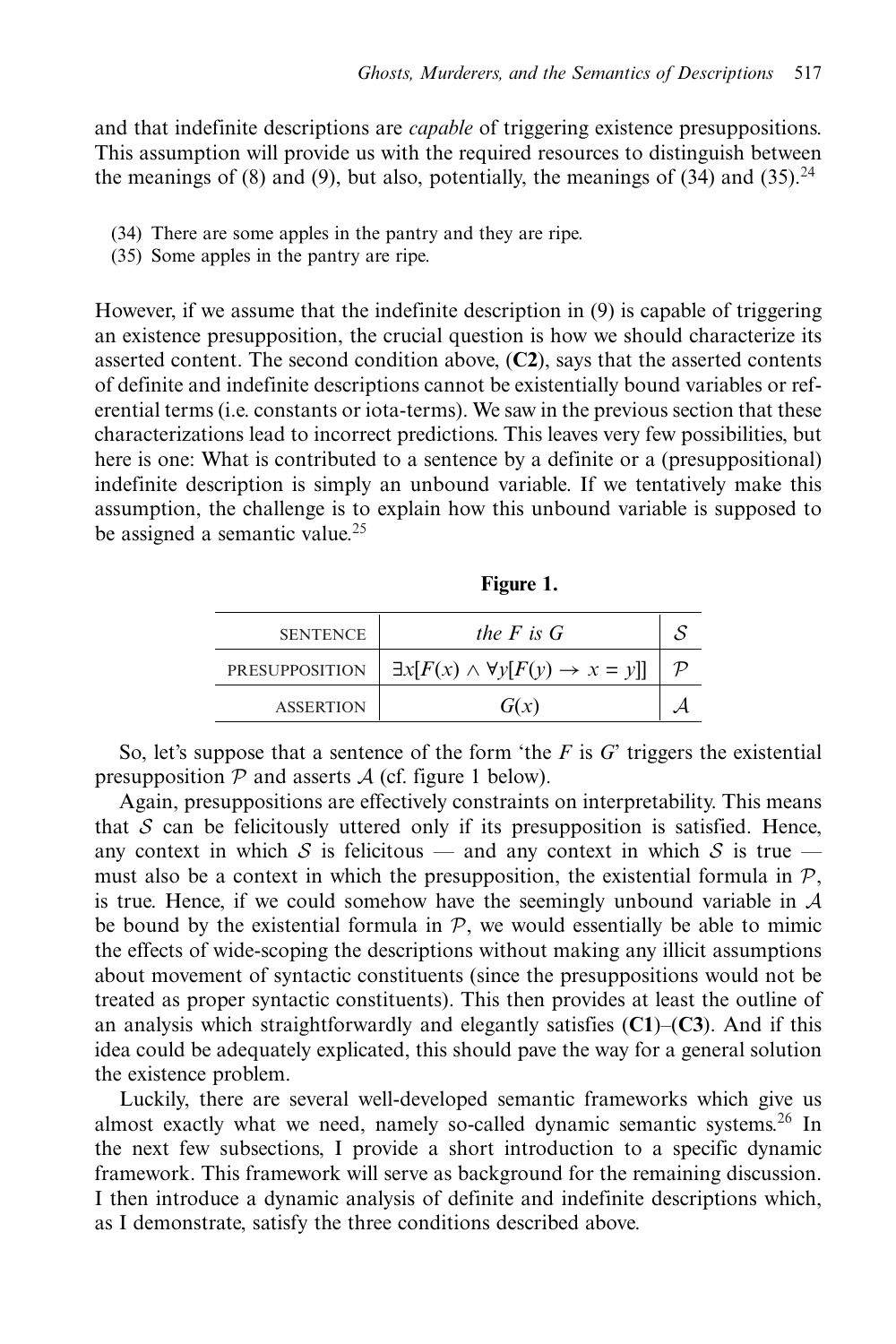and that indefinite descriptions are *capable* of triggering existence presuppositions. This assumption will provide us with the required resources to distinguish between the meanings of (8) and (9), but also, potentially, the meanings of (34) and (35).<sup>24</sup>

- (34) There are some apples in the pantry and they are ripe.
- (35) Some apples in the pantry are ripe.

However, if we assume that the indefinite description in (9) is capable of triggering an existence presupposition, the crucial question is how we should characterize its asserted content. The second condition above, (**C2**), says that the asserted contents of definite and indefinite descriptions cannot be existentially bound variables or referential terms (i.e. constants or iota-terms). We saw in the previous section that these characterizations lead to incorrect predictions. This leaves very few possibilities, but here is one: What is contributed to a sentence by a definite or a (presuppositional) indefinite description is simply an unbound variable. If we tentatively make this assumption, the challenge is to explain how this unbound variable is supposed to be assigned a semantic value.<sup>25</sup>

**Figure 1.**

| <b>SENTENCE</b>  | the $F$ is $G$                                              |  |  |
|------------------|-------------------------------------------------------------|--|--|
| PRESUPPOSITION   | $\exists x [F(x) \land \forall y [F(y) \rightarrow x = y]]$ |  |  |
| <b>ASSERTION</b> | G(x)                                                        |  |  |

So, let's suppose that a sentence of the form 'the *F* is *G*' triggers the existential presupposition  $P$  and asserts  $A$  (cf. figure 1 below).

Again, presuppositions are effectively constraints on interpretability. This means that  $S$  can be felicitously uttered only if its presupposition is satisfied. Hence, any context in which *S* is felicitous — and any context in which *S* is true must also be a context in which the presupposition, the existential formula in *P*, is true. Hence, if we could somehow have the seemingly unbound variable in *A* be bound by the existential formula in  $P$ , we would essentially be able to mimic the effects of wide-scoping the descriptions without making any illicit assumptions about movement of syntactic constituents (since the presuppositions would not be treated as proper syntactic constituents). This then provides at least the outline of an analysis which straightforwardly and elegantly satisfies (**C1**)–(**C3**). And if this idea could be adequately explicated, this should pave the way for a general solution the existence problem.

Luckily, there are several well-developed semantic frameworks which give us almost exactly what we need, namely so-called dynamic semantic systems.<sup>26</sup> In the next few subsections, I provide a short introduction to a specific dynamic framework. This framework will serve as background for the remaining discussion. I then introduce a dynamic analysis of definite and indefinite descriptions which, as I demonstrate, satisfy the three conditions described above.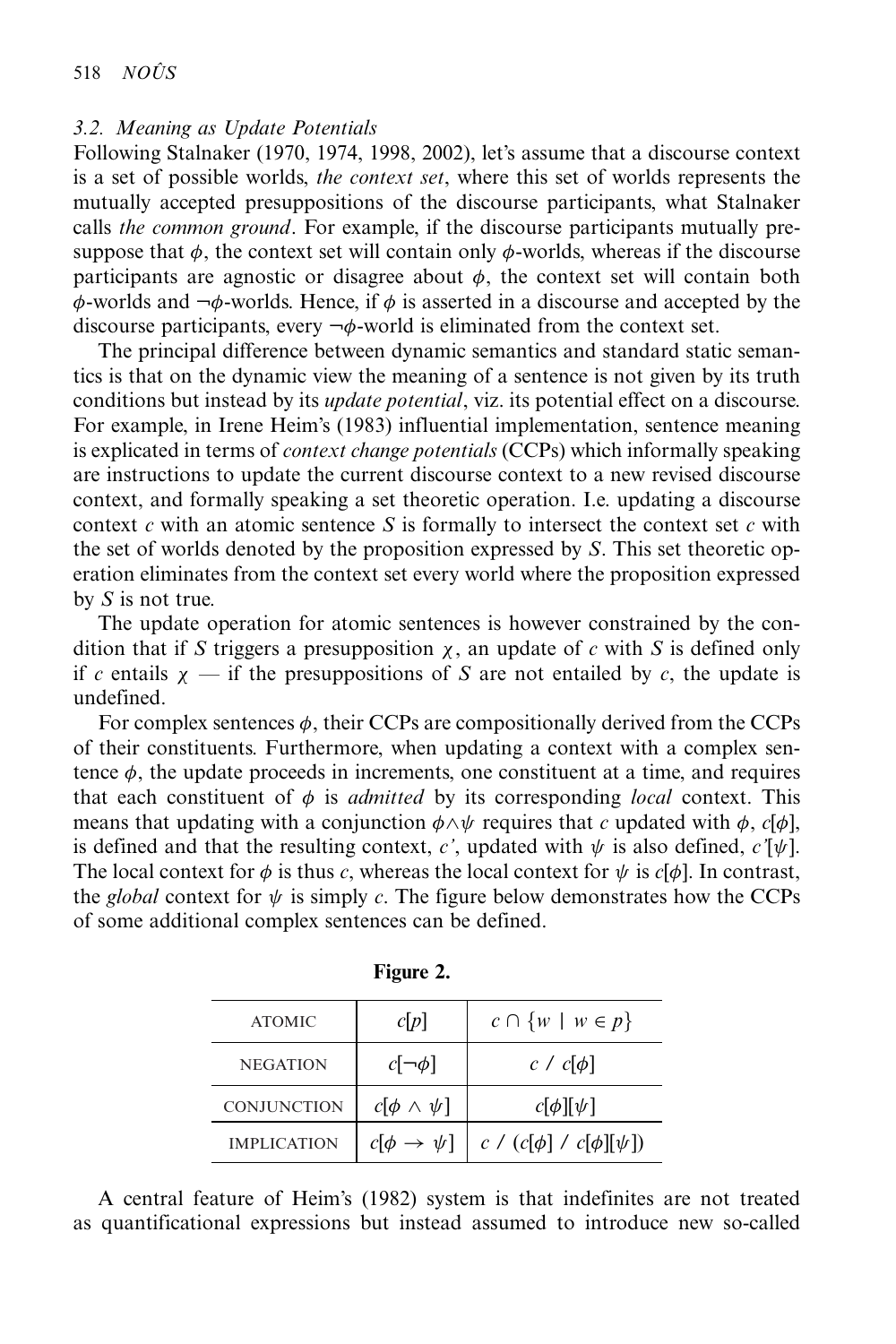### *3.2. Meaning as Update Potentials*

Following Stalnaker (1970, 1974, 1998, 2002), let's assume that a discourse context is a set of possible worlds, *the context set*, where this set of worlds represents the mutually accepted presuppositions of the discourse participants, what Stalnaker calls *the common ground*. For example, if the discourse participants mutually presuppose that  $\phi$ , the context set will contain only  $\phi$ -worlds, whereas if the discourse participants are agnostic or disagree about  $\phi$ , the context set will contain both  $\phi$ -worlds and  $\neg \phi$ -worlds. Hence, if  $\phi$  is asserted in a discourse and accepted by the discourse participants, every  $\neg \phi$ -world is eliminated from the context set.

The principal difference between dynamic semantics and standard static semantics is that on the dynamic view the meaning of a sentence is not given by its truth conditions but instead by its *update potential*, viz. its potential effect on a discourse. For example, in Irene Heim's (1983) influential implementation, sentence meaning is explicated in terms of *context change potentials* (CCPs) which informally speaking are instructions to update the current discourse context to a new revised discourse context, and formally speaking a set theoretic operation. I.e. updating a discourse context  $c$  with an atomic sentence  $S$  is formally to intersect the context set  $c$  with the set of worlds denoted by the proposition expressed by *S*. This set theoretic operation eliminates from the context set every world where the proposition expressed by *S* is not true.

The update operation for atomic sentences is however constrained by the condition that if *S* triggers a presupposition  $\chi$ , an update of *c* with *S* is defined only if *c* entails  $\chi$  — if the presuppositions of *S* are not entailed by *c*, the update is undefined.

For complex sentences  $\phi$ , their CCPs are compositionally derived from the CCPs of their constituents. Furthermore, when updating a context with a complex sentence  $\phi$ , the update proceeds in increments, one constituent at a time, and requires that each constituent of  $\phi$  is *admitted* by its corresponding *local* context. This means that updating with a conjunction  $\phi \land \psi$  requires that *c* updated with  $\phi$ , *c*[ $\phi$ ], is defined and that the resulting context, *c'*, updated with  $\psi$  is also defined,  $c'[\psi]$ . The local context for  $\phi$  is thus *c*, whereas the local context for  $\psi$  is *c*[ $\phi$ ]. In contrast, the *global* context for  $\psi$  is simply *c*. The figure below demonstrates how the CCPs of some additional complex sentences can be defined.

| <b>ATOMIC</b>      | c p                                 | $c \cap \{w \mid w \in p\}$     |
|--------------------|-------------------------------------|---------------------------------|
| <b>NEGATION</b>    | $c \rightarrow \phi$                | $c / c[\phi]$                   |
| <b>CONJUNCTION</b> | $c[\phi \wedge \psi]$               | $c \phi  \psi $                 |
| <b>IMPLICATION</b> | $\rightarrow \psi$<br>$c\vert \phi$ | $c / (c[\phi] / c[\phi][\psi])$ |

**Figure 2.**

A central feature of Heim's (1982) system is that indefinites are not treated as quantificational expressions but instead assumed to introduce new so-called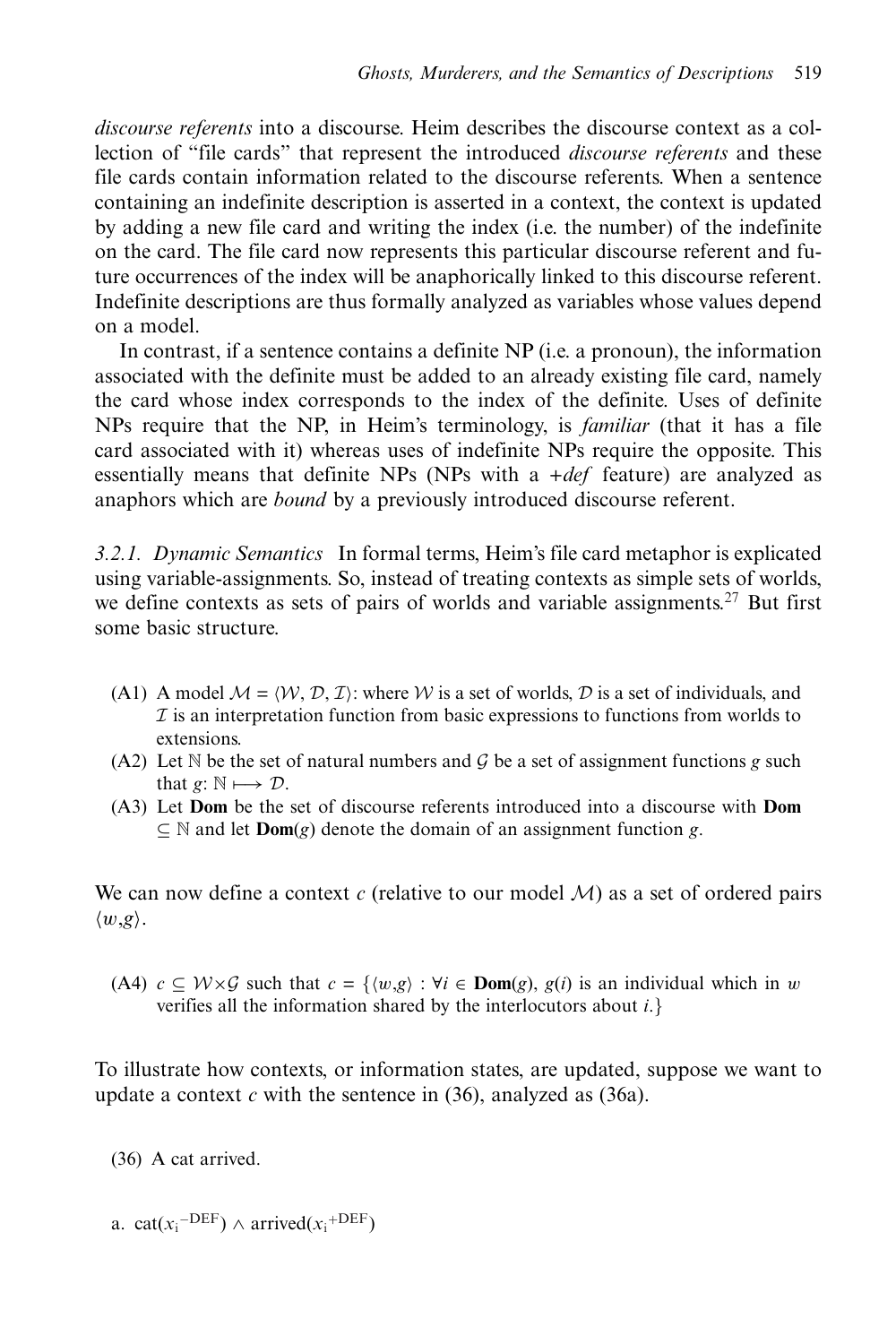*discourse referents* into a discourse. Heim describes the discourse context as a collection of "file cards" that represent the introduced *discourse referents* and these file cards contain information related to the discourse referents. When a sentence containing an indefinite description is asserted in a context, the context is updated by adding a new file card and writing the index (i.e. the number) of the indefinite on the card. The file card now represents this particular discourse referent and future occurrences of the index will be anaphorically linked to this discourse referent. Indefinite descriptions are thus formally analyzed as variables whose values depend on a model.

In contrast, if a sentence contains a definite NP (i.e. a pronoun), the information associated with the definite must be added to an already existing file card, namely the card whose index corresponds to the index of the definite. Uses of definite NPs require that the NP, in Heim's terminology, is *familiar* (that it has a file card associated with it) whereas uses of indefinite NPs require the opposite. This essentially means that definite NPs (NPs with a +*def* feature) are analyzed as anaphors which are *bound* by a previously introduced discourse referent.

*3.2.1. Dynamic Semantics* In formal terms, Heim's file card metaphor is explicated using variable-assignments. So, instead of treating contexts as simple sets of worlds, we define contexts as sets of pairs of worlds and variable assignments.<sup>27</sup> But first some basic structure.

- (A1) A model  $M = \langle W, D, I \rangle$ : where *W* is a set of worlds, *D* is a set of individuals, and *I* is an interpretation function from basic expressions to functions from worlds to extensions.
- (A2) Let N be the set of natural numbers and  $G$  be a set of assignment functions *g* such that  $g: \mathbb{N} \longmapsto \mathcal{D}$ .
- (A3) Let **Dom** be the set of discourse referents introduced into a discourse with **Dom**  $\subseteq$  N and let **Dom**(*g*) denote the domain of an assignment function *g*.

We can now define a context *c* (relative to our model *M*) as a set of ordered pairs  $\langle w,g\rangle.$ 

(A4)  $c \subseteq W \times G$  such that  $c = \{(w,g) : \forall i \in \text{Dom}(g), g(i) \text{ is an individual which in } w\}$ verifies all the information shared by the interlocutors about *i*.*}*

To illustrate how contexts, or information states, are updated, suppose we want to update a context *c* with the sentence in (36), analyzed as (36a).

(36) A cat arrived.

a. cat( $x_i$ <sup>-DEF</sup>)  $\wedge$  arrived( $x_i$ <sup>+DEF</sup>)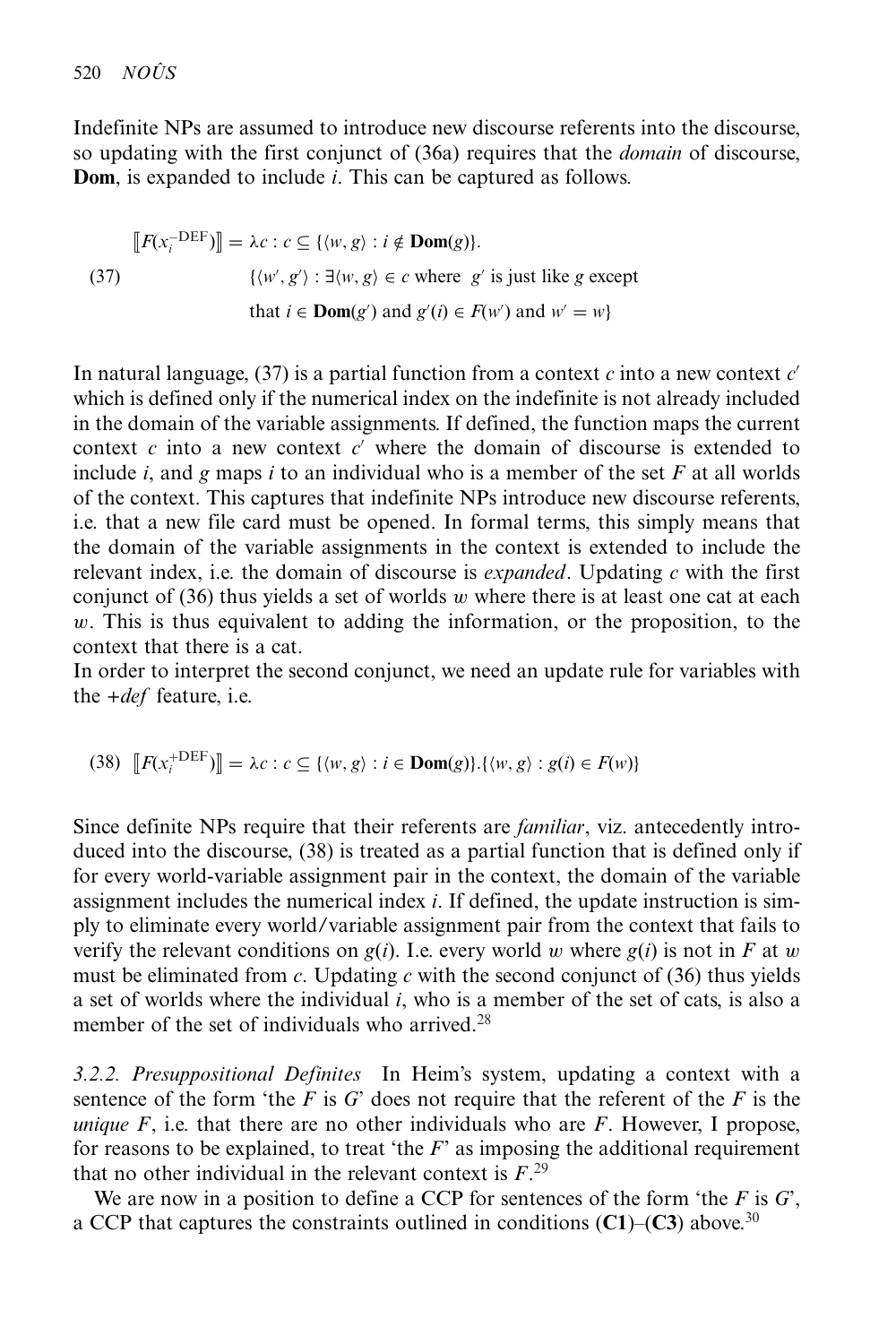Indefinite NPs are assumed to introduce new discourse referents into the discourse, so updating with the first conjunct of (36a) requires that the *domain* of discourse, **Dom**, is expanded to include *i*. This can be captured as follows.

$$
[F(x_i^{-DEF})] = \lambda c : c \subseteq \{ \langle w, g \rangle : i \notin \text{Dom}(g) \}.
$$
  
(37)  

$$
\{ \langle w', g' \rangle : \exists \langle w, g \rangle \in c \text{ where } g' \text{ is just like } g \text{ except}
$$
  
that  $i \in \text{Dom}(g') \text{ and } g'(i) \in F(w') \text{ and } w' = w \}$ 

In natural language,  $(37)$  is a partial function from a context *c* into a new context *c'* which is defined only if the numerical index on the indefinite is not already included in the domain of the variable assignments. If defined, the function maps the current context  $c$  into a new context  $c'$  where the domain of discourse is extended to include *i*, and *g* maps *i* to an individual who is a member of the set *F* at all worlds of the context. This captures that indefinite NPs introduce new discourse referents, i.e. that a new file card must be opened. In formal terms, this simply means that the domain of the variable assignments in the context is extended to include the relevant index, i.e. the domain of discourse is *expanded*. Updating *c* with the first conjunct of  $(36)$  thus yields a set of worlds w where there is at least one cat at each  $w$ . This is thus equivalent to adding the information, or the proposition, to the context that there is a cat.

In order to interpret the second conjunct, we need an update rule for variables with the +*def* feature, i.e.

$$
(38) \quad \left[ F(x_i^{\text{+DEF}}) \right] = \lambda c : c \subseteq \{ \langle w, g \rangle : i \in \text{Dom}(g) \}. \{ \langle w, g \rangle : g(i) \in F(w) \}
$$

Since definite NPs require that their referents are *familiar*, viz. antecedently introduced into the discourse, (38) is treated as a partial function that is defined only if for every world-variable assignment pair in the context, the domain of the variable assignment includes the numerical index *i*. If defined, the update instruction is simply to eliminate every world/variable assignment pair from the context that fails to verify the relevant conditions on  $g(i)$ . I.e. every world w where  $g(i)$  is not in F at w must be eliminated from *c*. Updating *c* with the second conjunct of (36) thus yields a set of worlds where the individual *i*, who is a member of the set of cats, is also a member of the set of individuals who arrived.<sup>28</sup>

*3.2.2. Presuppositional Definites* In Heim's system, updating a context with a sentence of the form 'the  $F$  is  $G$ ' does not require that the referent of the  $F$  is the *unique F*, i.e. that there are no other individuals who are *F*. However, I propose, for reasons to be explained, to treat 'the  $F'$  as imposing the additional requirement that no other individual in the relevant context is  $F^{29}$ .

We are now in a position to define a CCP for sentences of the form 'the *F* is *G*', a CCP that captures the constraints outlined in conditions  $(C1)$ – $(C3)$  above.<sup>30</sup>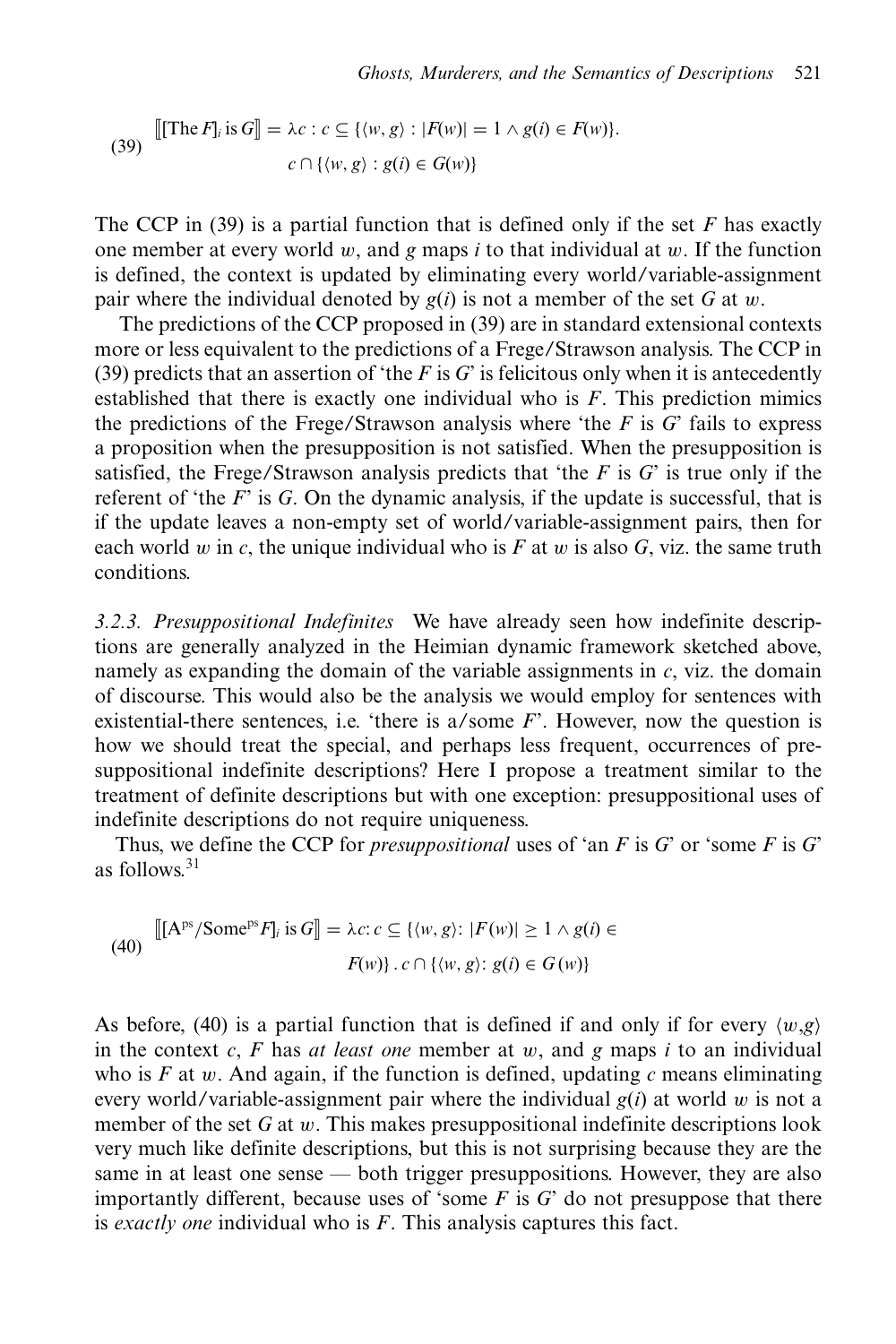(39) 
$$
\llbracket [\text{The } F]_i \text{ is } G \rrbracket = \lambda c : c \subseteq \{ \langle w, g \rangle : |F(w)| = 1 \land g(i) \in F(w) \}.
$$

$$
c \cap \{ \langle w, g \rangle : g(i) \in G(w) \}
$$

The CCP in (39) is a partial function that is defined only if the set *F* has exactly one member at every world w, and *g* maps *i* to that individual at w. If the function is defined, the context is updated by eliminating every world/variable-assignment pair where the individual denoted by  $g(i)$  is not a member of the set G at w.

The predictions of the CCP proposed in (39) are in standard extensional contexts more or less equivalent to the predictions of a Frege/Strawson analysis. The CCP in (39) predicts that an assertion of 'the *F* is *G*' is felicitous only when it is antecedently established that there is exactly one individual who is *F*. This prediction mimics the predictions of the Frege/Strawson analysis where 'the *F* is *G*' fails to express a proposition when the presupposition is not satisfied. When the presupposition is satisfied, the Frege/Strawson analysis predicts that 'the *F* is *G*' is true only if the referent of 'the *F*' is *G*. On the dynamic analysis, if the update is successful, that is if the update leaves a non-empty set of world/variable-assignment pairs, then for each world w in c, the unique individual who is  $F$  at w is also  $G$ , viz. the same truth conditions.

*3.2.3. Presuppositional Indefinites* We have already seen how indefinite descriptions are generally analyzed in the Heimian dynamic framework sketched above, namely as expanding the domain of the variable assignments in *c*, viz. the domain of discourse. This would also be the analysis we would employ for sentences with existential-there sentences, i.e. 'there is a/some *F*'. However, now the question is how we should treat the special, and perhaps less frequent, occurrences of presuppositional indefinite descriptions? Here I propose a treatment similar to the treatment of definite descriptions but with one exception: presuppositional uses of indefinite descriptions do not require uniqueness.

Thus, we define the CCP for *presuppositional* uses of 'an *F* is *G*' or 'some *F* is *G*' as follows. $31$ 

(40) 
$$
\left[\left[A^{ps}/\text{Some}^{ps}F\right]_i \text{ is } G\right] = \lambda c : c \subseteq \left\{ \langle w, g \rangle : |F(w)| \ge 1 \land g(i) \in F(w) \right\} . c \cap \left\{ \langle w, g \rangle : g(i) \in G(w) \right\}
$$

As before, (40) is a partial function that is defined if and only if for every  $\langle w, g \rangle$ in the context *c*, *F* has *at least one* member at w, and *g* maps *i* to an individual who is  $F$  at  $w$ . And again, if the function is defined, updating  $c$  means eliminating every world/variable-assignment pair where the individual *g*(*i*) at world w is not a member of the set *G* at w. This makes presuppositional indefinite descriptions look very much like definite descriptions, but this is not surprising because they are the same in at least one sense — both trigger presuppositions. However, they are also importantly different, because uses of 'some *F* is *G*' do not presuppose that there is *exactly one* individual who is *F*. This analysis captures this fact.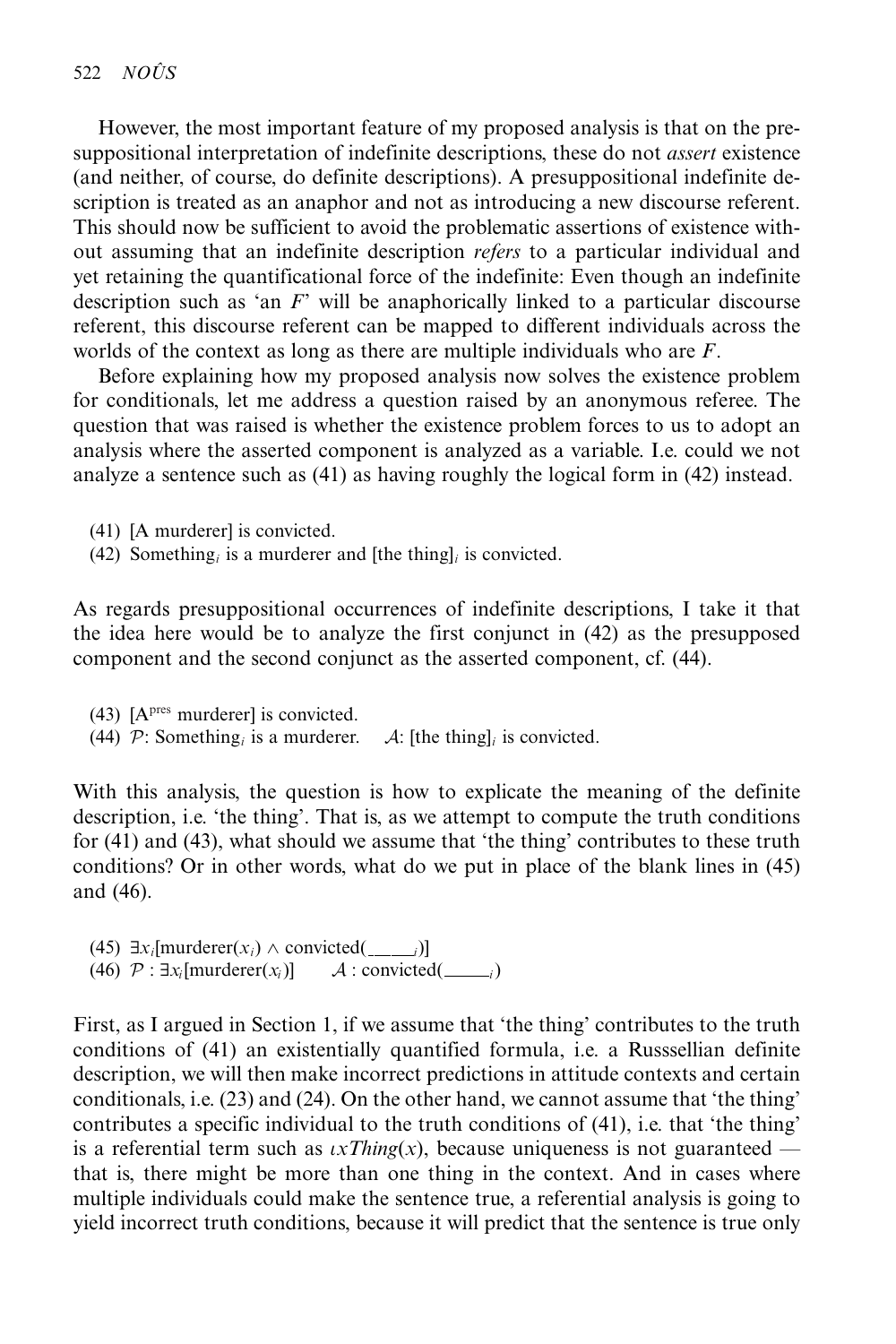However, the most important feature of my proposed analysis is that on the presuppositional interpretation of indefinite descriptions, these do not *assert* existence (and neither, of course, do definite descriptions). A presuppositional indefinite description is treated as an anaphor and not as introducing a new discourse referent. This should now be sufficient to avoid the problematic assertions of existence without assuming that an indefinite description *refers* to a particular individual and yet retaining the quantificational force of the indefinite: Even though an indefinite description such as 'an *F*' will be anaphorically linked to a particular discourse referent, this discourse referent can be mapped to different individuals across the worlds of the context as long as there are multiple individuals who are *F*.

Before explaining how my proposed analysis now solves the existence problem for conditionals, let me address a question raised by an anonymous referee. The question that was raised is whether the existence problem forces to us to adopt an analysis where the asserted component is analyzed as a variable. I.e. could we not analyze a sentence such as (41) as having roughly the logical form in (42) instead.

(41) [A murderer] is convicted.

(42) Something*<sup>i</sup>* is a murderer and [the thing]*<sup>i</sup>* is convicted.

As regards presuppositional occurrences of indefinite descriptions, I take it that the idea here would be to analyze the first conjunct in (42) as the presupposed component and the second conjunct as the asserted component, cf. (44).

- (43) [Apres murderer] is convicted.
- (44)  $P$ : Something<sub>*i*</sub> is a murderer. *A*: [the thing]<sub>*i*</sub> is convicted.

With this analysis, the question is how to explicate the meaning of the definite description, i.e. 'the thing'. That is, as we attempt to compute the truth conditions for (41) and (43), what should we assume that 'the thing' contributes to these truth conditions? Or in other words, what do we put in place of the blank lines in (45) and (46).

(45)  $\exists x_i$ [murderer( $x_i$ ) ∧ convicted( *i*)] (46)  $P: \exists x_i$ [murderer( $x_i$ )]  $A:$  convicted( $\_\_\_i$ )

First, as I argued in Section 1, if we assume that 'the thing' contributes to the truth conditions of (41) an existentially quantified formula, i.e. a Russsellian definite description, we will then make incorrect predictions in attitude contexts and certain conditionals, i.e. (23) and (24). On the other hand, we cannot assume that 'the thing' contributes a specific individual to the truth conditions of (41), i.e. that 'the thing' is a referential term such as  $\iota xThing(x)$ , because uniqueness is not guaranteed that is, there might be more than one thing in the context. And in cases where multiple individuals could make the sentence true, a referential analysis is going to yield incorrect truth conditions, because it will predict that the sentence is true only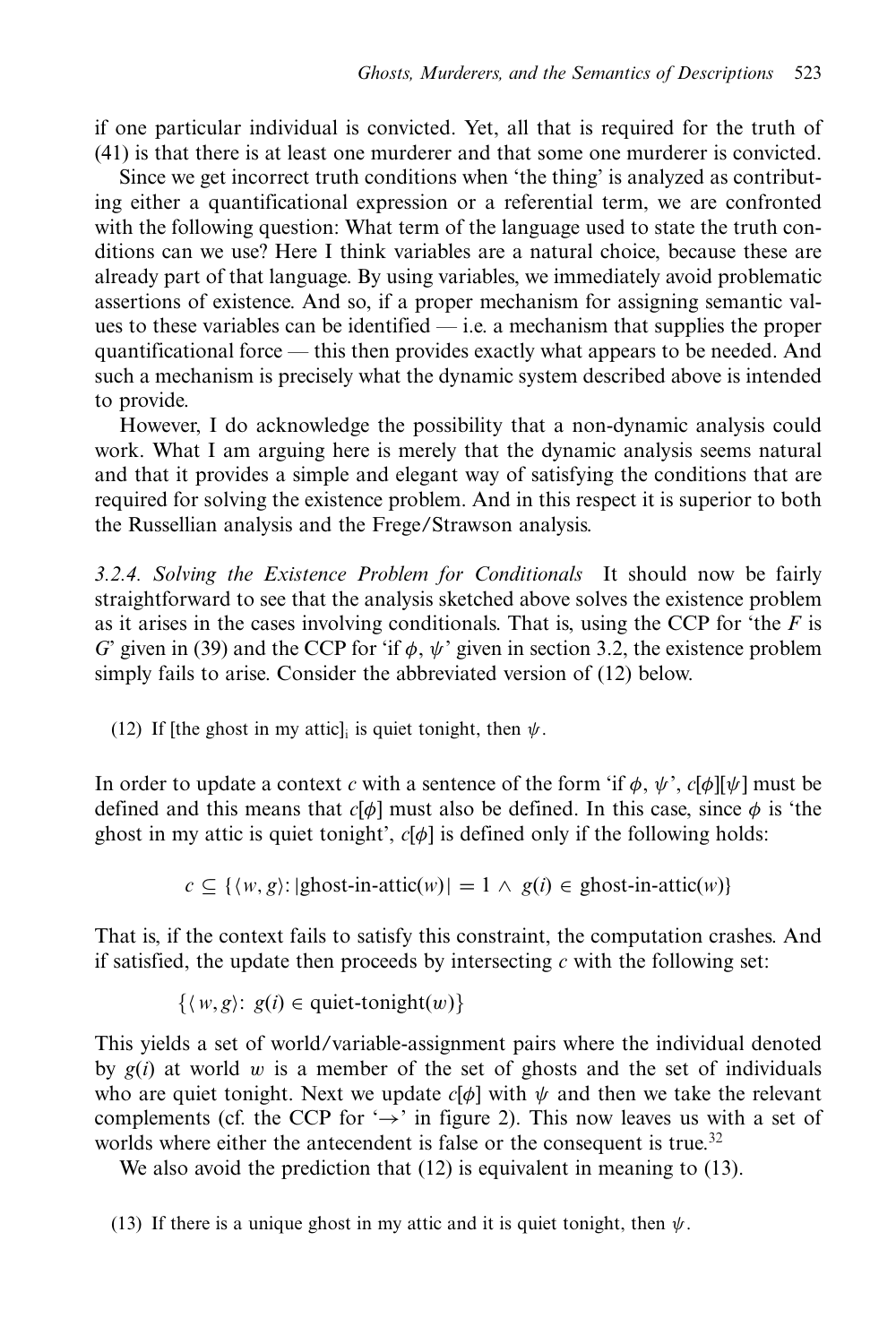if one particular individual is convicted. Yet, all that is required for the truth of (41) is that there is at least one murderer and that some one murderer is convicted.

Since we get incorrect truth conditions when 'the thing' is analyzed as contributing either a quantificational expression or a referential term, we are confronted with the following question: What term of the language used to state the truth conditions can we use? Here I think variables are a natural choice, because these are already part of that language. By using variables, we immediately avoid problematic assertions of existence. And so, if a proper mechanism for assigning semantic values to these variables can be identified — i.e. a mechanism that supplies the proper quantificational force — this then provides exactly what appears to be needed. And such a mechanism is precisely what the dynamic system described above is intended to provide.

However, I do acknowledge the possibility that a non-dynamic analysis could work. What I am arguing here is merely that the dynamic analysis seems natural and that it provides a simple and elegant way of satisfying the conditions that are required for solving the existence problem. And in this respect it is superior to both the Russellian analysis and the Frege/Strawson analysis.

*3.2.4. Solving the Existence Problem for Conditionals* It should now be fairly straightforward to see that the analysis sketched above solves the existence problem as it arises in the cases involving conditionals. That is, using the CCP for 'the *F* is *G*' given in (39) and the CCP for 'if  $\phi$ ,  $\psi$ ' given in section 3.2, the existence problem simply fails to arise. Consider the abbreviated version of (12) below.

(12) If [the ghost in my attic], is quiet tonight, then  $\psi$ .

In order to update a context *c* with a sentence of the form 'if  $\phi$ ,  $\psi$ ',  $c[\phi][\psi]$  must be defined and this means that  $c[\phi]$  must also be defined. In this case, since  $\phi$  is 'the ghost in my attic is quiet tonight',  $c[\phi]$  is defined only if the following holds:

 $c \subseteq \{ \langle w, g \rangle : | \text{ghost-in-attice}(w) | = 1 \land g(i) \in \text{ghost-in-attice}(w) \}$ 

That is, if the context fails to satisfy this constraint, the computation crashes. And if satisfied, the update then proceeds by intersecting  $c$  with the following set:

$$
\{ \langle w, g \rangle : g(i) \in \text{quiet-tonight}(w) \}
$$

This yields a set of world/variable-assignment pairs where the individual denoted by  $g(i)$  at world w is a member of the set of ghosts and the set of individuals who are quiet tonight. Next we update  $c[\phi]$  with  $\psi$  and then we take the relevant complements (cf. the CCP for ' $\rightarrow$ ' in figure 2). This now leaves us with a set of worlds where either the antecendent is false or the consequent is true.<sup>32</sup>

We also avoid the prediction that (12) is equivalent in meaning to (13).

(13) If there is a unique ghost in my attic and it is quiet tonight, then  $\psi$ .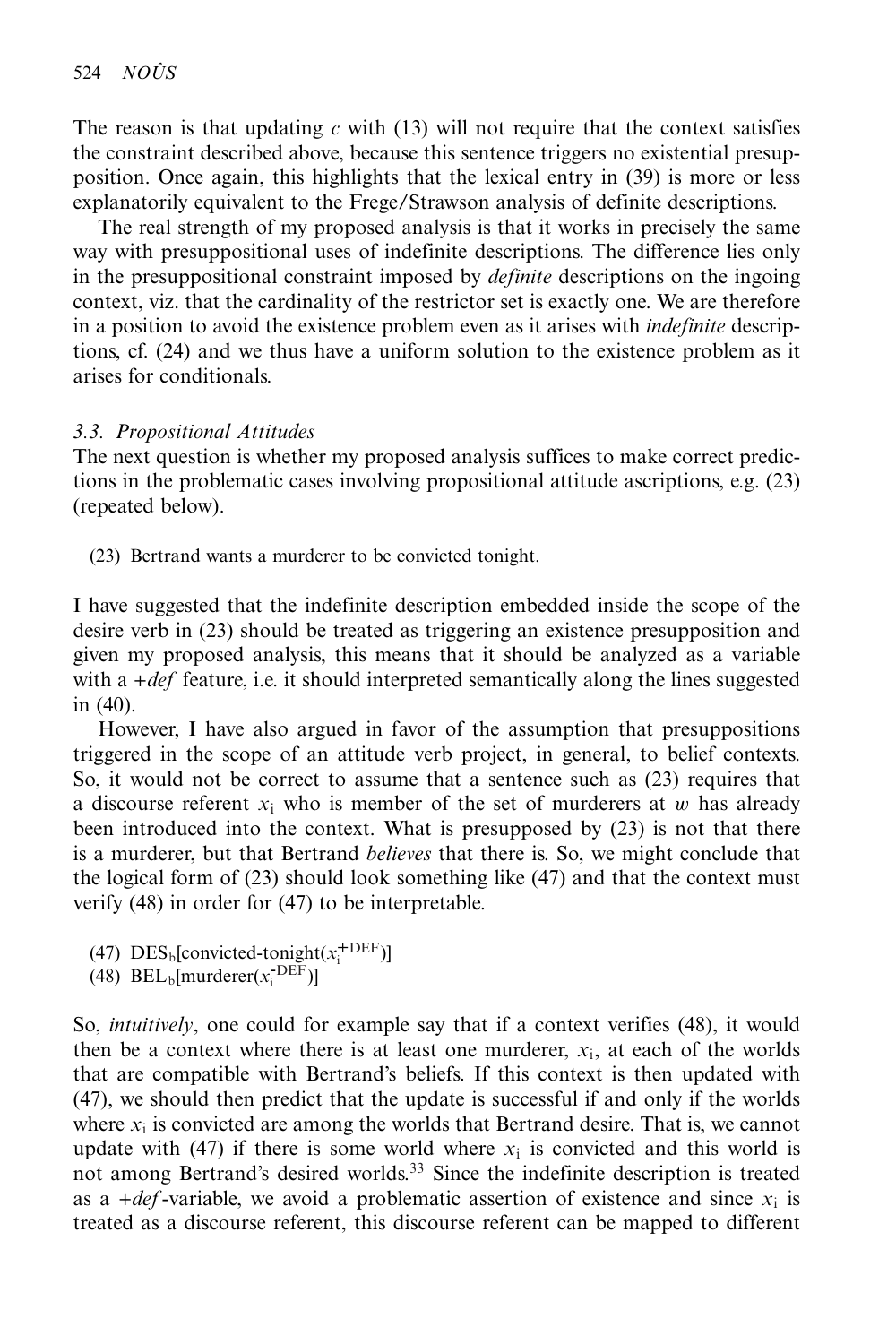The reason is that updating *c* with (13) will not require that the context satisfies the constraint described above, because this sentence triggers no existential presupposition. Once again, this highlights that the lexical entry in (39) is more or less explanatorily equivalent to the Frege/Strawson analysis of definite descriptions.

The real strength of my proposed analysis is that it works in precisely the same way with presuppositional uses of indefinite descriptions. The difference lies only in the presuppositional constraint imposed by *definite* descriptions on the ingoing context, viz. that the cardinality of the restrictor set is exactly one. We are therefore in a position to avoid the existence problem even as it arises with *indefinite* descriptions, cf. (24) and we thus have a uniform solution to the existence problem as it arises for conditionals.

### *3.3. Propositional Attitudes*

The next question is whether my proposed analysis suffices to make correct predictions in the problematic cases involving propositional attitude ascriptions, e.g. (23) (repeated below).

(23) Bertrand wants a murderer to be convicted tonight.

I have suggested that the indefinite description embedded inside the scope of the desire verb in (23) should be treated as triggering an existence presupposition and given my proposed analysis, this means that it should be analyzed as a variable with a *+def* feature, i.e. it should interpreted semantically along the lines suggested in (40).

However, I have also argued in favor of the assumption that presuppositions triggered in the scope of an attitude verb project, in general, to belief contexts. So, it would not be correct to assume that a sentence such as (23) requires that a discourse referent  $x_i$  who is member of the set of murderers at w has already been introduced into the context. What is presupposed by (23) is not that there is a murderer, but that Bertrand *believes* that there is. So, we might conclude that the logical form of (23) should look something like (47) and that the context must verify (48) in order for (47) to be interpretable.

- (47) DES<sub>b</sub>[convicted-tonight( $x_i^{\text{+DEF}}$ )]
- $(48)$  BEL<sub>b</sub>[murderer( $x_i^{-DEF}$ )]

So, *intuitively*, one could for example say that if a context verifies (48), it would then be a context where there is at least one murderer,  $x_i$ , at each of the worlds that are compatible with Bertrand's beliefs. If this context is then updated with (47), we should then predict that the update is successful if and only if the worlds where  $x_i$  is convicted are among the worlds that Bertrand desire. That is, we cannot update with  $(47)$  if there is some world where  $x_i$  is convicted and this world is not among Bertrand's desired worlds.<sup>33</sup> Since the indefinite description is treated as a  $+def$ -variable, we avoid a problematic assertion of existence and since  $x_i$  is treated as a discourse referent, this discourse referent can be mapped to different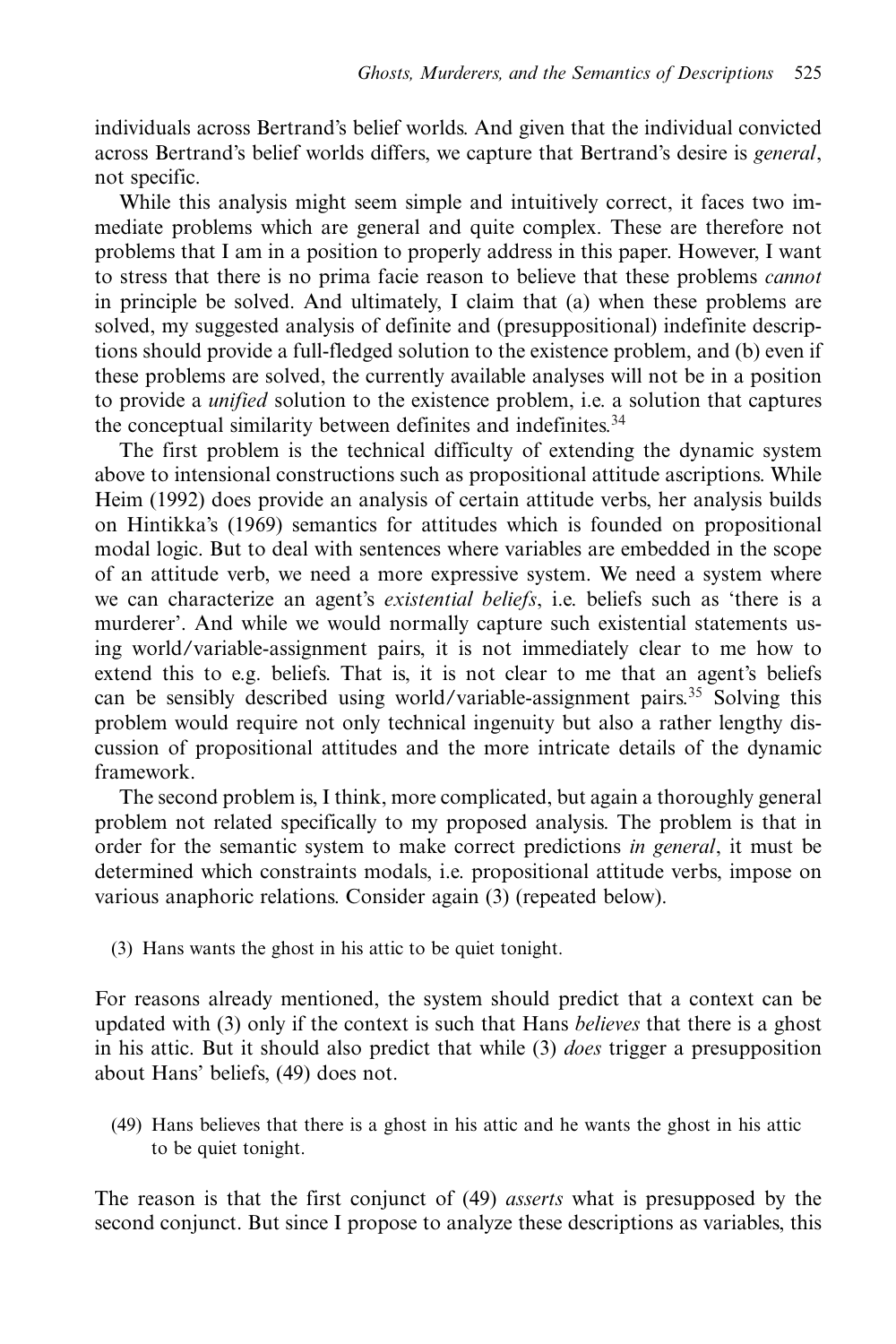individuals across Bertrand's belief worlds. And given that the individual convicted across Bertrand's belief worlds differs, we capture that Bertrand's desire is *general*, not specific.

While this analysis might seem simple and intuitively correct, it faces two immediate problems which are general and quite complex. These are therefore not problems that I am in a position to properly address in this paper. However, I want to stress that there is no prima facie reason to believe that these problems *cannot* in principle be solved. And ultimately, I claim that (a) when these problems are solved, my suggested analysis of definite and (presuppositional) indefinite descriptions should provide a full-fledged solution to the existence problem, and (b) even if these problems are solved, the currently available analyses will not be in a position to provide a *unified* solution to the existence problem, i.e. a solution that captures the conceptual similarity between definites and indefinites.<sup>34</sup>

The first problem is the technical difficulty of extending the dynamic system above to intensional constructions such as propositional attitude ascriptions. While Heim (1992) does provide an analysis of certain attitude verbs, her analysis builds on Hintikka's (1969) semantics for attitudes which is founded on propositional modal logic. But to deal with sentences where variables are embedded in the scope of an attitude verb, we need a more expressive system. We need a system where we can characterize an agent's *existential beliefs*, i.e. beliefs such as 'there is a murderer'. And while we would normally capture such existential statements using world/variable-assignment pairs, it is not immediately clear to me how to extend this to e.g. beliefs. That is, it is not clear to me that an agent's beliefs can be sensibly described using world/variable-assignment pairs.<sup>35</sup> Solving this problem would require not only technical ingenuity but also a rather lengthy discussion of propositional attitudes and the more intricate details of the dynamic framework.

The second problem is, I think, more complicated, but again a thoroughly general problem not related specifically to my proposed analysis. The problem is that in order for the semantic system to make correct predictions *in general*, it must be determined which constraints modals, i.e. propositional attitude verbs, impose on various anaphoric relations. Consider again (3) (repeated below).

(3) Hans wants the ghost in his attic to be quiet tonight.

For reasons already mentioned, the system should predict that a context can be updated with (3) only if the context is such that Hans *believes* that there is a ghost in his attic. But it should also predict that while (3) *does* trigger a presupposition about Hans' beliefs, (49) does not.

(49) Hans believes that there is a ghost in his attic and he wants the ghost in his attic to be quiet tonight.

The reason is that the first conjunct of (49) *asserts* what is presupposed by the second conjunct. But since I propose to analyze these descriptions as variables, this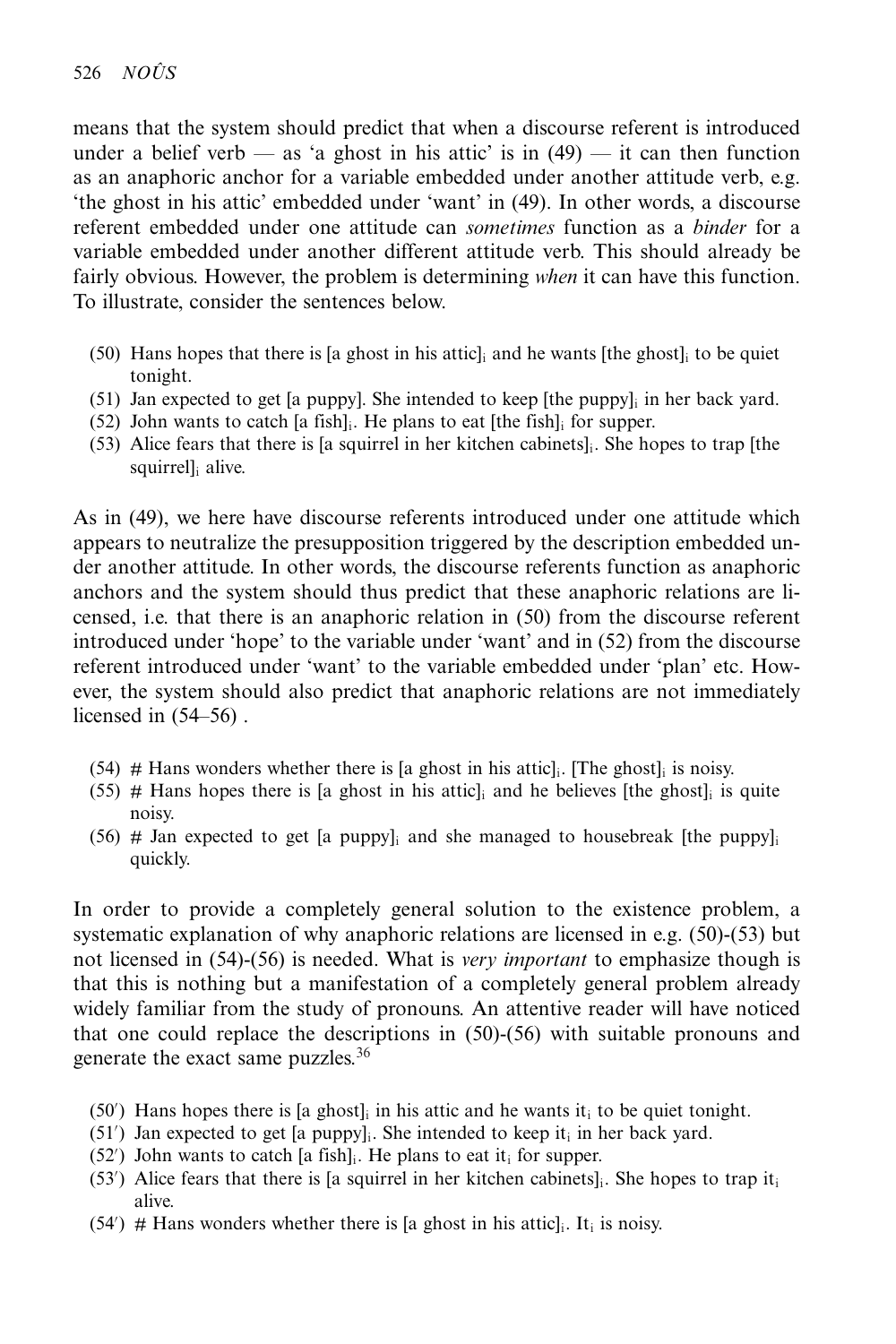means that the system should predict that when a discourse referent is introduced under a belief verb — as 'a ghost in his attic' is in  $(49)$  — it can then function as an anaphoric anchor for a variable embedded under another attitude verb, e.g. 'the ghost in his attic' embedded under 'want' in (49). In other words, a discourse referent embedded under one attitude can *sometimes* function as a *binder* for a variable embedded under another different attitude verb. This should already be fairly obvious. However, the problem is determining *when* it can have this function. To illustrate, consider the sentences below.

- (50) Hans hopes that there is [a ghost in his attic] and he wants [the ghost] to be quiet tonight.
- (51) Jan expected to get [a puppy]. She intended to keep [the puppy] $\frac{1}{1}$  in her back yard.
- (52) John wants to catch [a fish] $_{i}$ . He plans to eat [the fish] $_{i}$  for supper.
- (53) Alice fears that there is [a squirrel in her kitchen cabinets]i. She hopes to trap [the squirrel $]_i$  alive.

As in (49), we here have discourse referents introduced under one attitude which appears to neutralize the presupposition triggered by the description embedded under another attitude. In other words, the discourse referents function as anaphoric anchors and the system should thus predict that these anaphoric relations are licensed, i.e. that there is an anaphoric relation in (50) from the discourse referent introduced under 'hope' to the variable under 'want' and in (52) from the discourse referent introduced under 'want' to the variable embedded under 'plan' etc. However, the system should also predict that anaphoric relations are not immediately licensed in  $(54–56)$ .

- (54) # Hans wonders whether there is [a ghost in his attic]. [The ghost] is noisy.
- (55) # Hans hopes there is [a ghost in his attic] and he believes [the ghost] is quite noisy.
- (56) # Jan expected to get [a puppy]<sub>i</sub> and she managed to housebreak [the puppy]<sub>i</sub> quickly.

In order to provide a completely general solution to the existence problem, a systematic explanation of why anaphoric relations are licensed in e.g. (50)-(53) but not licensed in (54)-(56) is needed. What is *very important* to emphasize though is that this is nothing but a manifestation of a completely general problem already widely familiar from the study of pronouns. An attentive reader will have noticed that one could replace the descriptions in (50)-(56) with suitable pronouns and generate the exact same puzzles.<sup>36</sup>

- (50') Hans hopes there is [a ghost]<sub>i</sub> in his attic and he wants it<sub>i</sub> to be quiet tonight.
- $(51')$  Jan expected to get [a puppy]<sub>i</sub>. She intended to keep it<sub>i</sub> in her back yard.
- $(52')$  John wants to catch [a fish]<sub>i</sub>. He plans to eat it<sub>i</sub> for supper.
- (53') Alice fears that there is [a squirrel in her kitchen cabinets] $_i$ . She hopes to trap it $_i$ alive.
- $(54')$  # Hans wonders whether there is [a ghost in his attic]<sub>i</sub>. It<sub>i</sub> is noisy.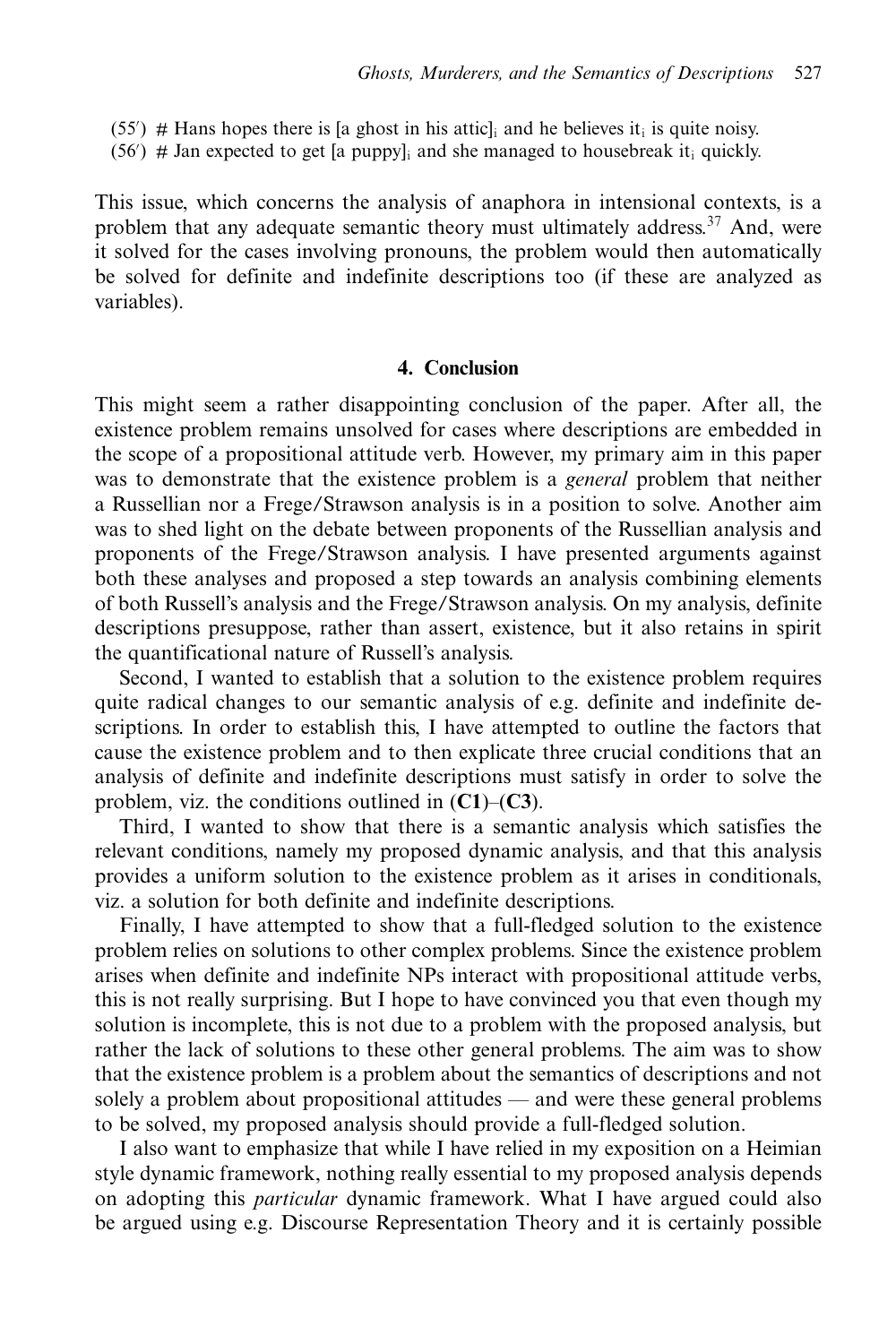- (55') # Hans hopes there is [a ghost in his attic]<sub>i</sub> and he believes it<sub>i</sub> is quite noisy.
- (56') # Jan expected to get [a puppy] $_{i}$  and she managed to housebreak it $_{i}$  quickly.

This issue, which concerns the analysis of anaphora in intensional contexts, is a problem that any adequate semantic theory must ultimately address.<sup>37</sup> And, were it solved for the cases involving pronouns, the problem would then automatically be solved for definite and indefinite descriptions too (if these are analyzed as variables).

### **4. Conclusion**

This might seem a rather disappointing conclusion of the paper. After all, the existence problem remains unsolved for cases where descriptions are embedded in the scope of a propositional attitude verb. However, my primary aim in this paper was to demonstrate that the existence problem is a *general* problem that neither a Russellian nor a Frege/Strawson analysis is in a position to solve. Another aim was to shed light on the debate between proponents of the Russellian analysis and proponents of the Frege/Strawson analysis. I have presented arguments against both these analyses and proposed a step towards an analysis combining elements of both Russell's analysis and the Frege/Strawson analysis. On my analysis, definite descriptions presuppose, rather than assert, existence, but it also retains in spirit the quantificational nature of Russell's analysis.

Second, I wanted to establish that a solution to the existence problem requires quite radical changes to our semantic analysis of e.g. definite and indefinite descriptions. In order to establish this, I have attempted to outline the factors that cause the existence problem and to then explicate three crucial conditions that an analysis of definite and indefinite descriptions must satisfy in order to solve the problem, viz. the conditions outlined in  $(C1)$ – $(C3)$ .

Third, I wanted to show that there is a semantic analysis which satisfies the relevant conditions, namely my proposed dynamic analysis, and that this analysis provides a uniform solution to the existence problem as it arises in conditionals, viz. a solution for both definite and indefinite descriptions.

Finally, I have attempted to show that a full-fledged solution to the existence problem relies on solutions to other complex problems. Since the existence problem arises when definite and indefinite NPs interact with propositional attitude verbs, this is not really surprising. But I hope to have convinced you that even though my solution is incomplete, this is not due to a problem with the proposed analysis, but rather the lack of solutions to these other general problems. The aim was to show that the existence problem is a problem about the semantics of descriptions and not solely a problem about propositional attitudes — and were these general problems to be solved, my proposed analysis should provide a full-fledged solution.

I also want to emphasize that while I have relied in my exposition on a Heimian style dynamic framework, nothing really essential to my proposed analysis depends on adopting this *particular* dynamic framework. What I have argued could also be argued using e.g. Discourse Representation Theory and it is certainly possible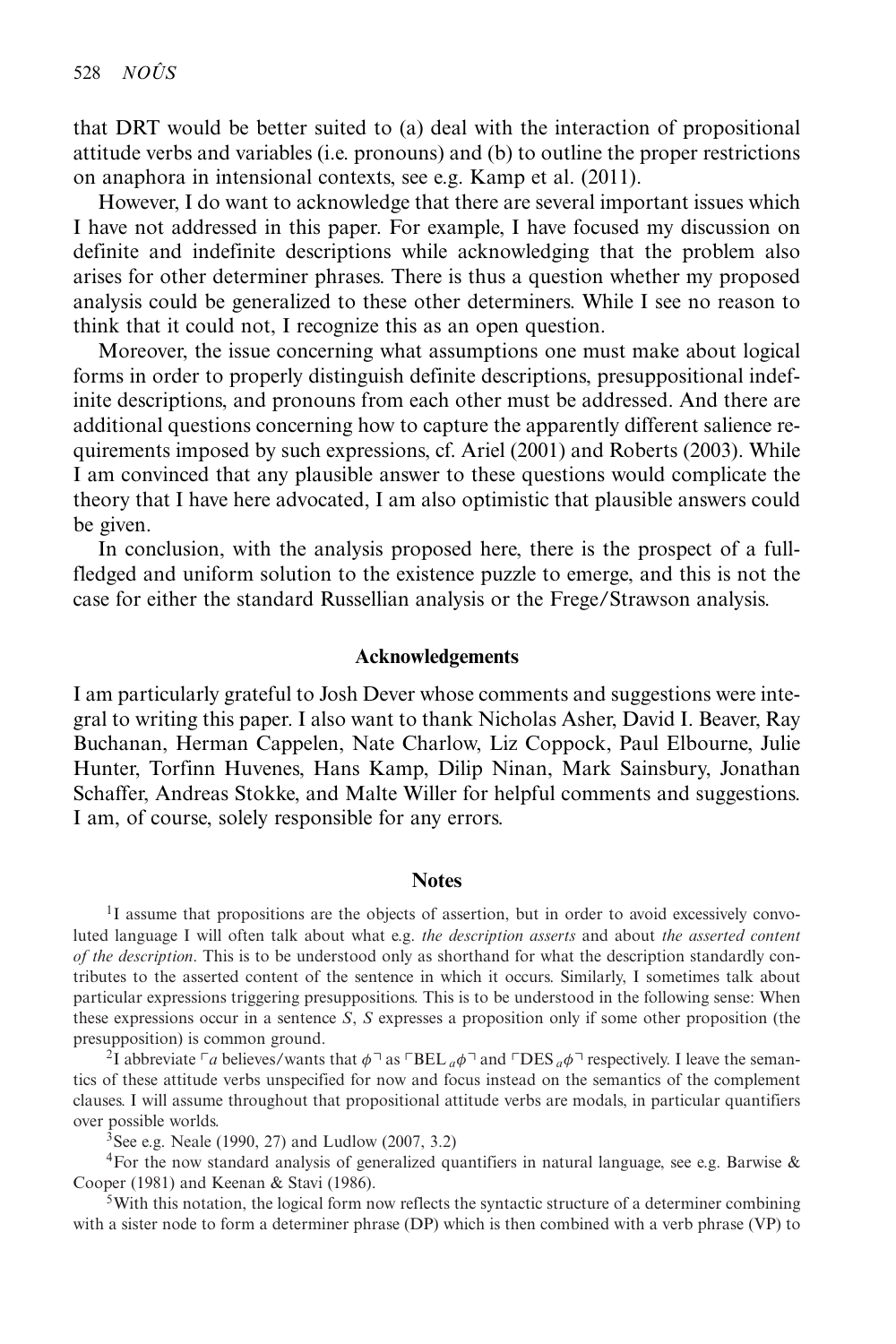that DRT would be better suited to (a) deal with the interaction of propositional attitude verbs and variables (i.e. pronouns) and (b) to outline the proper restrictions on anaphora in intensional contexts, see e.g. Kamp et al. (2011).

However, I do want to acknowledge that there are several important issues which I have not addressed in this paper. For example, I have focused my discussion on definite and indefinite descriptions while acknowledging that the problem also arises for other determiner phrases. There is thus a question whether my proposed analysis could be generalized to these other determiners. While I see no reason to think that it could not, I recognize this as an open question.

Moreover, the issue concerning what assumptions one must make about logical forms in order to properly distinguish definite descriptions, presuppositional indefinite descriptions, and pronouns from each other must be addressed. And there are additional questions concerning how to capture the apparently different salience requirements imposed by such expressions, cf. Ariel (2001) and Roberts (2003). While I am convinced that any plausible answer to these questions would complicate the theory that I have here advocated, I am also optimistic that plausible answers could be given.

In conclusion, with the analysis proposed here, there is the prospect of a fullfledged and uniform solution to the existence puzzle to emerge, and this is not the case for either the standard Russellian analysis or the Frege/Strawson analysis.

### **Acknowledgements**

I am particularly grateful to Josh Dever whose comments and suggestions were integral to writing this paper. I also want to thank Nicholas Asher, David I. Beaver, Ray Buchanan, Herman Cappelen, Nate Charlow, Liz Coppock, Paul Elbourne, Julie Hunter, Torfinn Huvenes, Hans Kamp, Dilip Ninan, Mark Sainsbury, Jonathan Schaffer, Andreas Stokke, and Malte Willer for helpful comments and suggestions. I am, of course, solely responsible for any errors.

#### **Notes**

<sup>1</sup>I assume that propositions are the objects of assertion, but in order to avoid excessively convoluted language I will often talk about what e.g. *the description asserts* and about *the asserted content of the description*. This is to be understood only as shorthand for what the description standardly contributes to the asserted content of the sentence in which it occurs. Similarly, I sometimes talk about particular expressions triggering presuppositions. This is to be understood in the following sense: When these expressions occur in a sentence *S*, *S* expresses a proposition only if some other proposition (the presupposition) is common ground.

<sup>2</sup>I abbreviate  $\lceil a \rceil$  believes/wants that  $\phi \rceil$  as  $\lceil \text{BEL }_a \phi \rceil$  and  $\lceil \text{DES }_a \phi \rceil$  respectively. I leave the semantics of these attitude verbs unspecified for now and focus instead on the semantics of the complement clauses. I will assume throughout that propositional attitude verbs are modals, in particular quantifiers over possible worlds.

 $3$ See e.g. Neale (1990, 27) and Ludlow (2007, 3.2)

<sup>4</sup>For the now standard analysis of generalized quantifiers in natural language, see e.g. Barwise  $\&$ Cooper (1981) and Keenan & Stavi (1986).

 $5$ With this notation, the logical form now reflects the syntactic structure of a determiner combining with a sister node to form a determiner phrase (DP) which is then combined with a verb phrase (VP) to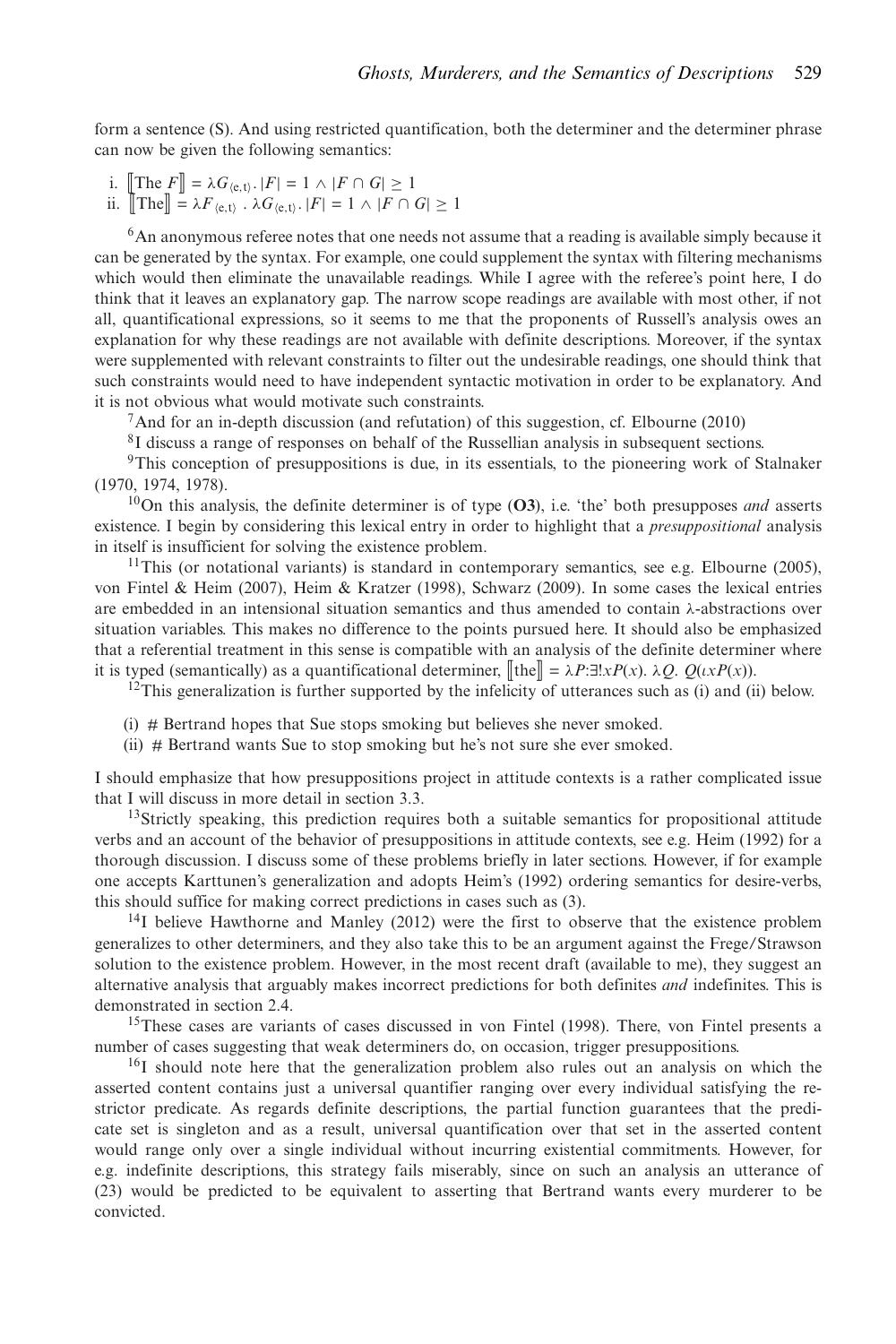form a sentence (S). And using restricted quantification, both the determiner and the determiner phrase can now be given the following semantics:

i.  $[\![\text{The } F]\!] = \lambda G_{\langle e,t\rangle}$ .  $|F| = 1 \wedge |F \cap G| \ge 1$ ii.  $[\![\text{The}]\!] = \lambda F_{\langle e,t \rangle} \cdot \lambda G_{\langle e,t \rangle} \cdot |F| = 1 \wedge |F \cap G| \ge 1$ 

 $6$ An anonymous referee notes that one needs not assume that a reading is available simply because it can be generated by the syntax. For example, one could supplement the syntax with filtering mechanisms which would then eliminate the unavailable readings. While I agree with the referee's point here, I do think that it leaves an explanatory gap. The narrow scope readings are available with most other, if not all, quantificational expressions, so it seems to me that the proponents of Russell's analysis owes an explanation for why these readings are not available with definite descriptions. Moreover, if the syntax were supplemented with relevant constraints to filter out the undesirable readings, one should think that such constraints would need to have independent syntactic motivation in order to be explanatory. And it is not obvious what would motivate such constraints.

 $^7$ And for an in-depth discussion (and refutation) of this suggestion, cf. Elbourne (2010)

8I discuss a range of responses on behalf of the Russellian analysis in subsequent sections.

<sup>9</sup>This conception of presuppositions is due, in its essentials, to the pioneering work of Stalnaker (1970, 1974, 1978).

10On this analysis, the definite determiner is of type (**O3**), i.e. 'the' both presupposes *and* asserts existence. I begin by considering this lexical entry in order to highlight that a *presuppositional* analysis in itself is insufficient for solving the existence problem.

<sup>11</sup>This (or notational variants) is standard in contemporary semantics, see e.g. Elbourne (2005), von Fintel & Heim (2007), Heim & Kratzer (1998), Schwarz (2009). In some cases the lexical entries are embedded in an intensional situation semantics and thus amended to contain λ-abstractions over situation variables. This makes no difference to the points pursued here. It should also be emphasized that a referential treatment in this sense is compatible with an analysis of the definite determiner where it is typed (semantically) as a quantificational determiner,  $[\text{the}] = \lambda P:\exists!x P(x)$ .  $\lambda Q$ .  $Q(\lambda P(x))$ .<br><sup>12</sup>This generalization is further supported by the infelicity of utterances such as (i) and (ii) below.

- (i) # Bertrand hopes that Sue stops smoking but believes she never smoked.
- (ii) # Bertrand wants Sue to stop smoking but he's not sure she ever smoked.

I should emphasize that how presuppositions project in attitude contexts is a rather complicated issue that I will discuss in more detail in section 3.3.

<sup>13</sup>Strictly speaking, this prediction requires both a suitable semantics for propositional attitude verbs and an account of the behavior of presuppositions in attitude contexts, see e.g. Heim (1992) for a thorough discussion. I discuss some of these problems briefly in later sections. However, if for example one accepts Karttunen's generalization and adopts Heim's (1992) ordering semantics for desire-verbs, this should suffice for making correct predictions in cases such as (3).

 $14$ I believe Hawthorne and Manley (2012) were the first to observe that the existence problem generalizes to other determiners, and they also take this to be an argument against the Frege/Strawson solution to the existence problem. However, in the most recent draft (available to me), they suggest an alternative analysis that arguably makes incorrect predictions for both definites *and* indefinites. This is demonstrated in section 2.4.

<sup>15</sup>These cases are variants of cases discussed in von Fintel (1998). There, von Fintel presents a number of cases suggesting that weak determiners do, on occasion, trigger presuppositions.

<sup>16</sup>I should note here that the generalization problem also rules out an analysis on which the asserted content contains just a universal quantifier ranging over every individual satisfying the restrictor predicate. As regards definite descriptions, the partial function guarantees that the predicate set is singleton and as a result, universal quantification over that set in the asserted content would range only over a single individual without incurring existential commitments. However, for e.g. indefinite descriptions, this strategy fails miserably, since on such an analysis an utterance of (23) would be predicted to be equivalent to asserting that Bertrand wants every murderer to be convicted.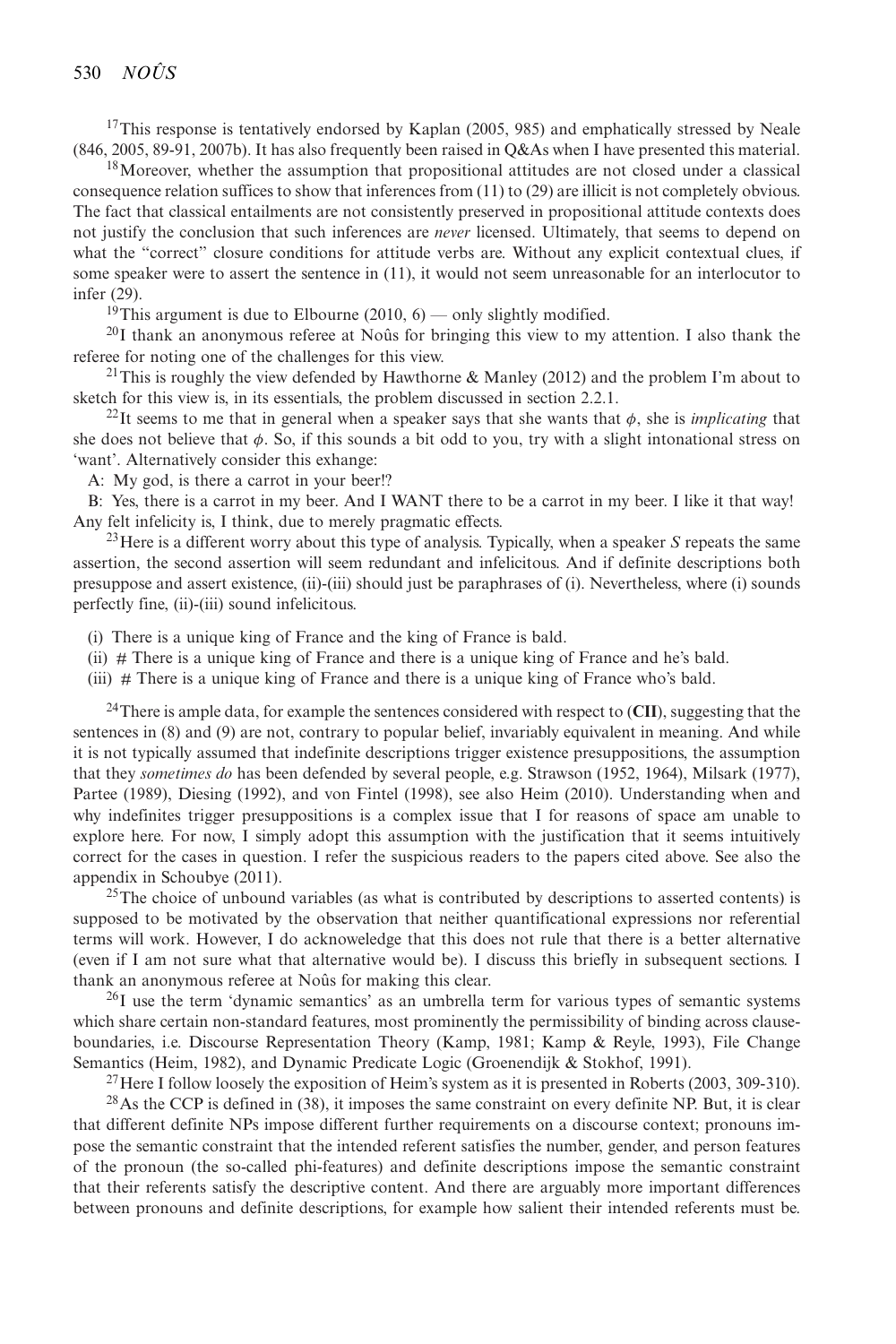<sup>17</sup>This response is tentatively endorsed by Kaplan (2005, 985) and emphatically stressed by Neale (846, 2005, 89-91, 2007b). It has also frequently been raised in Q&As when I have presented this material.

<sup>18</sup>Moreover, whether the assumption that propositional attitudes are not closed under a classical consequence relation suffices to show that inferences from (11) to (29) are illicit is not completely obvious. The fact that classical entailments are not consistently preserved in propositional attitude contexts does not justify the conclusion that such inferences are *never* licensed. Ultimately, that seems to depend on what the "correct" closure conditions for attitude verbs are. Without any explicit contextual clues, if some speaker were to assert the sentence in (11), it would not seem unreasonable for an interlocutor to infer (29).

<sup>19</sup>This argument is due to Elbourne (2010, 6) — only slightly modified.

<sup>20</sup>I thank an anonymous referee at Noûs for bringing this view to my attention. I also thank the referee for noting one of the challenges for this view.

<sup>21</sup>This is roughly the view defended by Hawthorne & Manley (2012) and the problem I'm about to sketch for this view is, in its essentials, the problem discussed in section 2.2.1.

<sup>22</sup>It seems to me that in general when a speaker says that she wants that  $\phi$ , she is *implicating* that she does not believe that  $\phi$ . So, if this sounds a bit odd to you, try with a slight intonational stress on 'want'. Alternatively consider this exhange:

A: My god, is there a carrot in your beer!?

B: Yes, there is a carrot in my beer. And I WANT there to be a carrot in my beer. I like it that way! Any felt infelicity is, I think, due to merely pragmatic effects.

23Here is a different worry about this type of analysis. Typically, when a speaker *S* repeats the same assertion, the second assertion will seem redundant and infelicitous. And if definite descriptions both presuppose and assert existence, (ii)-(iii) should just be paraphrases of (i). Nevertheless, where (i) sounds perfectly fine, (ii)-(iii) sound infelicitous.

(i) There is a unique king of France and the king of France is bald.

(ii) # There is a unique king of France and there is a unique king of France and he's bald.

(iii) # There is a unique king of France and there is a unique king of France who's bald.

24There is ample data, for example the sentences considered with respect to (**CII**), suggesting that the sentences in (8) and (9) are not, contrary to popular belief, invariably equivalent in meaning. And while it is not typically assumed that indefinite descriptions trigger existence presuppositions, the assumption that they *sometimes do* has been defended by several people, e.g. Strawson (1952, 1964), Milsark (1977), Partee (1989), Diesing (1992), and von Fintel (1998), see also Heim (2010). Understanding when and why indefinites trigger presuppositions is a complex issue that I for reasons of space am unable to explore here. For now, I simply adopt this assumption with the justification that it seems intuitively correct for the cases in question. I refer the suspicious readers to the papers cited above. See also the appendix in Schoubye (2011).

 $25$ The choice of unbound variables (as what is contributed by descriptions to asserted contents) is supposed to be motivated by the observation that neither quantificational expressions nor referential terms will work. However, I do acknoweledge that this does not rule that there is a better alternative (even if I am not sure what that alternative would be). I discuss this briefly in subsequent sections. I thank an anonymous referee at Noûs for making this clear.

 $^{26}$ I use the term 'dynamic semantics' as an umbrella term for various types of semantic systems which share certain non-standard features, most prominently the permissibility of binding across clauseboundaries, i.e. Discourse Representation Theory (Kamp, 1981; Kamp & Reyle, 1993), File Change Semantics (Heim, 1982), and Dynamic Predicate Logic (Groenendijk & Stokhof, 1991).

<sup>27</sup> Here I follow loosely the exposition of Heim's system as it is presented in Roberts (2003, 309-310).

 $^{28}$ As the CCP is defined in (38), it imposes the same constraint on every definite NP. But, it is clear that different definite NPs impose different further requirements on a discourse context; pronouns impose the semantic constraint that the intended referent satisfies the number, gender, and person features of the pronoun (the so-called phi-features) and definite descriptions impose the semantic constraint that their referents satisfy the descriptive content. And there are arguably more important differences between pronouns and definite descriptions, for example how salient their intended referents must be.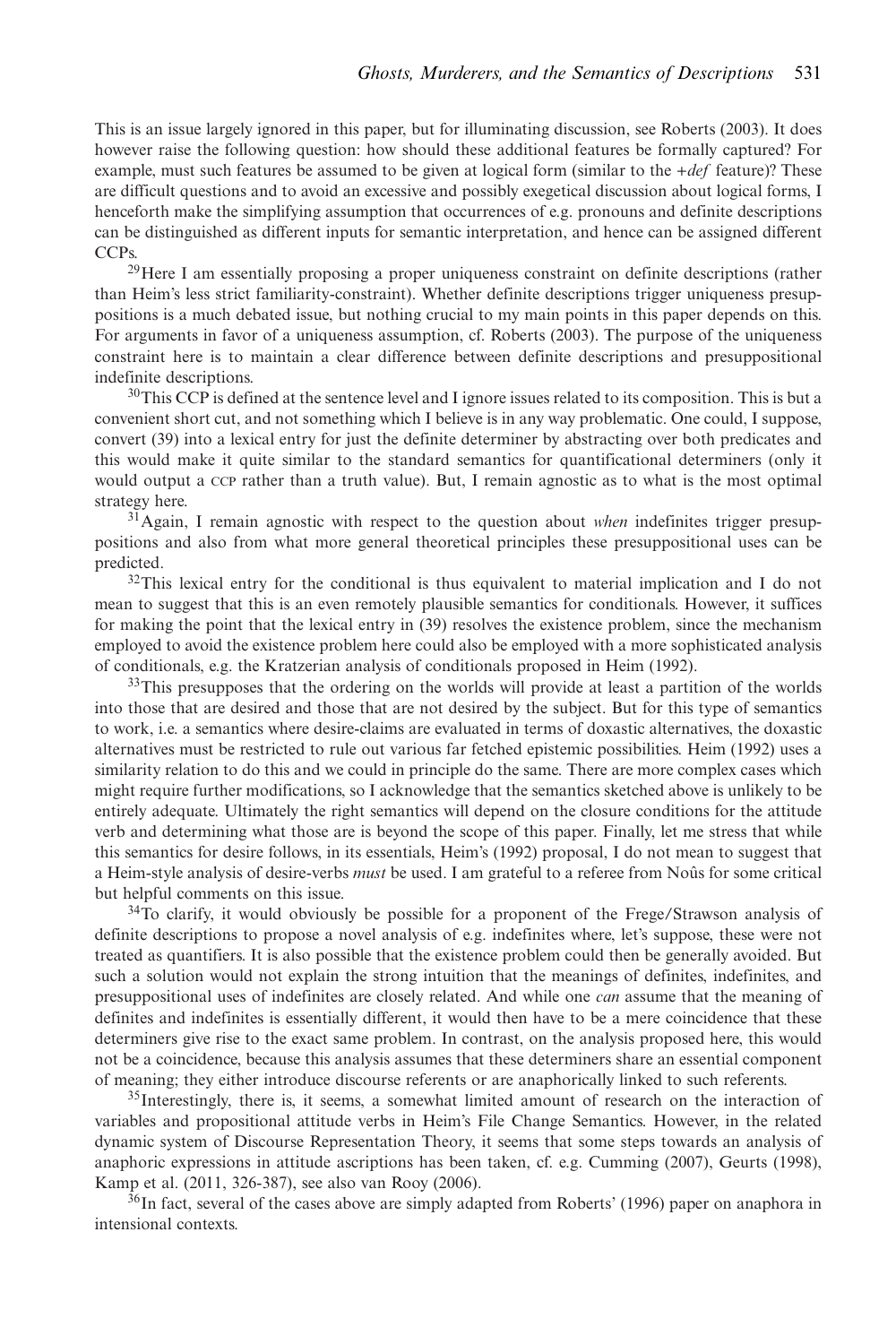This is an issue largely ignored in this paper, but for illuminating discussion, see Roberts (2003). It does however raise the following question: how should these additional features be formally captured? For example, must such features be assumed to be given at logical form (similar to the *+def* feature)? These are difficult questions and to avoid an excessive and possibly exegetical discussion about logical forms, I henceforth make the simplifying assumption that occurrences of e.g. pronouns and definite descriptions can be distinguished as different inputs for semantic interpretation, and hence can be assigned different CCPs.29Here I am essentially proposing a proper uniqueness constraint on definite descriptions (rather

than Heim's less strict familiarity-constraint). Whether definite descriptions trigger uniqueness presuppositions is a much debated issue, but nothing crucial to my main points in this paper depends on this. For arguments in favor of a uniqueness assumption, cf. Roberts (2003). The purpose of the uniqueness constraint here is to maintain a clear difference between definite descriptions and presuppositional indefinite descriptions.

 $30$ This CCP is defined at the sentence level and I ignore issues related to its composition. This is but a convenient short cut, and not something which I believe is in any way problematic. One could, I suppose, convert (39) into a lexical entry for just the definite determiner by abstracting over both predicates and this would make it quite similar to the standard semantics for quantificational determiners (only it would output a CCP rather than a truth value). But, I remain agnostic as to what is the most optimal strategy here.

31Again, I remain agnostic with respect to the question about *when* indefinites trigger presuppositions and also from what more general theoretical principles these presuppositional uses can be predicted.

<sup>32</sup>This lexical entry for the conditional is thus equivalent to material implication and I do not mean to suggest that this is an even remotely plausible semantics for conditionals. However, it suffices for making the point that the lexical entry in (39) resolves the existence problem, since the mechanism employed to avoid the existence problem here could also be employed with a more sophisticated analysis of conditionals, e.g. the Kratzerian analysis of conditionals proposed in Heim (1992).

<sup>33</sup>This presupposes that the ordering on the worlds will provide at least a partition of the worlds into those that are desired and those that are not desired by the subject. But for this type of semantics to work, i.e. a semantics where desire-claims are evaluated in terms of doxastic alternatives, the doxastic alternatives must be restricted to rule out various far fetched epistemic possibilities. Heim (1992) uses a similarity relation to do this and we could in principle do the same. There are more complex cases which might require further modifications, so I acknowledge that the semantics sketched above is unlikely to be entirely adequate. Ultimately the right semantics will depend on the closure conditions for the attitude verb and determining what those are is beyond the scope of this paper. Finally, let me stress that while this semantics for desire follows, in its essentials, Heim's (1992) proposal, I do not mean to suggest that a Heim-style analysis of desire-verbs *must* be used. I am grateful to a referee from Nous for some critical but helpful comments on this issue.

<sup>34</sup>To clarify, it would obviously be possible for a proponent of the Frege/Strawson analysis of definite descriptions to propose a novel analysis of e.g. indefinites where, let's suppose, these were not treated as quantifiers. It is also possible that the existence problem could then be generally avoided. But such a solution would not explain the strong intuition that the meanings of definites, indefinites, and presuppositional uses of indefinites are closely related. And while one *can* assume that the meaning of definites and indefinites is essentially different, it would then have to be a mere coincidence that these determiners give rise to the exact same problem. In contrast, on the analysis proposed here, this would not be a coincidence, because this analysis assumes that these determiners share an essential component of meaning; they either introduce discourse referents or are anaphorically linked to such referents.

<sup>35</sup>Interestingly, there is, it seems, a somewhat limited amount of research on the interaction of variables and propositional attitude verbs in Heim's File Change Semantics. However, in the related dynamic system of Discourse Representation Theory, it seems that some steps towards an analysis of anaphoric expressions in attitude ascriptions has been taken, cf. e.g. Cumming (2007), Geurts (1998), Kamp et al. (2011, 326-387), see also van Rooy (2006).

 $36$ In fact, several of the cases above are simply adapted from Roberts' (1996) paper on anaphora in intensional contexts.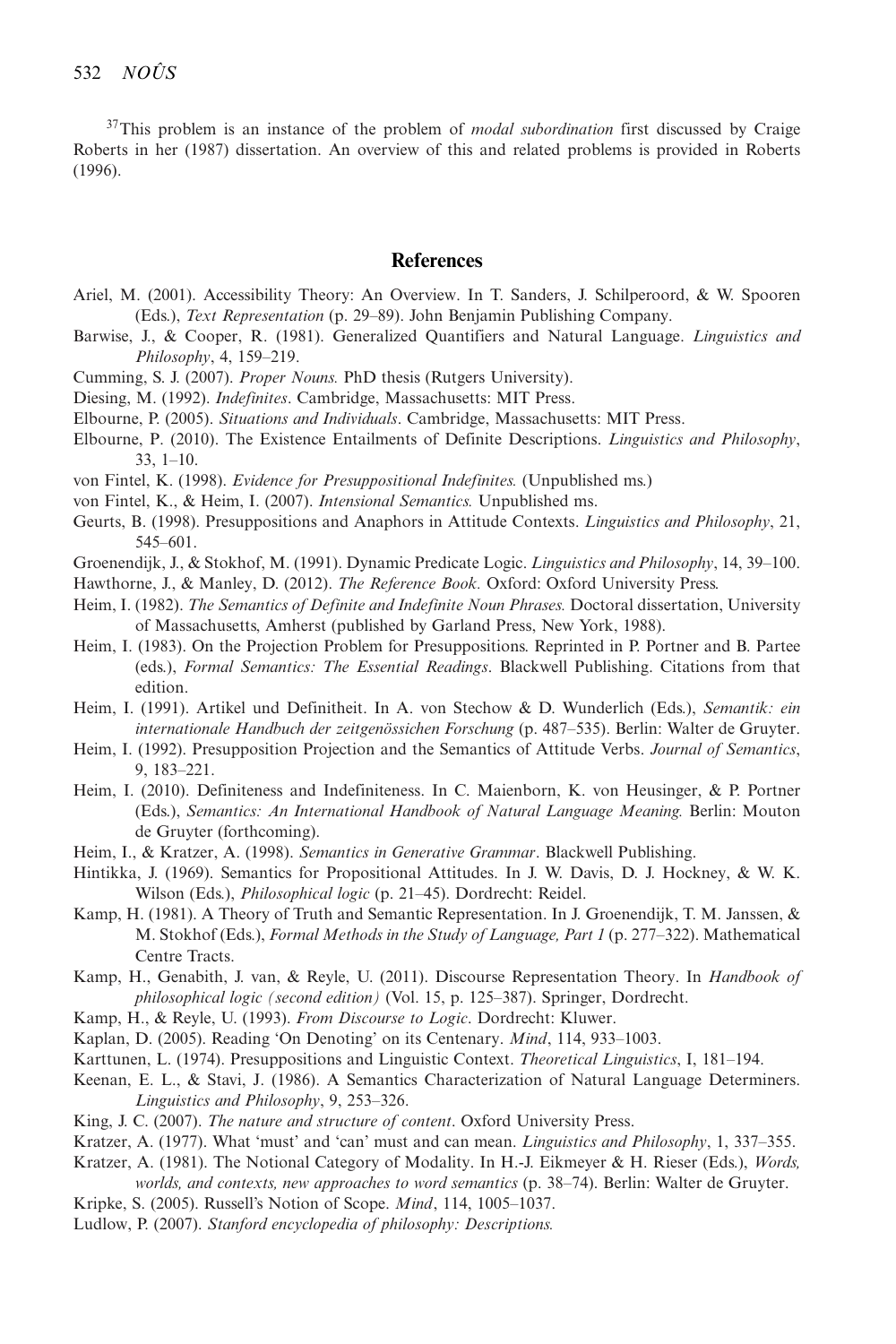37This problem is an instance of the problem of *modal subordination* first discussed by Craige Roberts in her (1987) dissertation. An overview of this and related problems is provided in Roberts (1996).

### **References**

- Ariel, M. (2001). Accessibility Theory: An Overview. In T. Sanders, J. Schilperoord, & W. Spooren (Eds.), *Text Representation* (p. 29–89). John Benjamin Publishing Company.
- Barwise, J., & Cooper, R. (1981). Generalized Quantifiers and Natural Language. *Linguistics and Philosophy*, 4, 159–219.
- Cumming, S. J. (2007). *Proper Nouns.* PhD thesis (Rutgers University).
- Diesing, M. (1992). *Indefinites*. Cambridge, Massachusetts: MIT Press.
- Elbourne, P. (2005). *Situations and Individuals*. Cambridge, Massachusetts: MIT Press.
- Elbourne, P. (2010). The Existence Entailments of Definite Descriptions. *Linguistics and Philosophy*, 33, 1–10.
- von Fintel, K. (1998). *Evidence for Presuppositional Indefinites.* (Unpublished ms.)
- von Fintel, K., & Heim, I. (2007). *Intensional Semantics.* Unpublished ms.
- Geurts, B. (1998). Presuppositions and Anaphors in Attitude Contexts. *Linguistics and Philosophy*, 21, 545–601.
- Groenendijk, J., & Stokhof, M. (1991). Dynamic Predicate Logic. *Linguistics and Philosophy*, 14, 39–100.
- Hawthorne, J., & Manley, D. (2012). *The Reference Book.* Oxford: Oxford University Press.
- Heim, I. (1982). *The Semantics of Definite and Indefinite Noun Phrases.* Doctoral dissertation, University of Massachusetts, Amherst (published by Garland Press, New York, 1988).
- Heim, I. (1983). On the Projection Problem for Presuppositions. Reprinted in P. Portner and B. Partee (eds.), *Formal Semantics: The Essential Readings*. Blackwell Publishing. Citations from that edition.
- Heim, I. (1991). Artikel und Definitheit. In A. von Stechow & D. Wunderlich (Eds.), *Semantik: ein internationale Handbuch der zeitgenössichen Forschung* (p. 487–535). Berlin: Walter de Gruyter.
- Heim, I. (1992). Presupposition Projection and the Semantics of Attitude Verbs. *Journal of Semantics*, 9, 183–221.
- Heim, I. (2010). Definiteness and Indefiniteness. In C. Maienborn, K. von Heusinger, & P. Portner (Eds.), *Semantics: An International Handbook of Natural Language Meaning.* Berlin: Mouton de Gruyter (forthcoming).
- Heim, I., & Kratzer, A. (1998). *Semantics in Generative Grammar*. Blackwell Publishing.
- Hintikka, J. (1969). Semantics for Propositional Attitudes. In J. W. Davis, D. J. Hockney, & W. K. Wilson (Eds.), *Philosophical logic* (p. 21–45). Dordrecht: Reidel.
- Kamp, H. (1981). A Theory of Truth and Semantic Representation. In J. Groenendijk, T. M. Janssen, & M. Stokhof (Eds.), *Formal Methods in the Study of Language, Part 1* (p. 277–322). Mathematical Centre Tracts.
- Kamp, H., Genabith, J. van, & Reyle, U. (2011). Discourse Representation Theory. In *Handbook of philosophical logic (second edition)* (Vol. 15, p. 125–387). Springer, Dordrecht.
- Kamp, H., & Reyle, U. (1993). *From Discourse to Logic*. Dordrecht: Kluwer.
- Kaplan, D. (2005). Reading 'On Denoting' on its Centenary. *Mind*, 114, 933–1003.
- Karttunen, L. (1974). Presuppositions and Linguistic Context. *Theoretical Linguistics*, I, 181–194.
- Keenan, E. L., & Stavi, J. (1986). A Semantics Characterization of Natural Language Determiners. *Linguistics and Philosophy*, 9, 253–326.
- King, J. C. (2007). *The nature and structure of content*. Oxford University Press.
- Kratzer, A. (1977). What 'must' and 'can' must and can mean. *Linguistics and Philosophy*, 1, 337–355.
- Kratzer, A. (1981). The Notional Category of Modality. In H.-J. Eikmeyer & H. Rieser (Eds.), *Words,*

*worlds, and contexts, new approaches to word semantics* (p. 38–74). Berlin: Walter de Gruyter.

- Kripke, S. (2005). Russell's Notion of Scope. *Mind*, 114, 1005–1037.
- Ludlow, P. (2007). *Stanford encyclopedia of philosophy: Descriptions.*